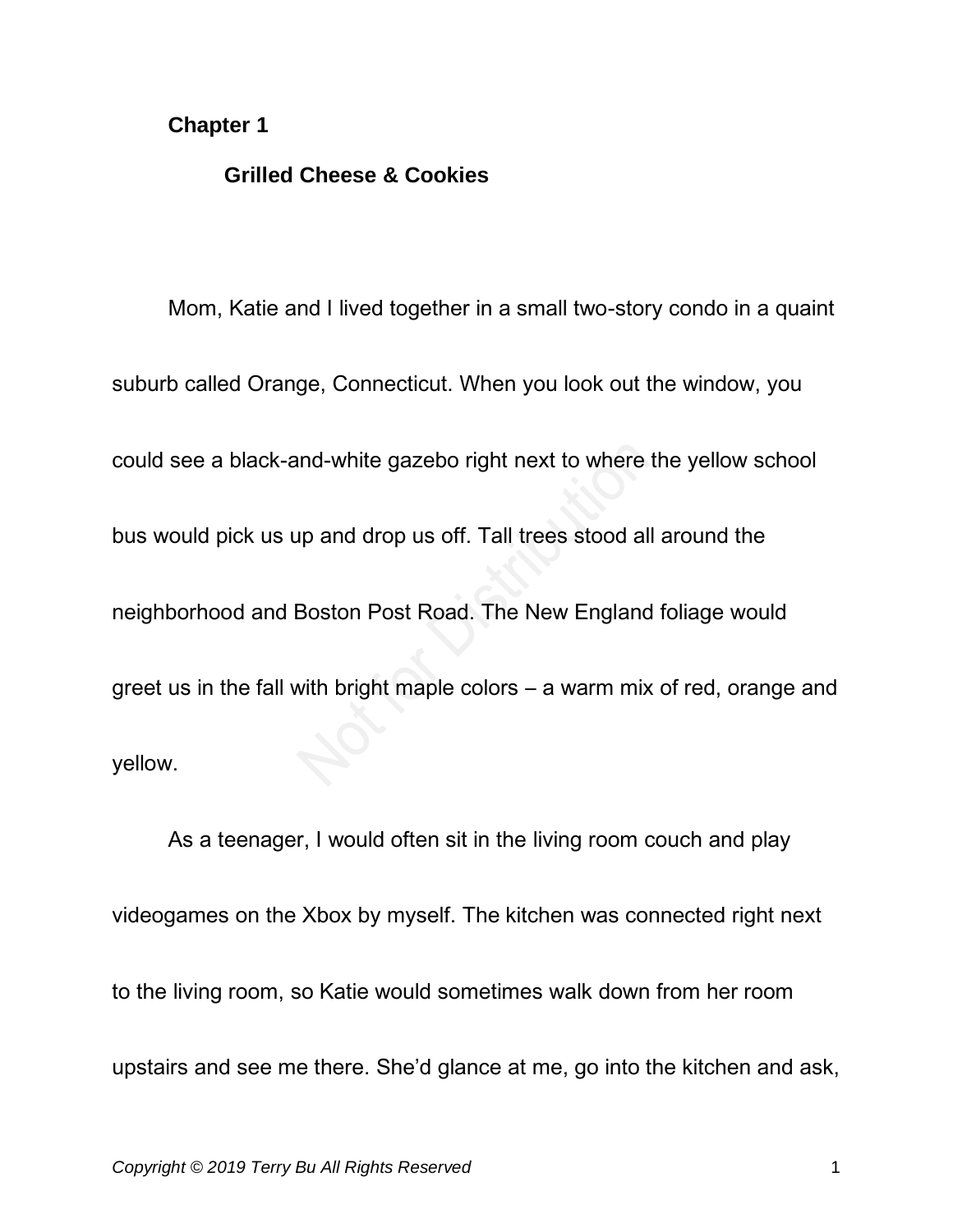#### **Chapter 1**

#### **Grilled Cheese & Cookies**

Mom, Katie and I lived together in a small two-story condo in a quaint suburb called Orange, Connecticut. When you look out the window, you could see a black-and-white gazebo right next to where the yellow school bus would pick us up and drop us off. Tall trees stood all around the neighborhood and Boston Post Road. The New England foliage would greet us in the fall with bright maple colors – a warm mix of red, orange and yellow.

As a teenager, I would often sit in the living room couch and play videogames on the Xbox by myself. The kitchen was connected right next to the living room, so Katie would sometimes walk down from her room upstairs and see me there. She'd glance at me, go into the kitchen and ask,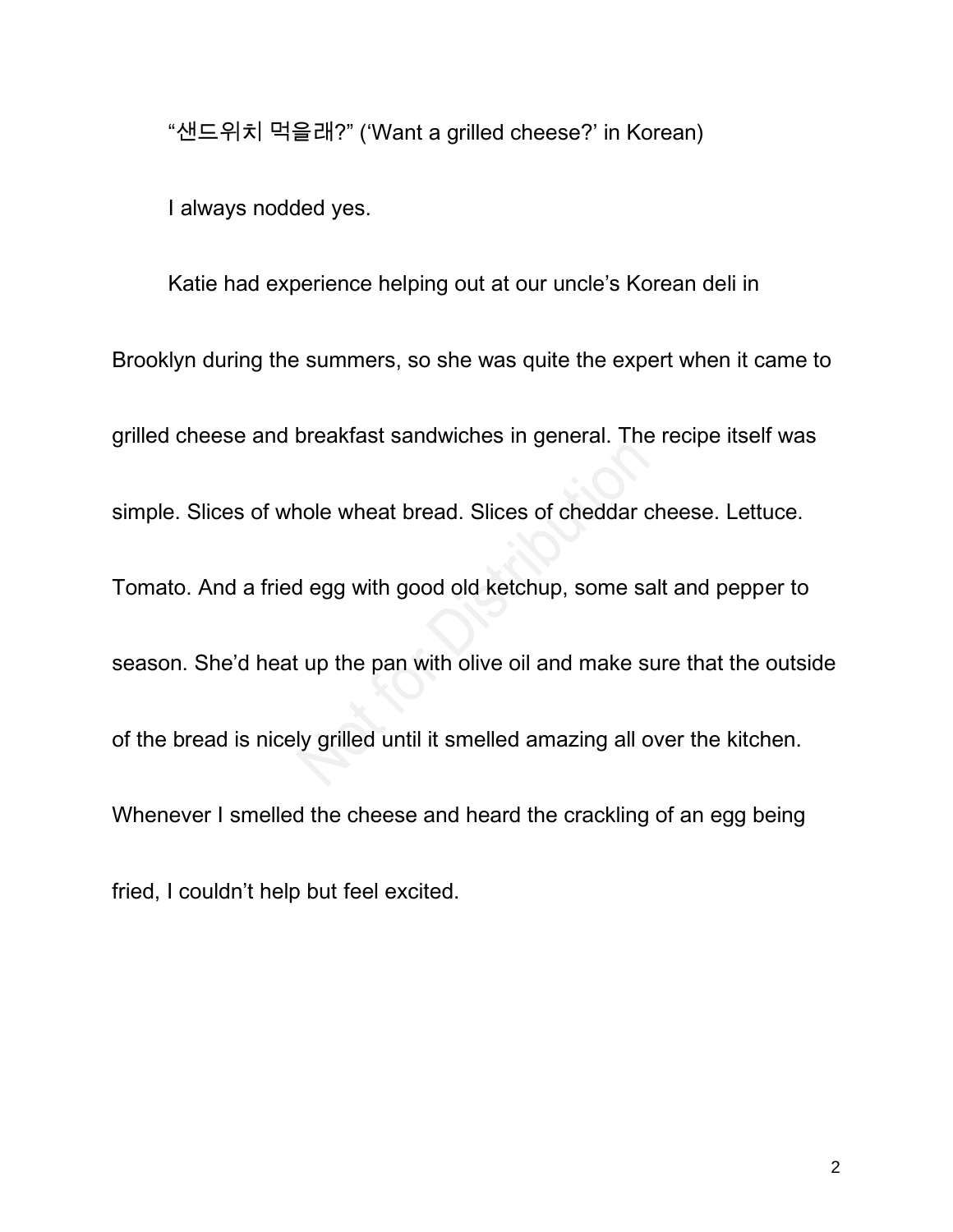"샌드위치 먹을래?" ('Want a grilled cheese?' in Korean)

I always nodded yes.

Katie had experience helping out at our uncle's Korean deli in Brooklyn during the summers, so she was quite the expert when it came to grilled cheese and breakfast sandwiches in general. The recipe itself was simple. Slices of whole wheat bread. Slices of cheddar cheese. Lettuce. Tomato. And a fried egg with good old ketchup, some salt and pepper to season. She'd heat up the pan with olive oil and make sure that the outside of the bread is nicely grilled until it smelled amazing all over the kitchen. Whenever I smelled the cheese and heard the crackling of an egg being fried, I couldn't help but feel excited.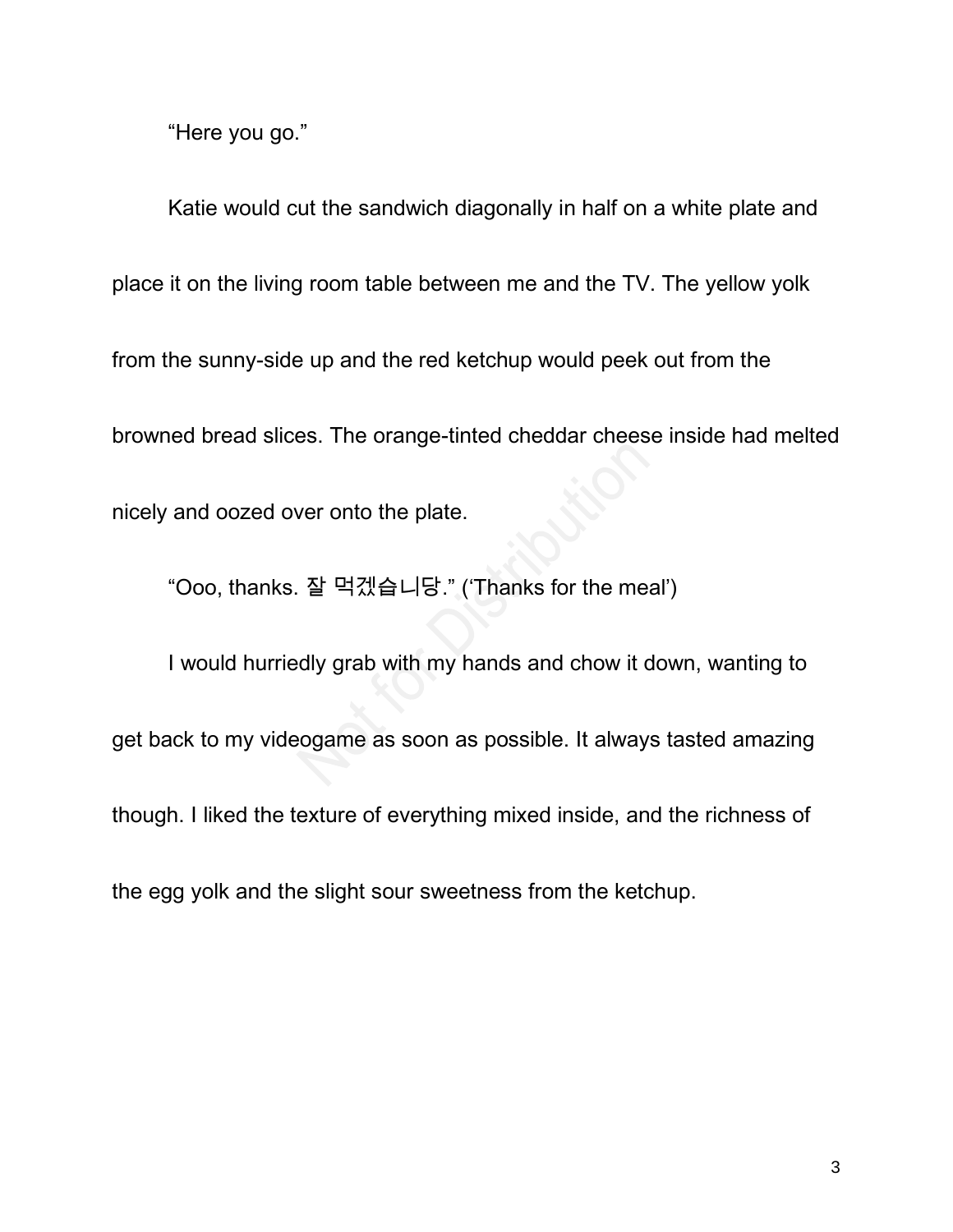"Here you go."

Katie would cut the sandwich diagonally in half on a white plate and place it on the living room table between me and the TV. The yellow yolk from the sunny-side up and the red ketchup would peek out from the browned bread slices. The orange-tinted cheddar cheese inside had melted nicely and oozed over onto the plate.

"Ooo, thanks. 잘 먹겠습니당." ('Thanks for the meal')

I would hurriedly grab with my hands and chow it down, wanting to get back to my videogame as soon as possible. It always tasted amazing though. I liked the texture of everything mixed inside, and the richness of the egg yolk and the slight sour sweetness from the ketchup.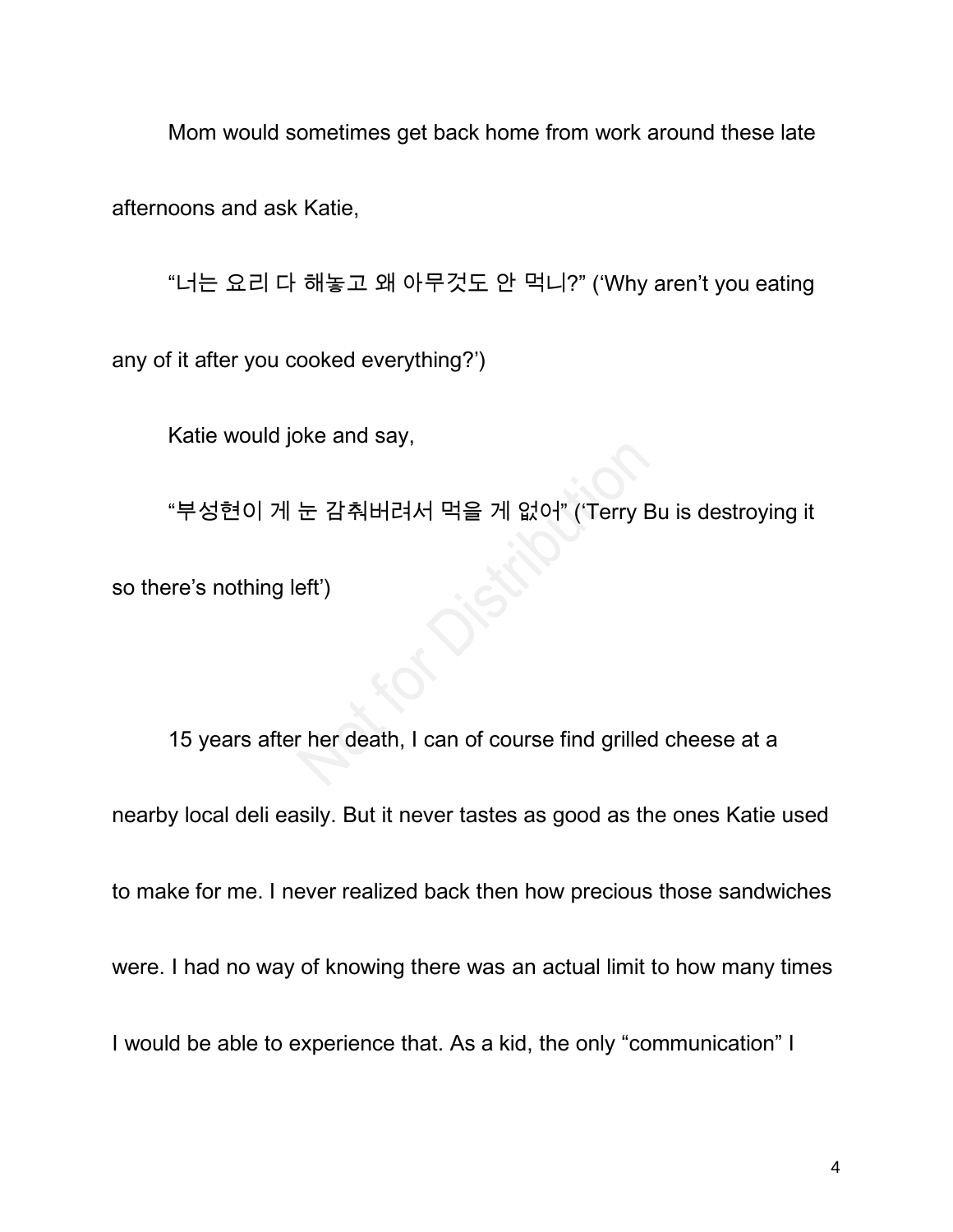Mom would sometimes get back home from work around these late

afternoons and ask Katie,

"너는 요리 다 해놓고 왜 아무것도 안 먹니?" ('Why aren't you eating

any of it after you cooked everything?')

Katie would joke and say,

"부성현이 게 눈 감춰버려서 먹을 게 없어" ('Terry Bu is destroying it

so there's nothing left')

15 years after her death, I can of course find grilled cheese at a nearby local deli easily. But it never tastes as good as the ones Katie used to make for me. I never realized back then how precious those sandwiches were. I had no way of knowing there was an actual limit to how many times I would be able to experience that. As a kid, the only "communication" I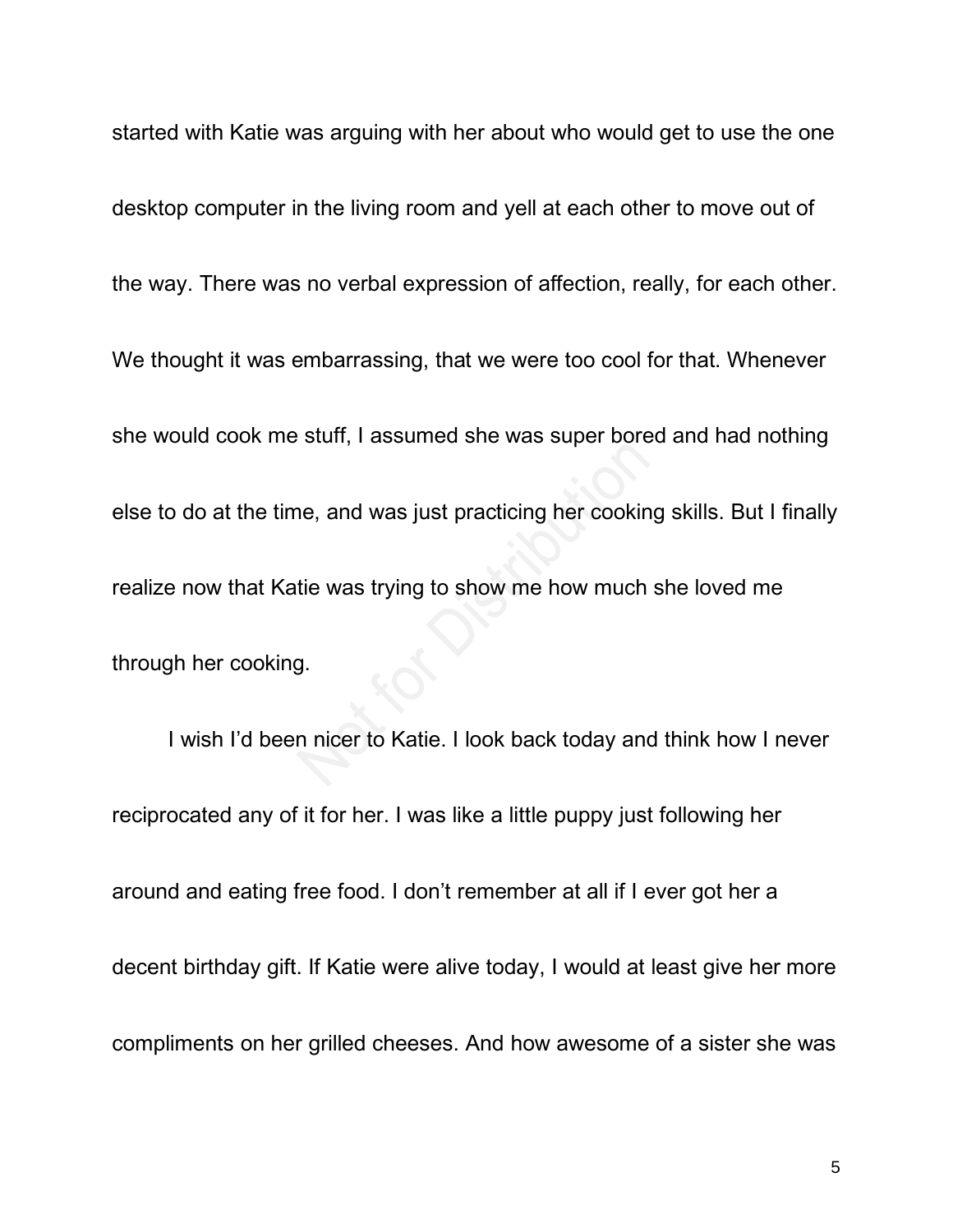started with Katie was arguing with her about who would get to use the one desktop computer in the living room and yell at each other to move out of the way. There was no verbal expression of affection, really, for each other. We thought it was embarrassing, that we were too cool for that. Whenever she would cook me stuff, I assumed she was super bored and had nothing else to do at the time, and was just practicing her cooking skills. But I finally realize now that Katie was trying to show me how much she loved me through her cooking.

I wish I'd been nicer to Katie. I look back today and think how I never reciprocated any of it for her. I was like a little puppy just following her around and eating free food. I don't remember at all if I ever got her a decent birthday gift. If Katie were alive today, I would at least give her more compliments on her grilled cheeses. And how awesome of a sister she was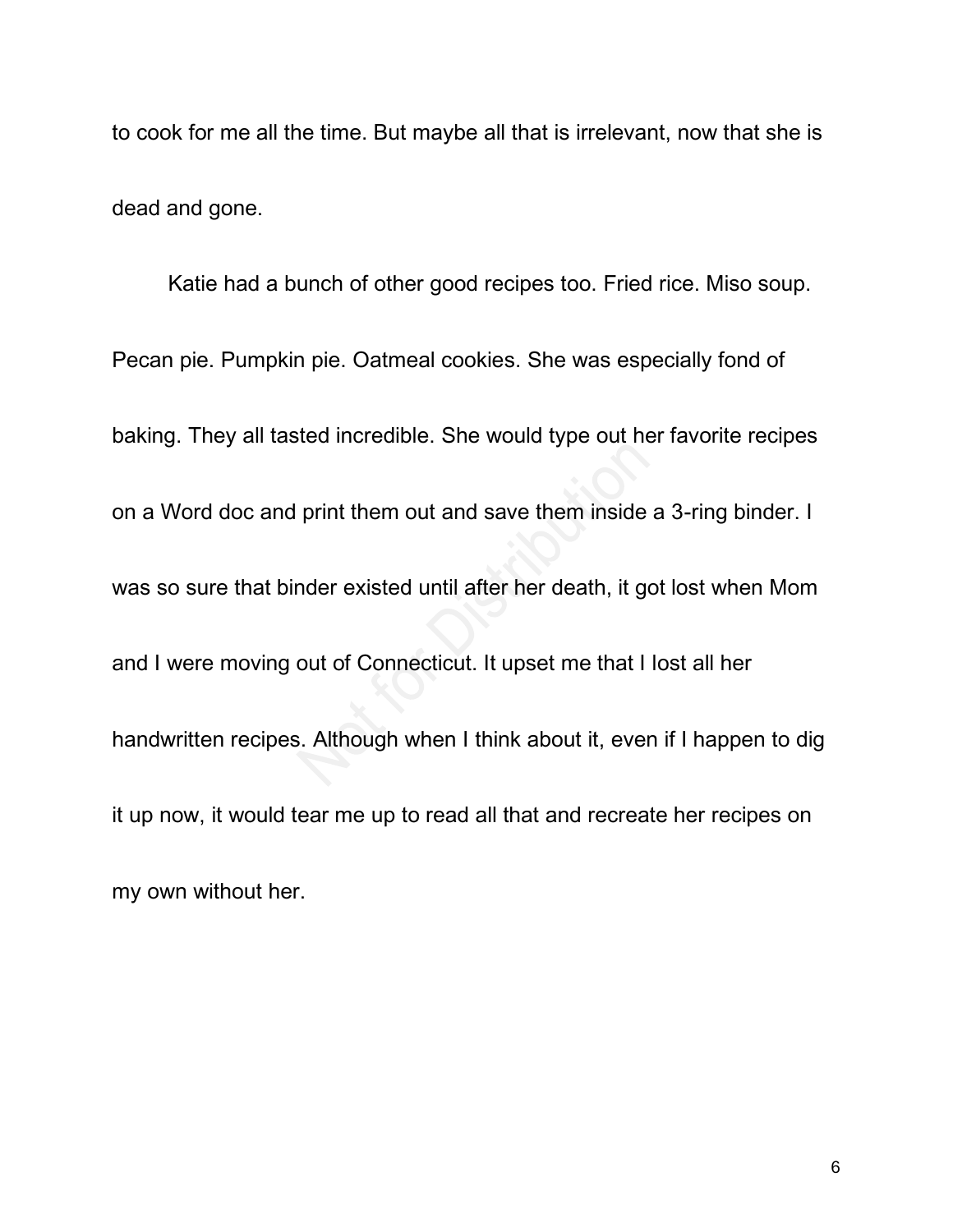to cook for me all the time. But maybe all that is irrelevant, now that she is dead and gone.

Katie had a bunch of other good recipes too. Fried rice. Miso soup. Pecan pie. Pumpkin pie. Oatmeal cookies. She was especially fond of baking. They all tasted incredible. She would type out her favorite recipes on a Word doc and print them out and save them inside a 3-ring binder. I was so sure that binder existed until after her death, it got lost when Mom and I were moving out of Connecticut. It upset me that I lost all her handwritten recipes. Although when I think about it, even if I happen to dig it up now, it would tear me up to read all that and recreate her recipes on my own without her.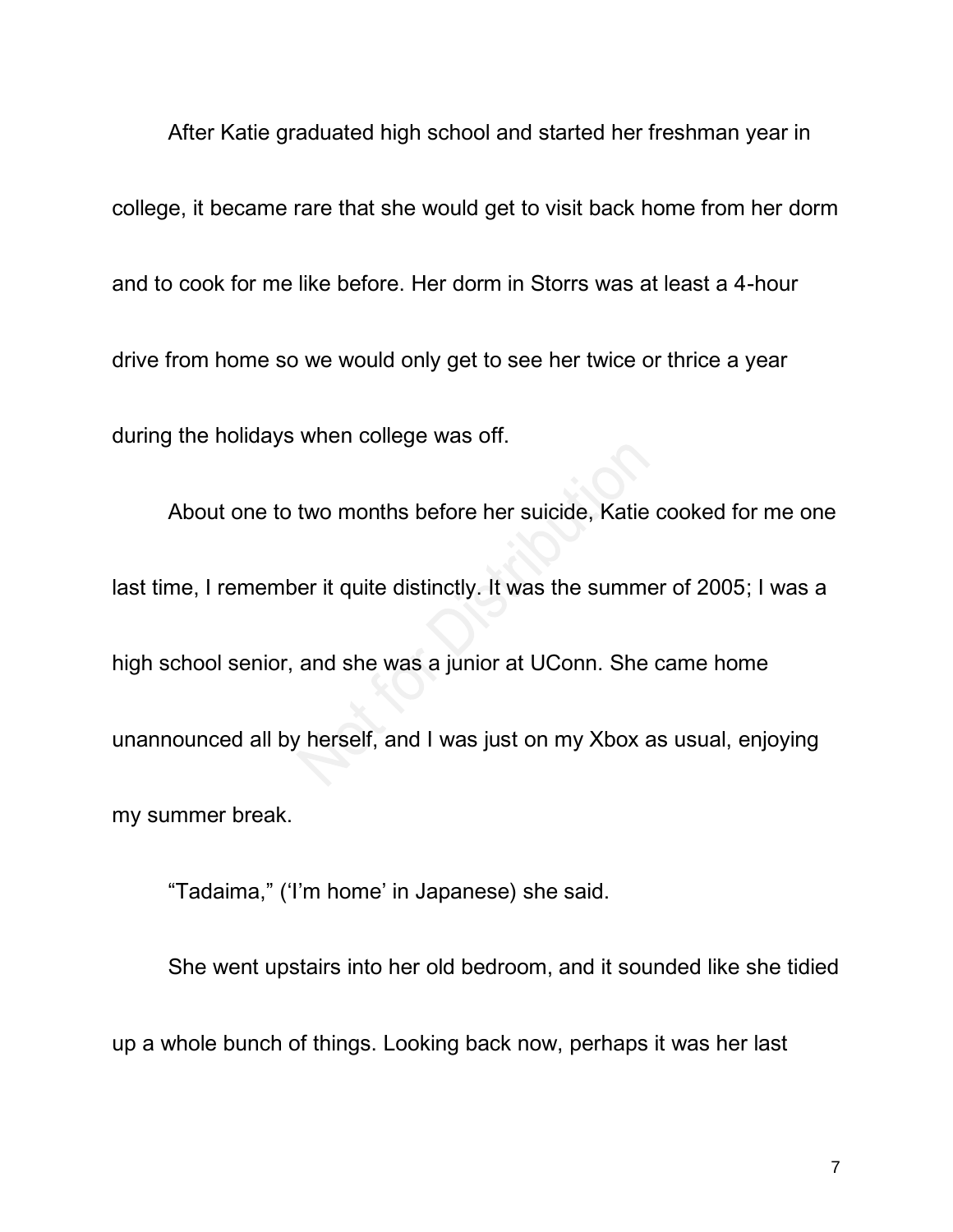After Katie graduated high school and started her freshman year in college, it became rare that she would get to visit back home from her dorm and to cook for me like before. Her dorm in Storrs was at least a 4-hour drive from home so we would only get to see her twice or thrice a year during the holidays when college was off.

About one to two months before her suicide, Katie cooked for me one last time, I remember it quite distinctly. It was the summer of 2005; I was a high school senior, and she was a junior at UConn. She came home unannounced all by herself, and I was just on my Xbox as usual, enjoying my summer break.

"Tadaima," ('I'm home' in Japanese) she said.

She went upstairs into her old bedroom, and it sounded like she tidied up a whole bunch of things. Looking back now, perhaps it was her last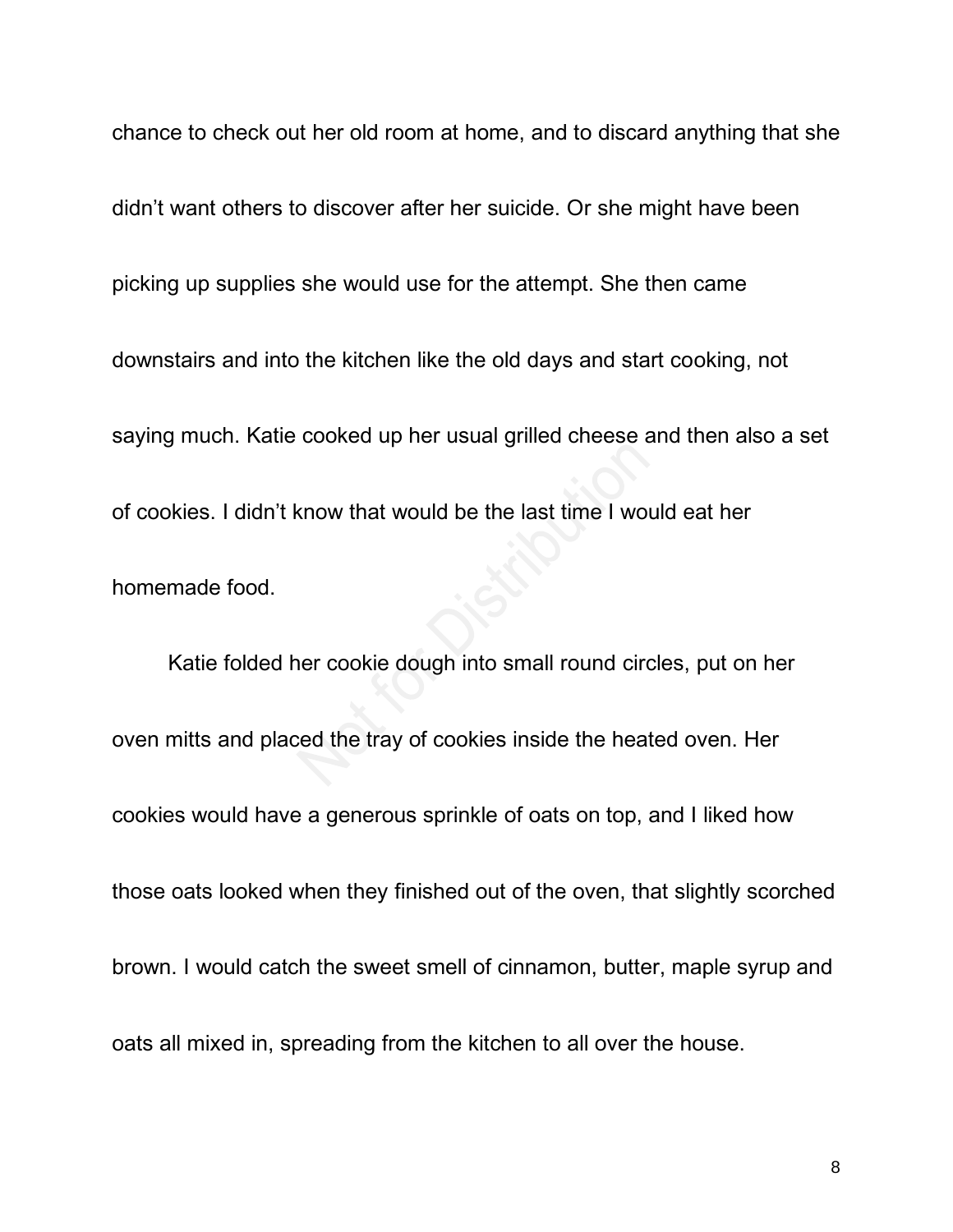chance to check out her old room at home, and to discard anything that she didn't want others to discover after her suicide. Or she might have been picking up supplies she would use for the attempt. She then came downstairs and into the kitchen like the old days and start cooking, not saying much. Katie cooked up her usual grilled cheese and then also a set of cookies. I didn't know that would be the last time I would eat her homemade food.

Katie folded her cookie dough into small round circles, put on her oven mitts and placed the tray of cookies inside the heated oven. Her cookies would have a generous sprinkle of oats on top, and I liked how those oats looked when they finished out of the oven, that slightly scorched brown. I would catch the sweet smell of cinnamon, butter, maple syrup and oats all mixed in, spreading from the kitchen to all over the house.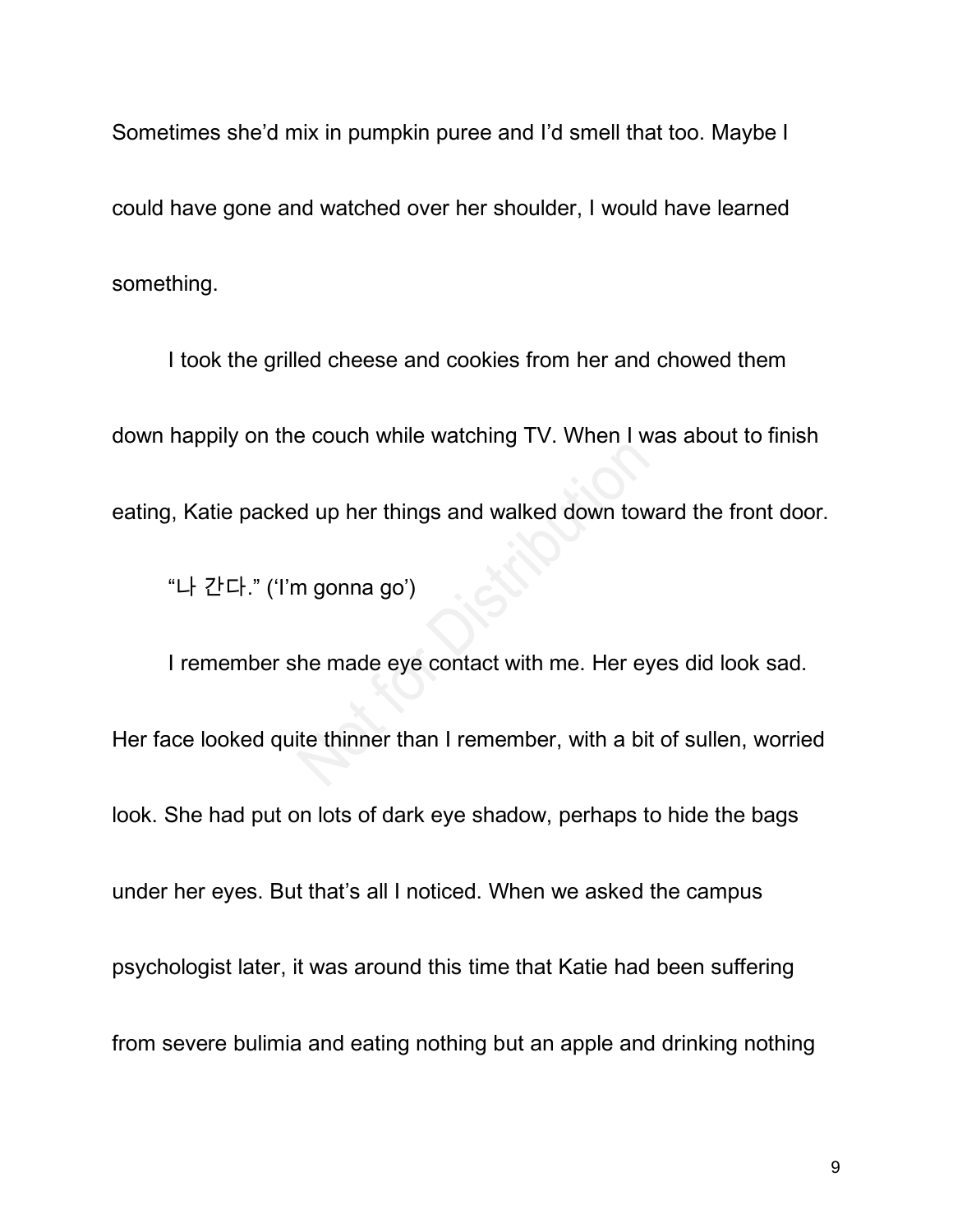Sometimes she'd mix in pumpkin puree and I'd smell that too. Maybe I could have gone and watched over her shoulder, I would have learned something.

I took the grilled cheese and cookies from her and chowed them down happily on the couch while watching TV. When I was about to finish eating, Katie packed up her things and walked down toward the front door.

"나 간다." ('I'm gonna go')

I remember she made eye contact with me. Her eyes did look sad. Her face looked quite thinner than I remember, with a bit of sullen, worried look. She had put on lots of dark eye shadow, perhaps to hide the bags under her eyes. But that's all I noticed. When we asked the campus psychologist later, it was around this time that Katie had been suffering from severe bulimia and eating nothing but an apple and drinking nothing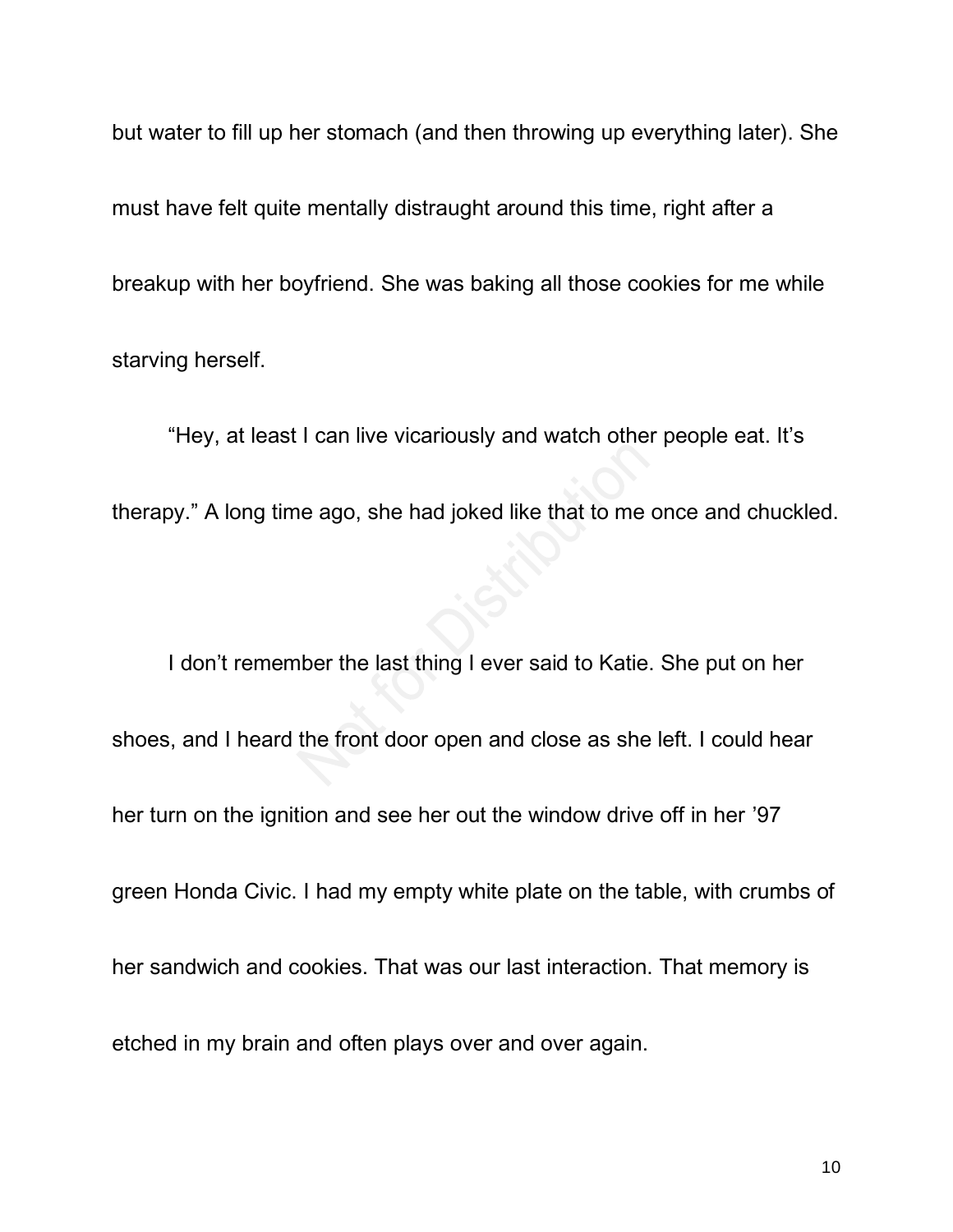but water to fill up her stomach (and then throwing up everything later). She must have felt quite mentally distraught around this time, right after a breakup with her boyfriend. She was baking all those cookies for me while starving herself.

"Hey, at least I can live vicariously and watch other people eat. It's therapy." A long time ago, she had joked like that to me once and chuckled.

I don't remember the last thing I ever said to Katie. She put on her shoes, and I heard the front door open and close as she left. I could hear her turn on the ignition and see her out the window drive off in her '97 green Honda Civic. I had my empty white plate on the table, with crumbs of her sandwich and cookies. That was our last interaction. That memory is etched in my brain and often plays over and over again.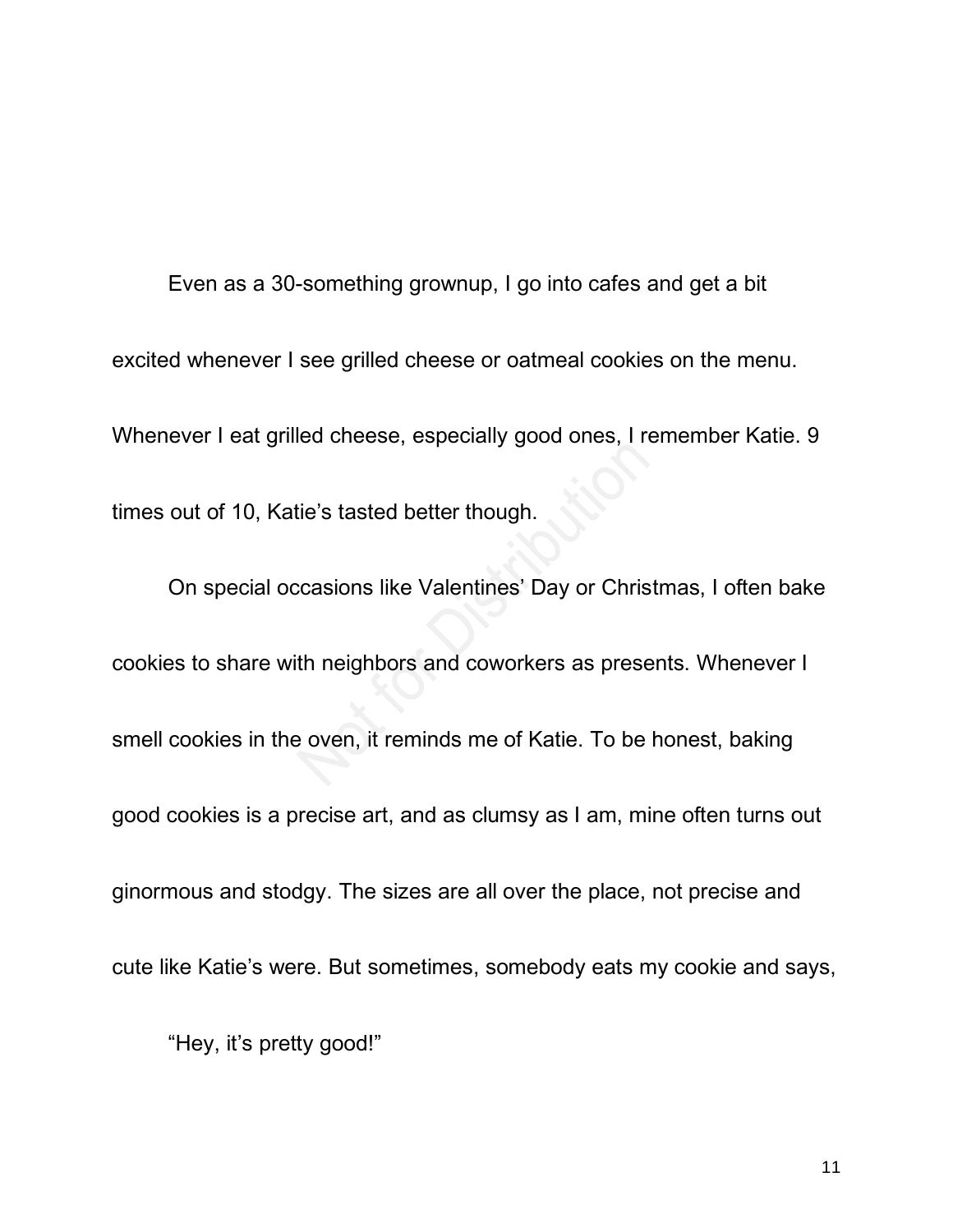Even as a 30-something grownup, I go into cafes and get a bit excited whenever I see grilled cheese or oatmeal cookies on the menu. Whenever I eat grilled cheese, especially good ones, I remember Katie. 9 times out of 10, Katie's tasted better though.

On special occasions like Valentines' Day or Christmas, I often bake cookies to share with neighbors and coworkers as presents. Whenever I smell cookies in the oven, it reminds me of Katie. To be honest, baking good cookies is a precise art, and as clumsy as I am, mine often turns out ginormous and stodgy. The sizes are all over the place, not precise and cute like Katie's were. But sometimes, somebody eats my cookie and says,

"Hey, it's pretty good!"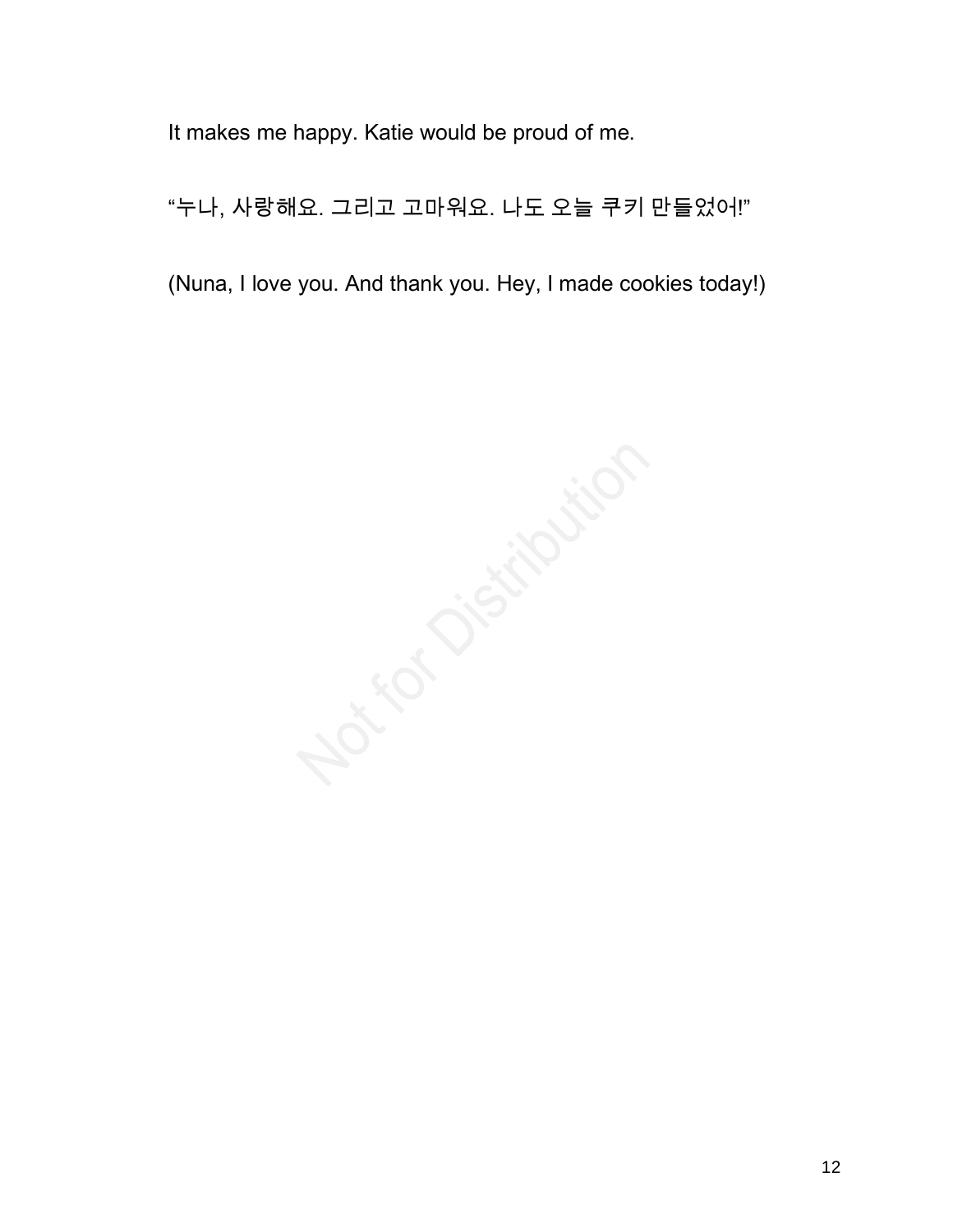It makes me happy. Katie would be proud of me.

"누나, 사랑해요. 그리고 고마워요. 나도 오늘 쿠키 만들었어!"

(Nuna, I love you. And thank you. Hey, I made cookies today!)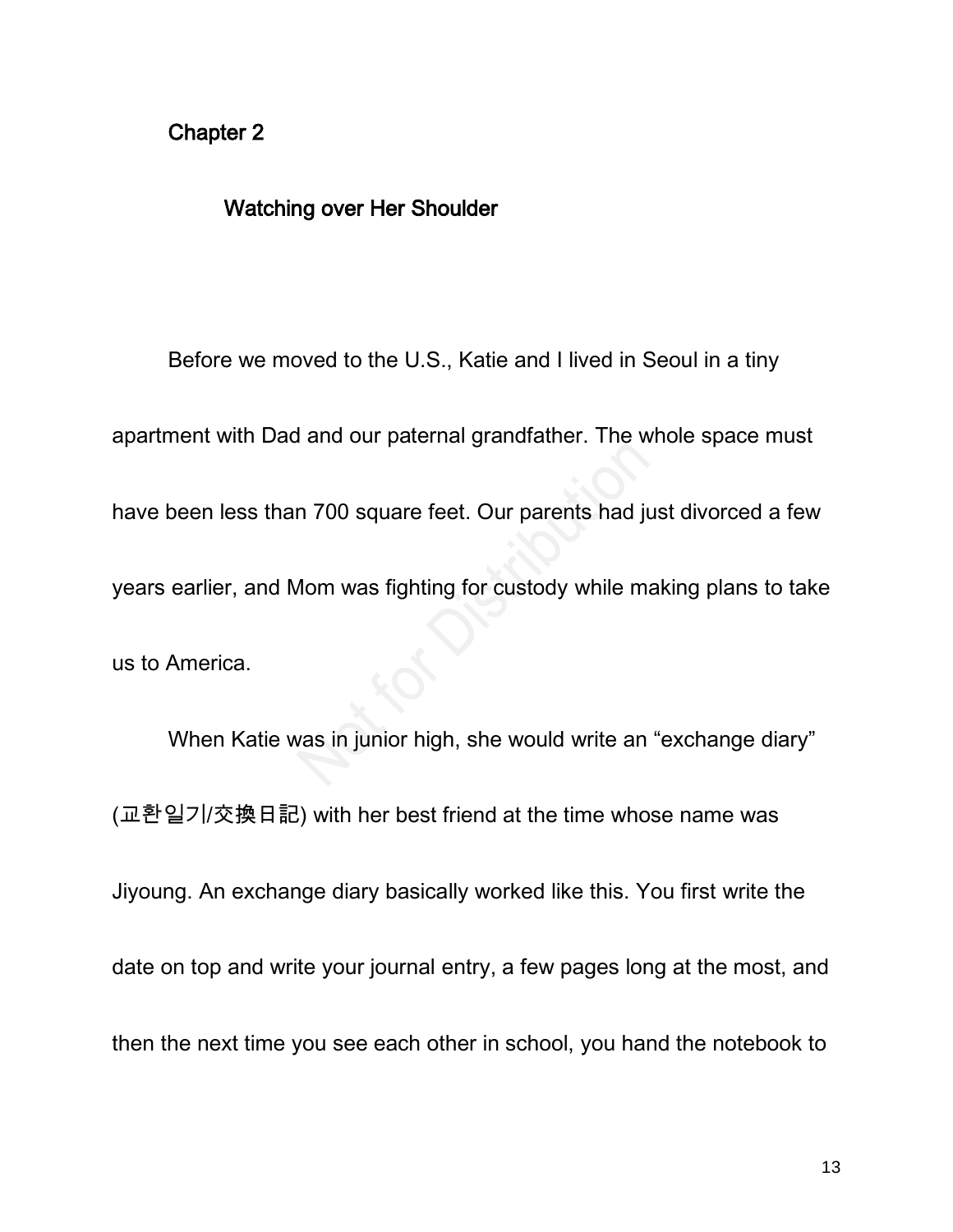# Chapter 2

#### Watching over Her Shoulder

Before we moved to the U.S., Katie and I lived in Seoul in a tiny apartment with Dad and our paternal grandfather. The whole space must have been less than 700 square feet. Our parents had just divorced a few years earlier, and Mom was fighting for custody while making plans to take us to America.

When Katie was in junior high, she would write an "exchange diary" (교환일기/交換日記) with her best friend at the time whose name was Jiyoung. An exchange diary basically worked like this. You first write the date on top and write your journal entry, a few pages long at the most, and then the next time you see each other in school, you hand the notebook to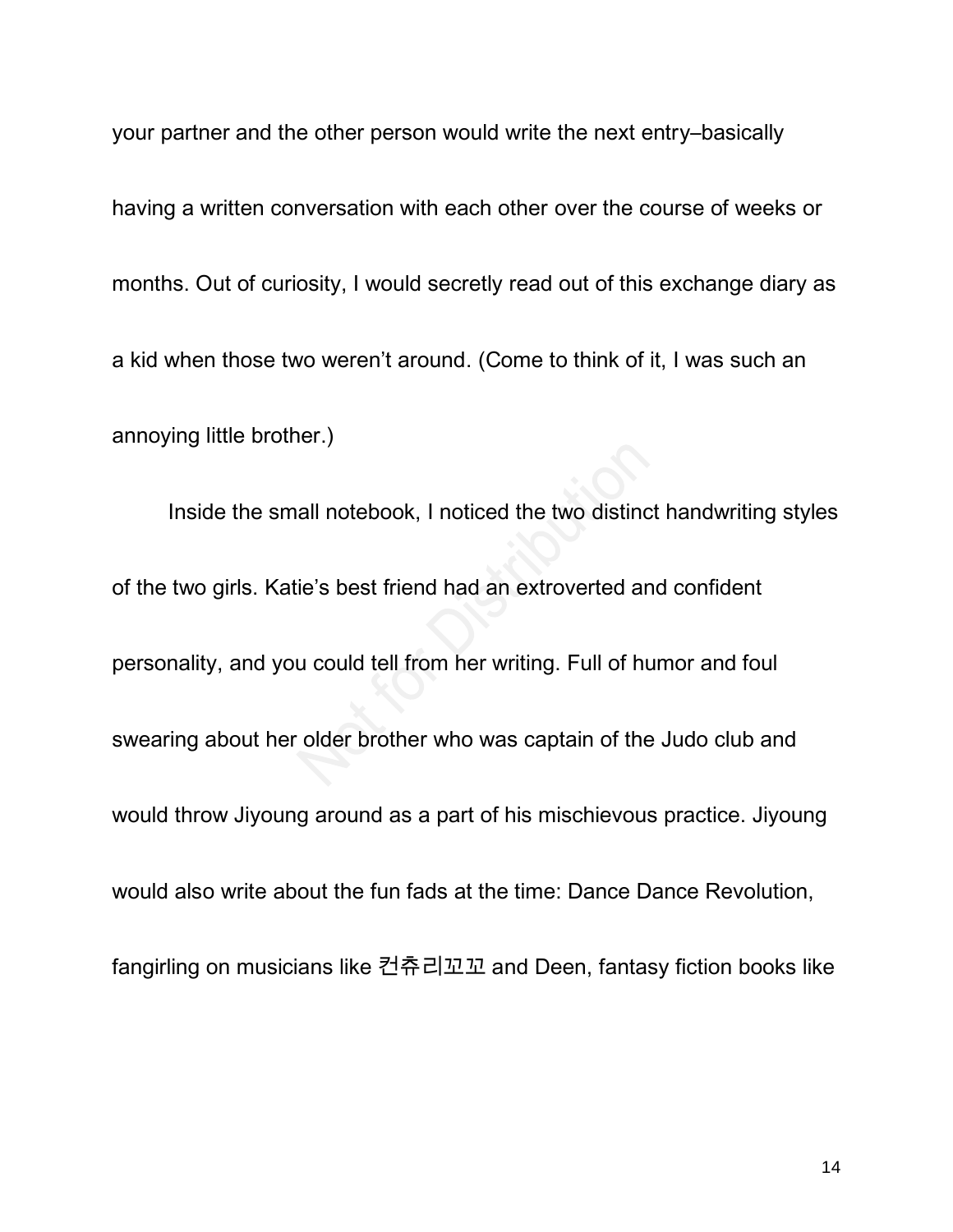your partner and the other person would write the next entry–basically having a written conversation with each other over the course of weeks or months. Out of curiosity, I would secretly read out of this exchange diary as a kid when those two weren't around. (Come to think of it, I was such an annoying little brother.)

Inside the small notebook, I noticed the two distinct handwriting styles of the two girls. Katie's best friend had an extroverted and confident personality, and you could tell from her writing. Full of humor and foul swearing about her older brother who was captain of the Judo club and would throw Jiyoung around as a part of his mischievous practice. Jiyoung would also write about the fun fads at the time: Dance Dance Revolution, fangirling on musicians like 컨츄리꼬꼬 and Deen, fantasy fiction books like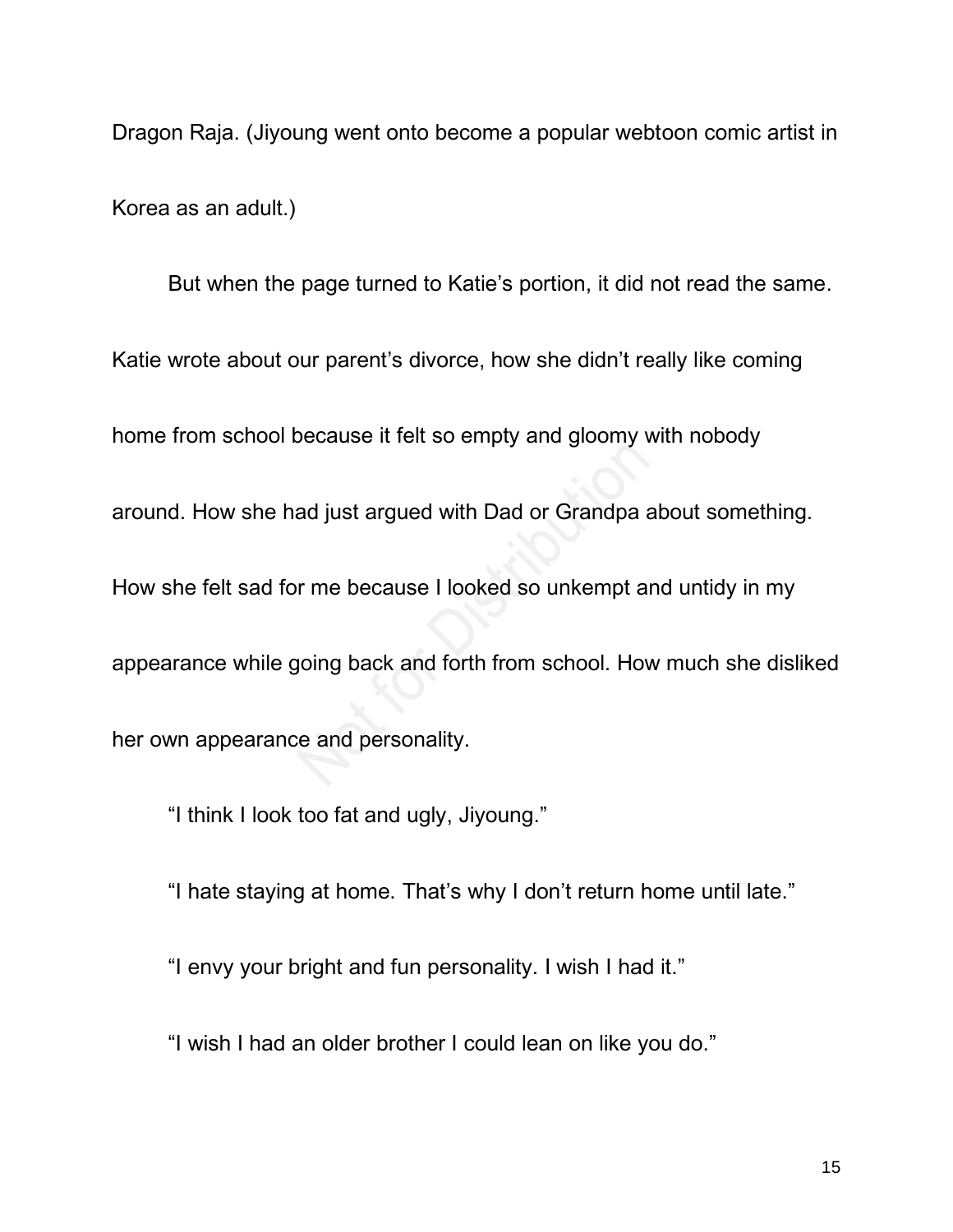Dragon Raja. (Jiyoung went onto become a popular webtoon comic artist in Korea as an adult.)

But when the page turned to Katie's portion, it did not read the same. Katie wrote about our parent's divorce, how she didn't really like coming home from school because it felt so empty and gloomy with nobody around. How she had just argued with Dad or Grandpa about something. How she felt sad for me because I looked so unkempt and untidy in my appearance while going back and forth from school. How much she disliked her own appearance and personality.

"I think I look too fat and ugly, Jiyoung."

"I hate staying at home. That's why I don't return home until late."

"I envy your bright and fun personality. I wish I had it."

"I wish I had an older brother I could lean on like you do."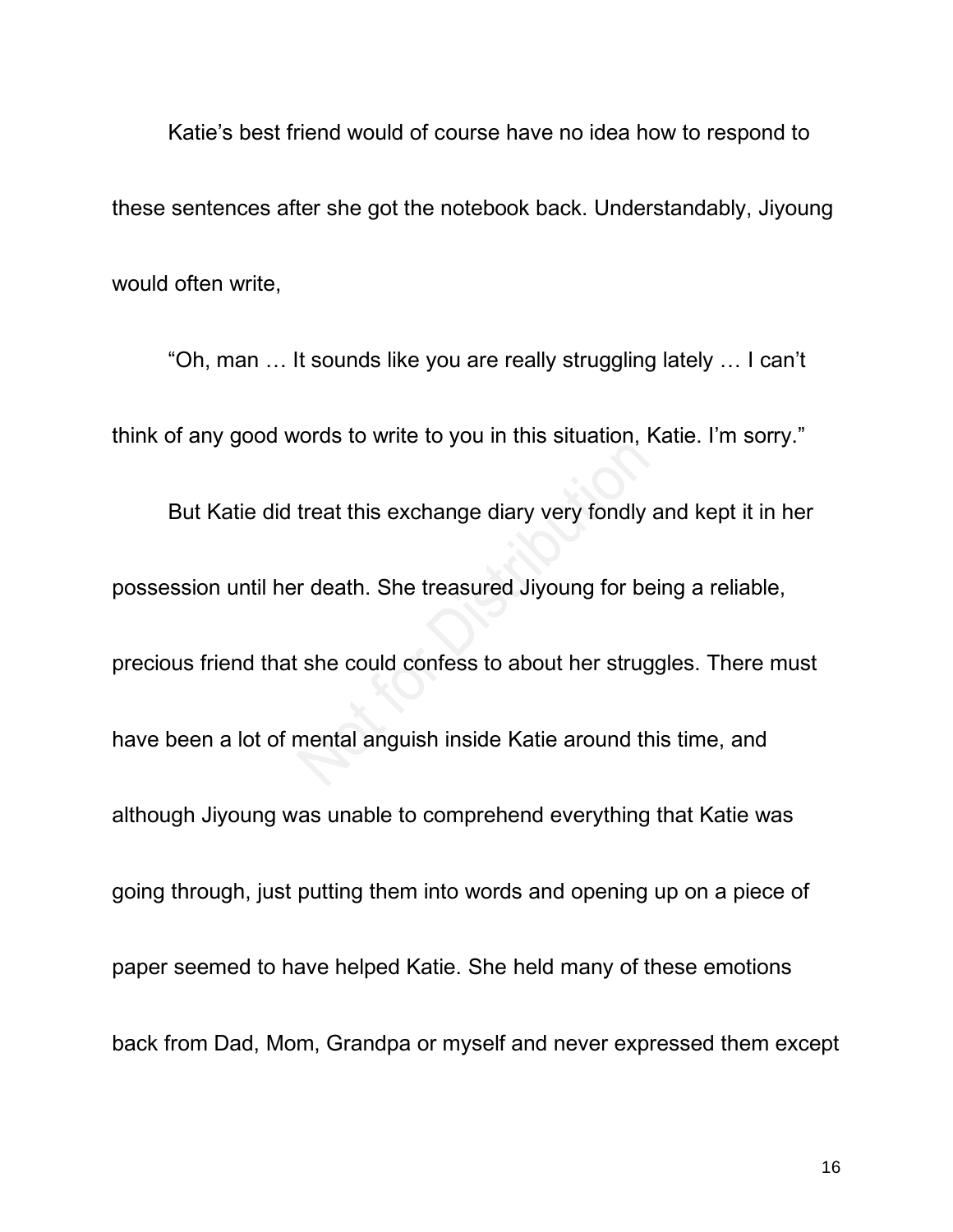Katie's best friend would of course have no idea how to respond to these sentences after she got the notebook back. Understandably, Jiyoung would often write,

"Oh, man … It sounds like you are really struggling lately … I can't think of any good words to write to you in this situation, Katie. I'm sorry." But Katie did treat this exchange diary very fondly and kept it in her possession until her death. She treasured Jiyoung for being a reliable, precious friend that she could confess to about her struggles. There must have been a lot of mental anguish inside Katie around this time, and although Jiyoung was unable to comprehend everything that Katie was going through, just putting them into words and opening up on a piece of paper seemed to have helped Katie. She held many of these emotions back from Dad, Mom, Grandpa or myself and never expressed them except

16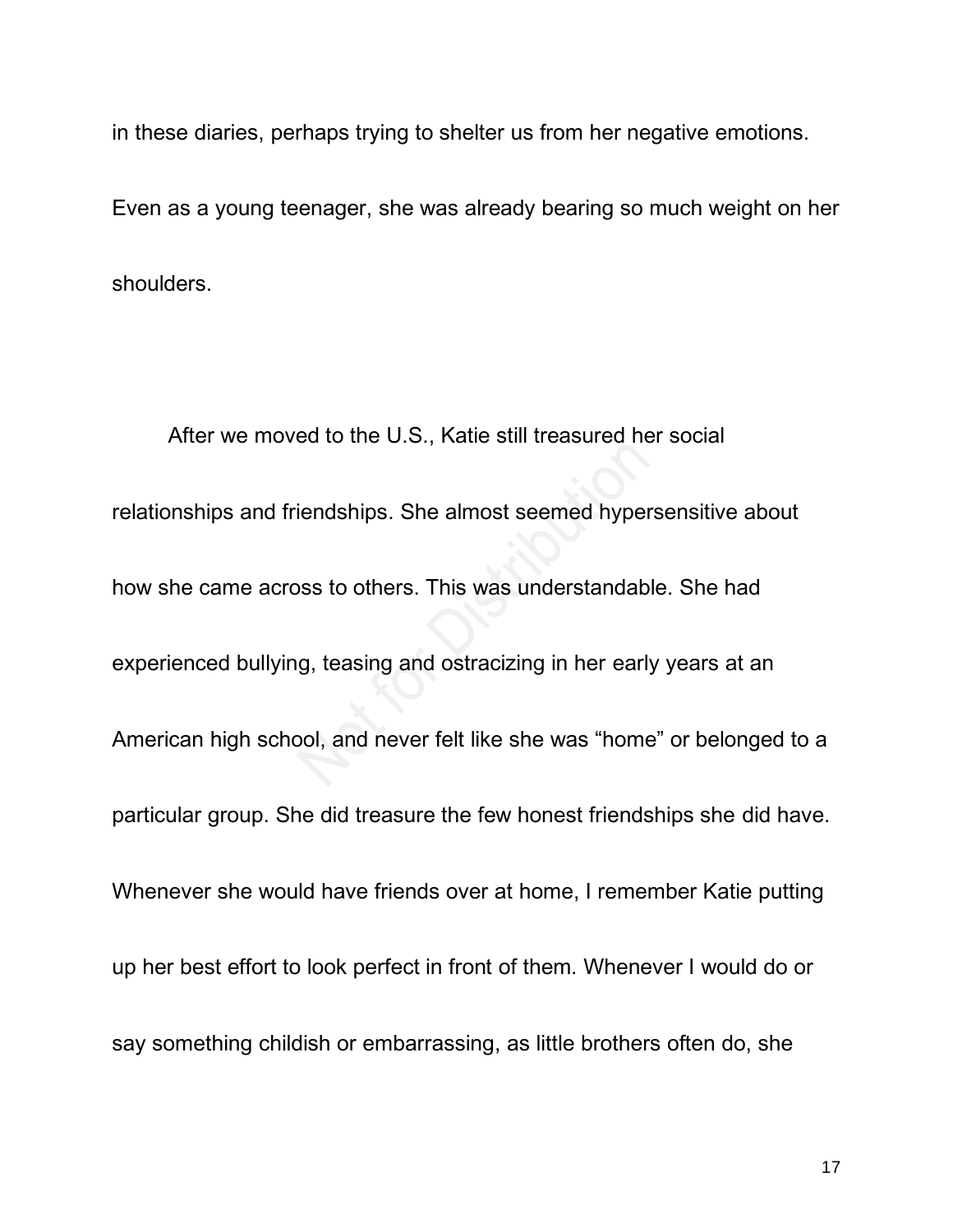in these diaries, perhaps trying to shelter us from her negative emotions.

Even as a young teenager, she was already bearing so much weight on her shoulders.

After we moved to the U.S., Katie still treasured her social relationships and friendships. She almost seemed hypersensitive about how she came across to others. This was understandable. She had experienced bullying, teasing and ostracizing in her early years at an American high school, and never felt like she was "home" or belonged to a particular group. She did treasure the few honest friendships she did have. Whenever she would have friends over at home, I remember Katie putting up her best effort to look perfect in front of them. Whenever I would do or say something childish or embarrassing, as little brothers often do, she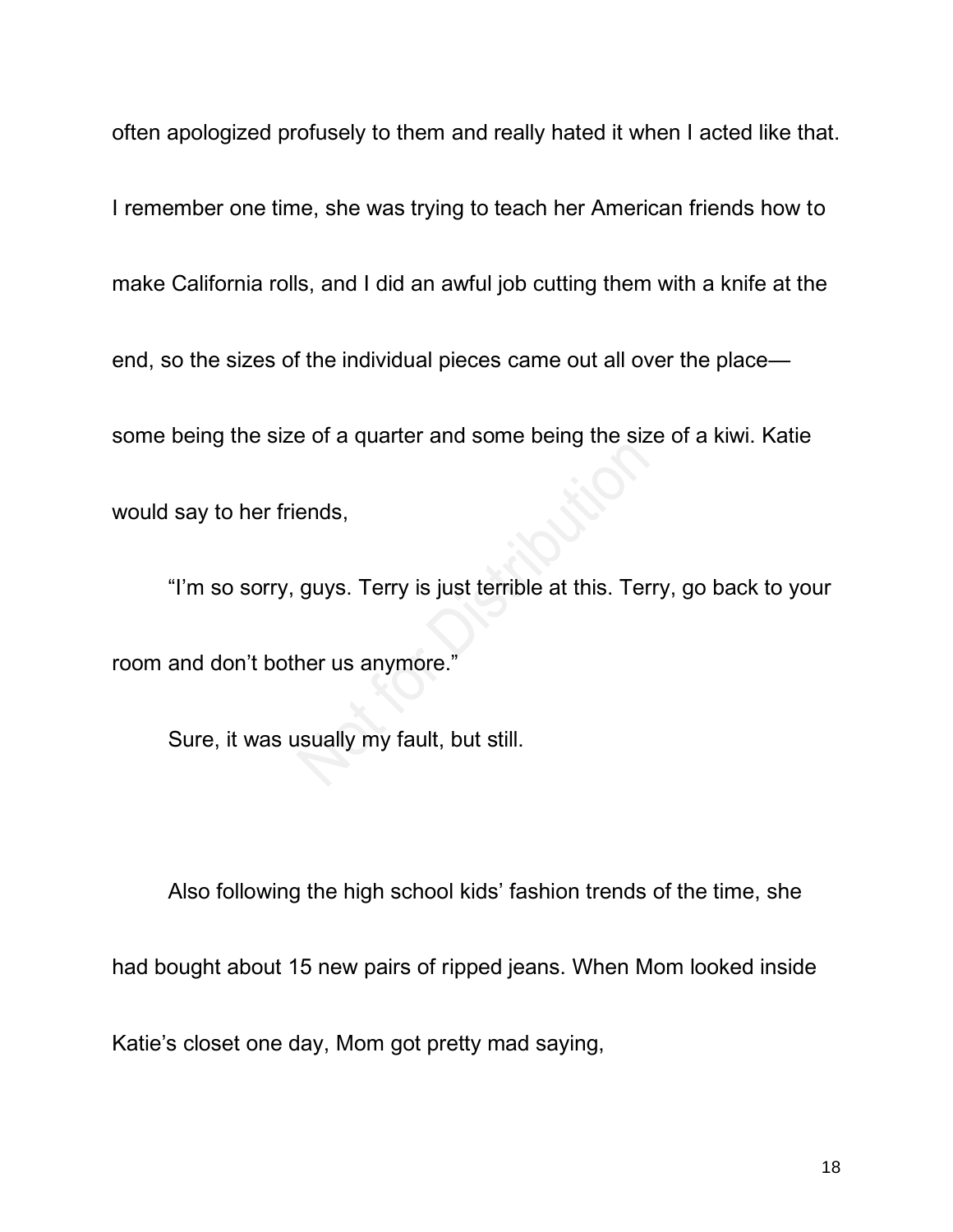often apologized profusely to them and really hated it when I acted like that.

I remember one time, she was trying to teach her American friends how to

make California rolls, and I did an awful job cutting them with a knife at the

end, so the sizes of the individual pieces came out all over the place—

some being the size of a quarter and some being the size of a kiwi. Katie

would say to her friends,

"I'm so sorry, guys. Terry is just terrible at this. Terry, go back to your room and don't bother us anymore."

Sure, it was usually my fault, but still.

Also following the high school kids' fashion trends of the time, she had bought about 15 new pairs of ripped jeans. When Mom looked inside Katie's closet one day, Mom got pretty mad saying,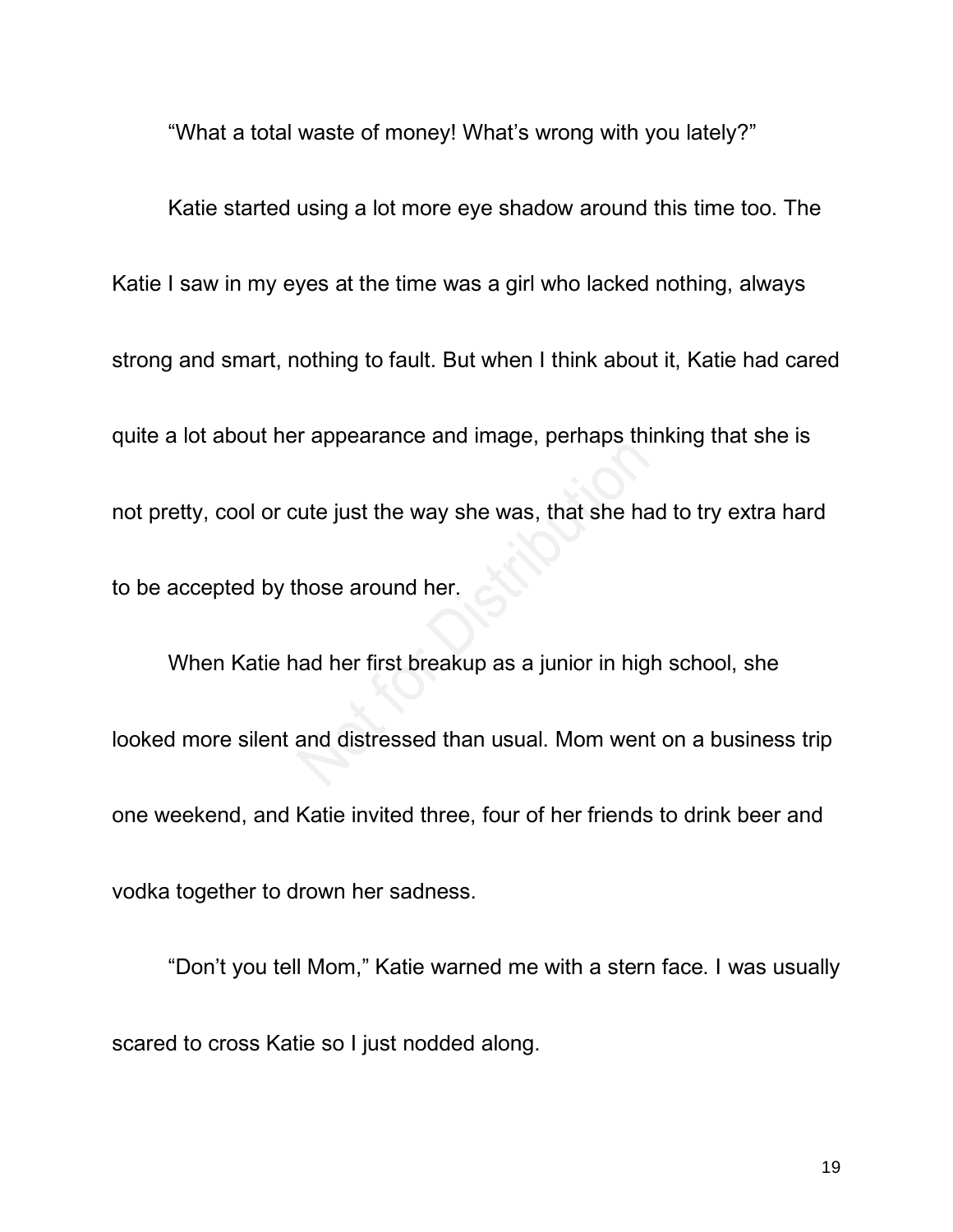"What a total waste of money! What's wrong with you lately?"

Katie started using a lot more eye shadow around this time too. The Katie I saw in my eyes at the time was a girl who lacked nothing, always strong and smart, nothing to fault. But when I think about it, Katie had cared quite a lot about her appearance and image, perhaps thinking that she is not pretty, cool or cute just the way she was, that she had to try extra hard to be accepted by those around her.

When Katie had her first breakup as a junior in high school, she looked more silent and distressed than usual. Mom went on a business trip one weekend, and Katie invited three, four of her friends to drink beer and vodka together to drown her sadness.

"Don't you tell Mom," Katie warned me with a stern face. I was usually scared to cross Katie so I just nodded along.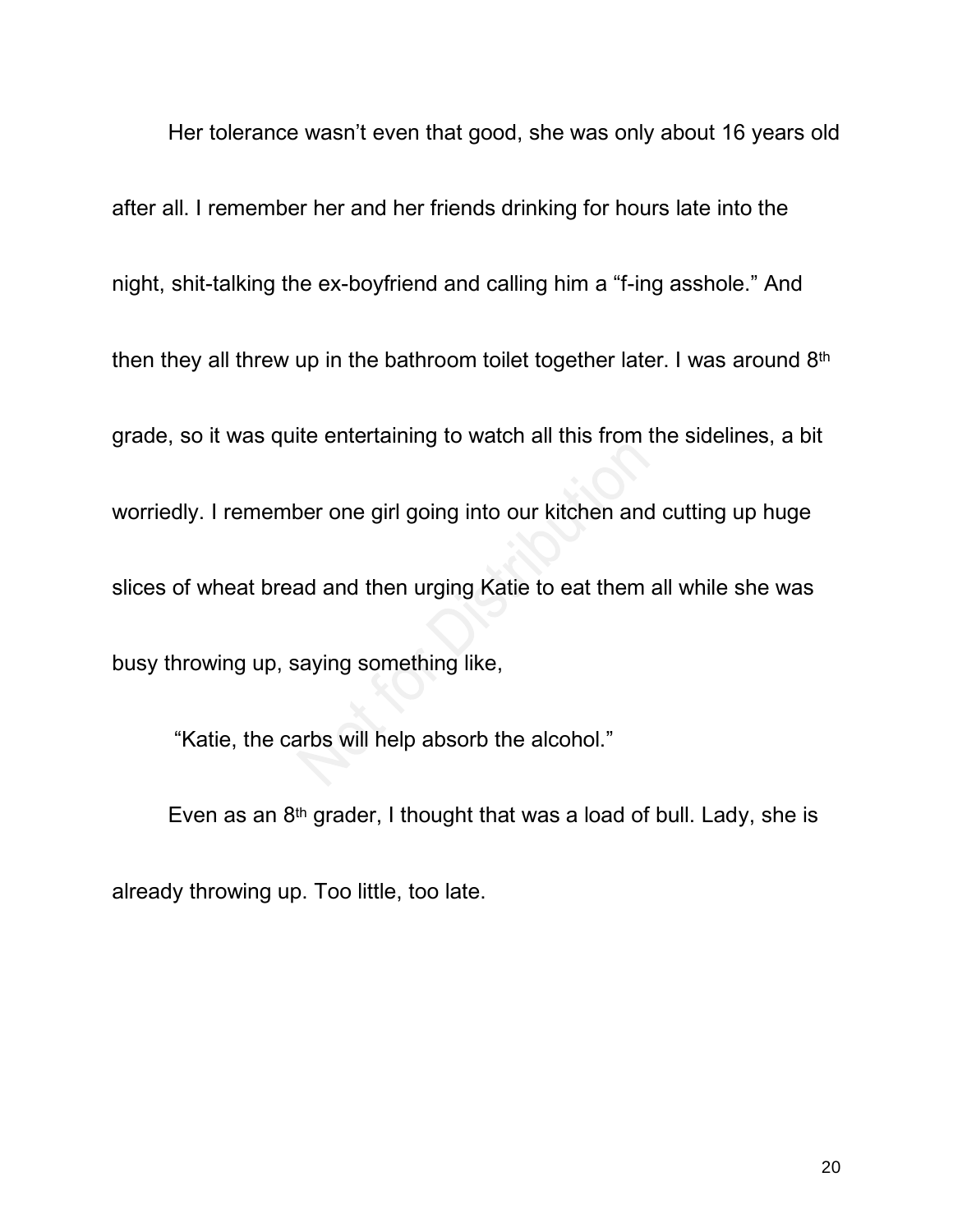Her tolerance wasn't even that good, she was only about 16 years old after all. I remember her and her friends drinking for hours late into the night, shit-talking the ex-boyfriend and calling him a "f-ing asshole." And then they all threw up in the bathroom toilet together later. I was around 8th grade, so it was quite entertaining to watch all this from the sidelines, a bit worriedly. I remember one girl going into our kitchen and cutting up huge slices of wheat bread and then urging Katie to eat them all while she was busy throwing up, saying something like,

"Katie, the carbs will help absorb the alcohol."

Even as an 8th grader, I thought that was a load of bull. Lady, she is already throwing up. Too little, too late.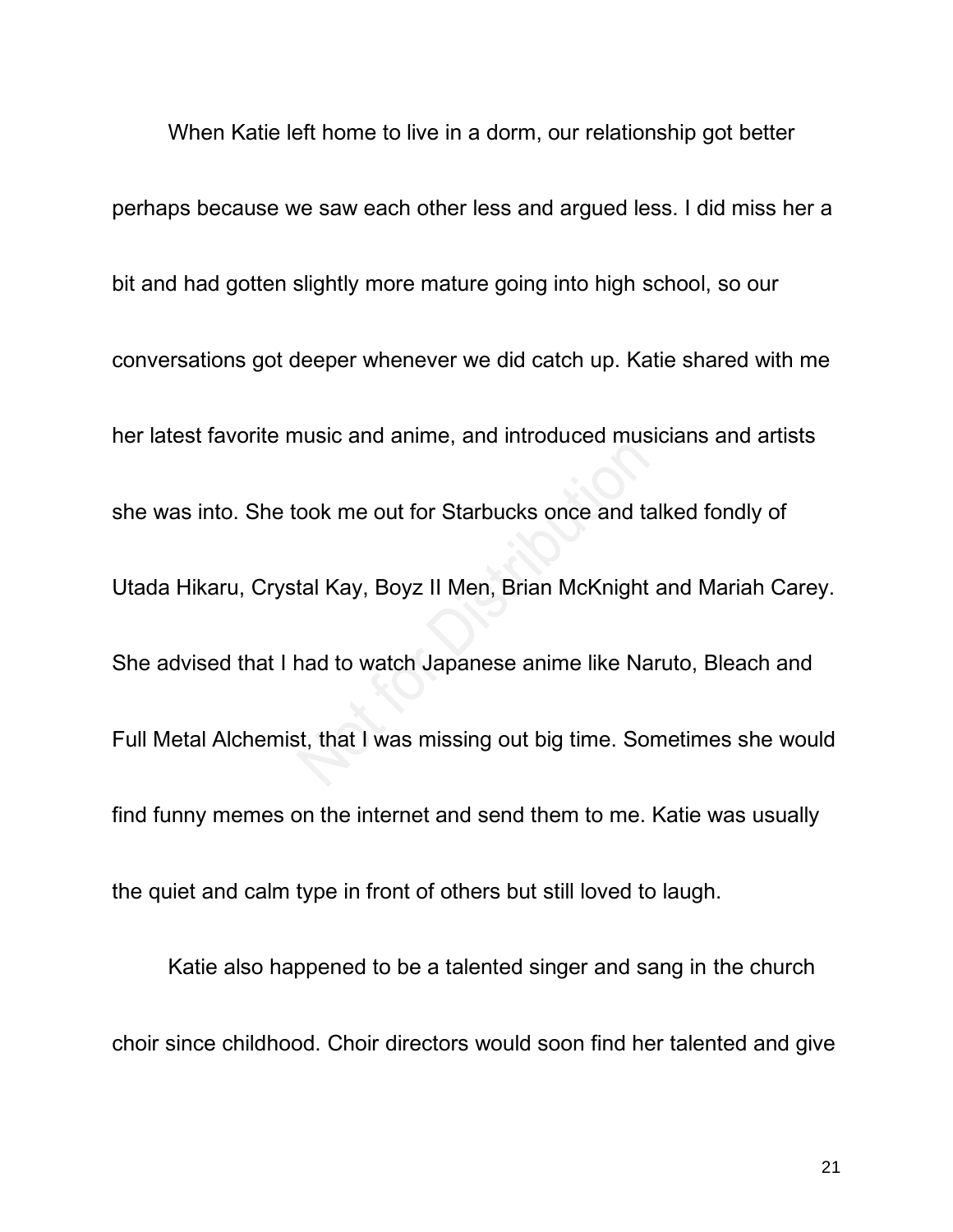When Katie left home to live in a dorm, our relationship got better perhaps because we saw each other less and argued less. I did miss her a bit and had gotten slightly more mature going into high school, so our conversations got deeper whenever we did catch up. Katie shared with me her latest favorite music and anime, and introduced musicians and artists she was into. She took me out for Starbucks once and talked fondly of Utada Hikaru, Crystal Kay, Boyz II Men, Brian McKnight and Mariah Carey. She advised that I had to watch Japanese anime like Naruto, Bleach and Full Metal Alchemist, that I was missing out big time. Sometimes she would find funny memes on the internet and send them to me. Katie was usually the quiet and calm type in front of others but still loved to laugh.

Katie also happened to be a talented singer and sang in the church choir since childhood. Choir directors would soon find her talented and give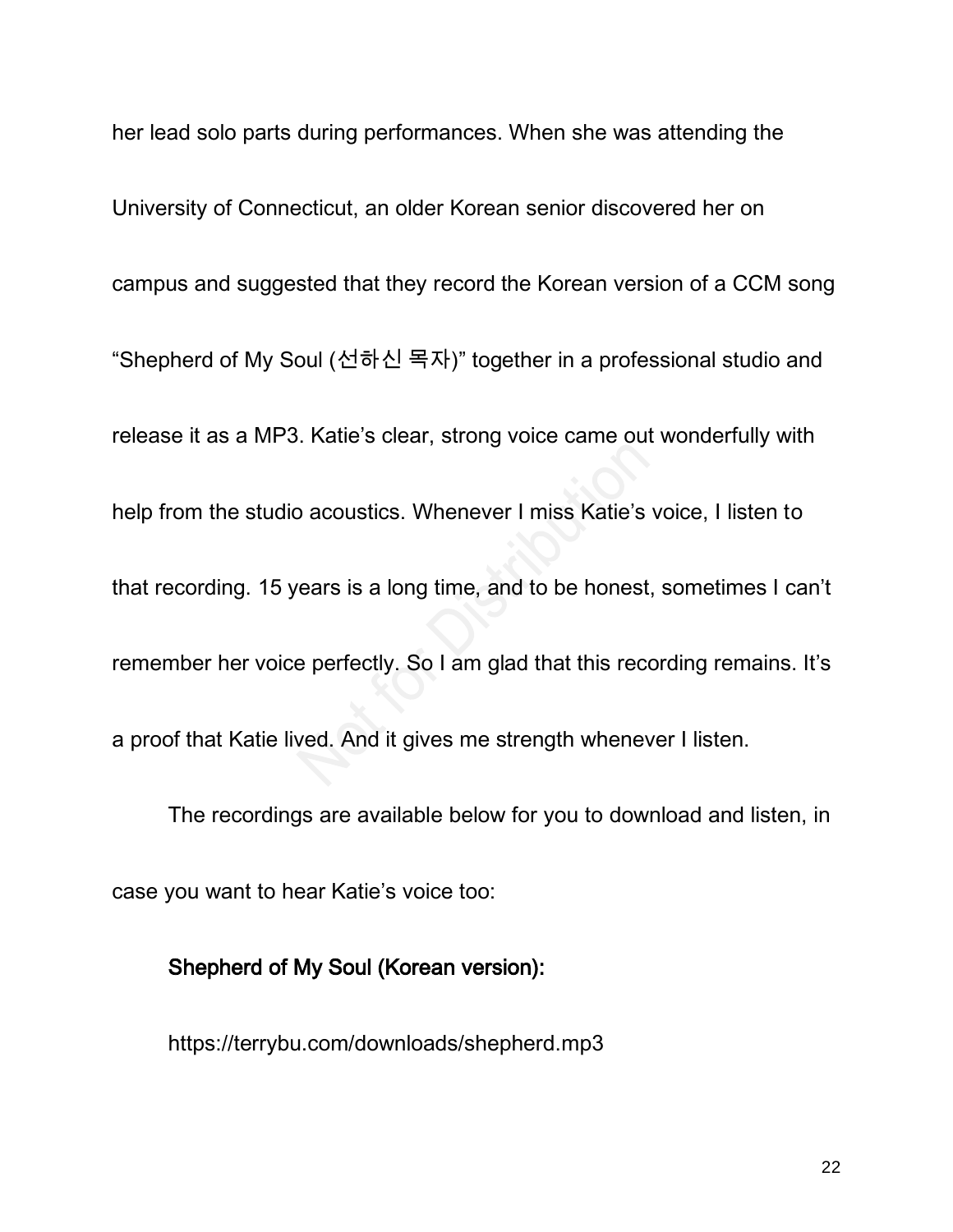her lead solo parts during performances. When she was attending the University of Connecticut, an older Korean senior discovered her on campus and suggested that they record the Korean version of a CCM song "Shepherd of My Soul (선하신 목자)" together in a professional studio and release it as a MP3. Katie's clear, strong voice came out wonderfully with help from the studio acoustics. Whenever I miss Katie's voice, I listen to that recording. 15 years is a long time, and to be honest, sometimes I can't remember her voice perfectly. So I am glad that this recording remains. It's a proof that Katie lived. And it gives me strength whenever I listen.

The recordings are available below for you to download and listen, in case you want to hear Katie's voice too:

## Shepherd of My Soul (Korean version):

<https://terrybu.com/downloads/shepherd.mp3>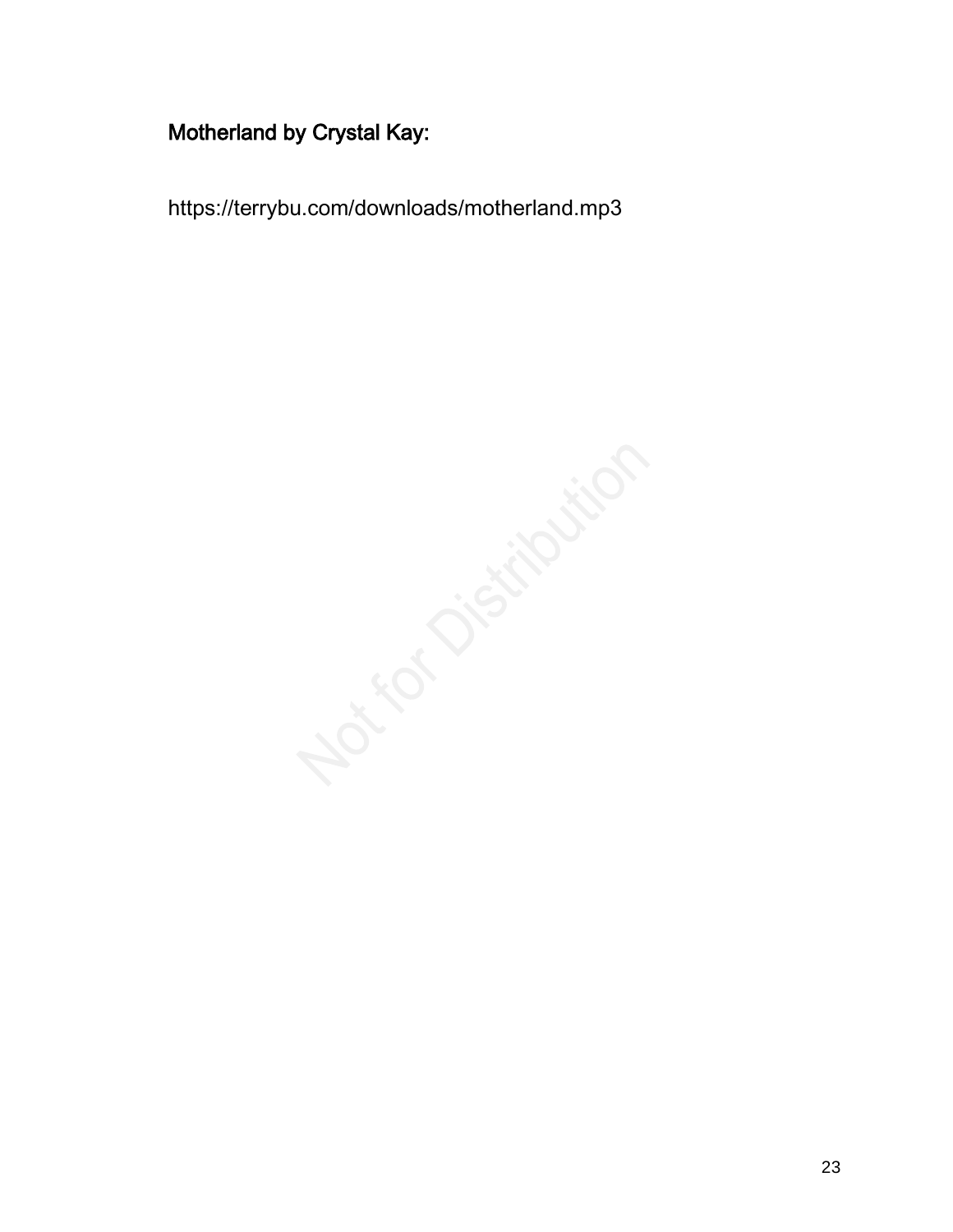# Motherland by Crystal Kay:

<https://terrybu.com/downloads/motherland.mp3>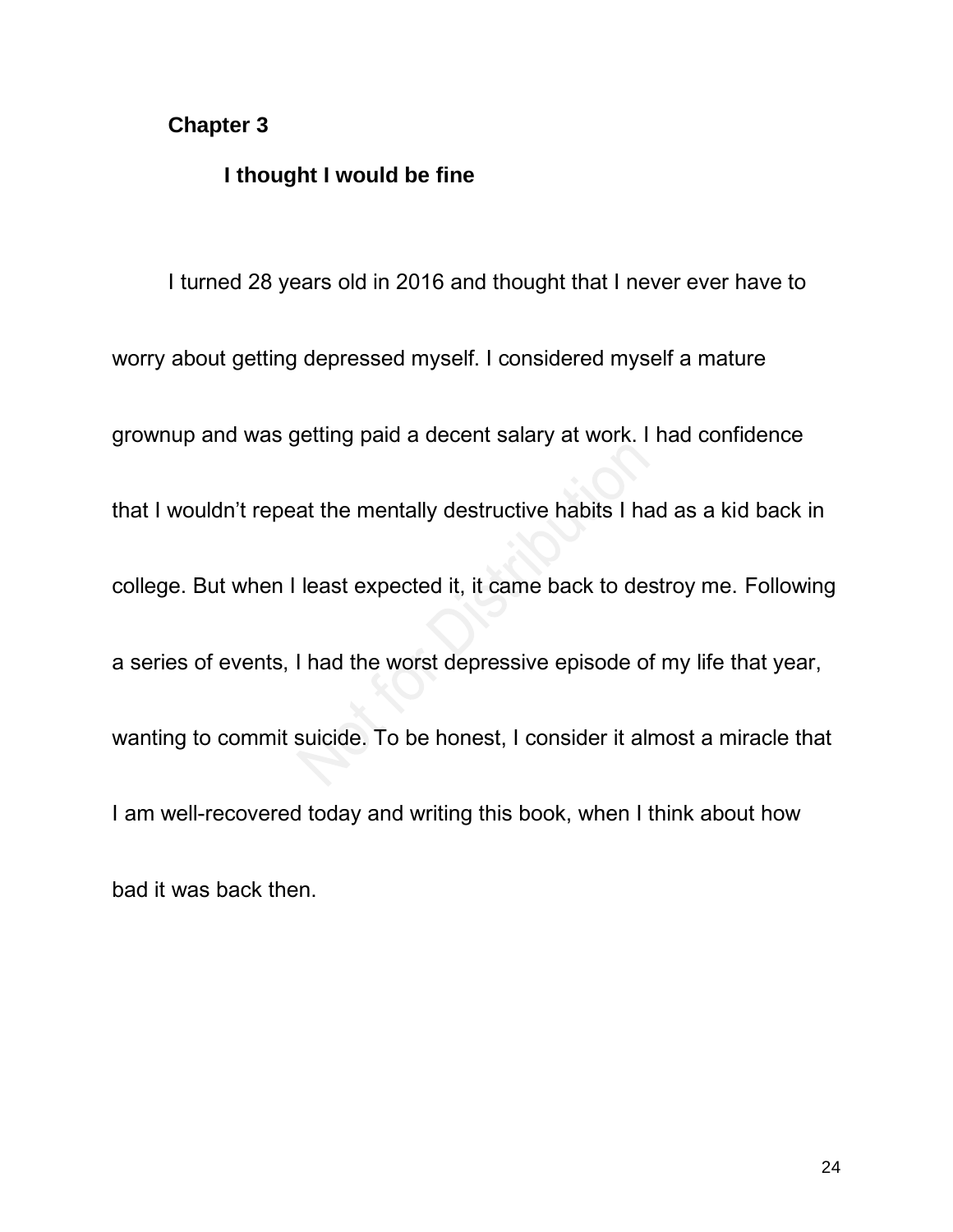# **Chapter 3**

## **I thought I would be fine**

I turned 28 years old in 2016 and thought that I never ever have to worry about getting depressed myself. I considered myself a mature grownup and was getting paid a decent salary at work. I had confidence that I wouldn't repeat the mentally destructive habits I had as a kid back in college. But when I least expected it, it came back to destroy me. Following a series of events, I had the worst depressive episode of my life that year, wanting to commit suicide. To be honest, I consider it almost a miracle that I am well-recovered today and writing this book, when I think about how bad it was back then.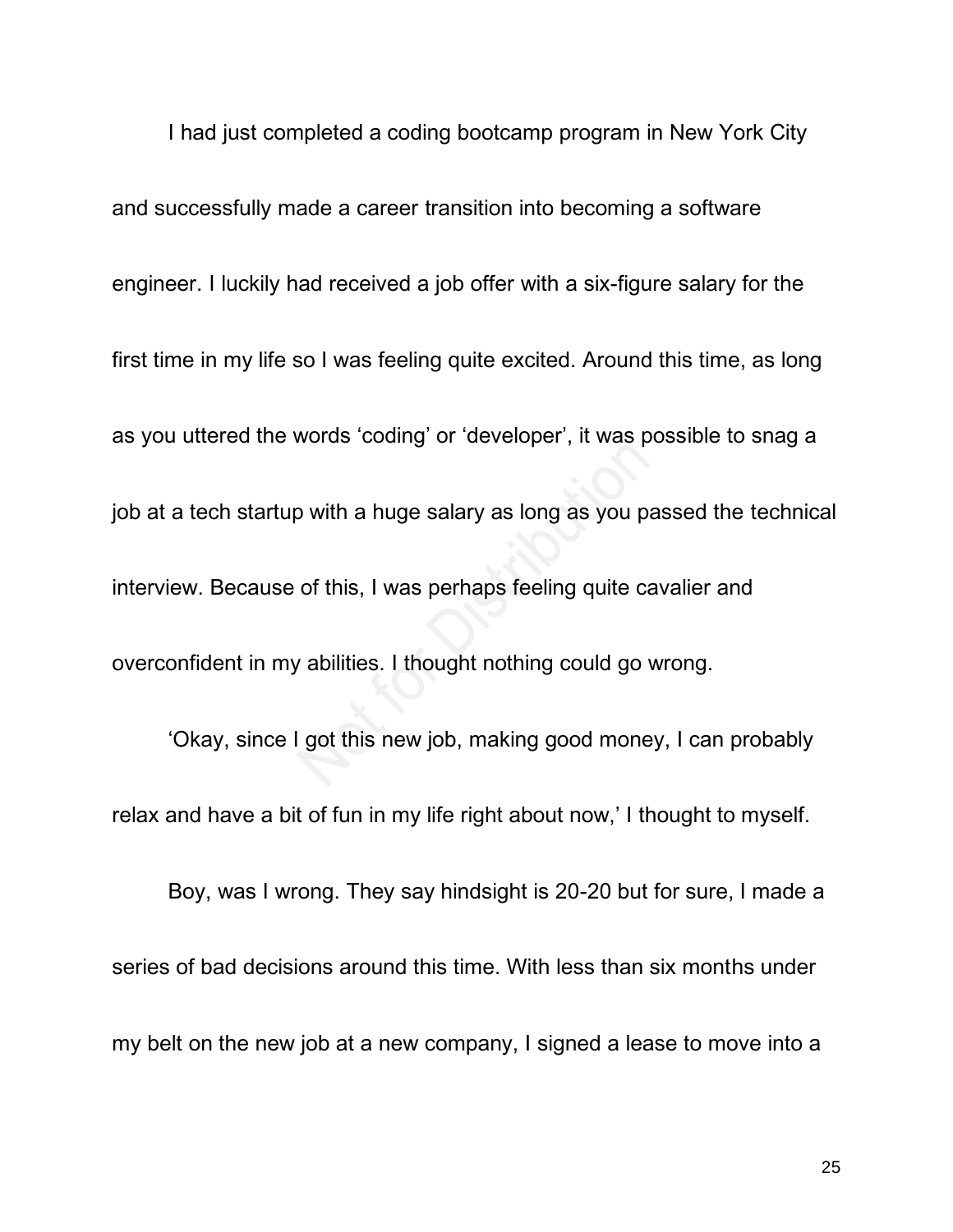I had just completed a coding bootcamp program in New York City and successfully made a career transition into becoming a software engineer. I luckily had received a job offer with a six-figure salary for the first time in my life so I was feeling quite excited. Around this time, as long as you uttered the words 'coding' or 'developer', it was possible to snag a job at a tech startup with a huge salary as long as you passed the technical interview. Because of this, I was perhaps feeling quite cavalier and overconfident in my abilities. I thought nothing could go wrong.

'Okay, since I got this new job, making good money, I can probably relax and have a bit of fun in my life right about now,' I thought to myself.

Boy, was I wrong. They say hindsight is 20-20 but for sure, I made a series of bad decisions around this time. With less than six months under my belt on the new job at a new company, I signed a lease to move into a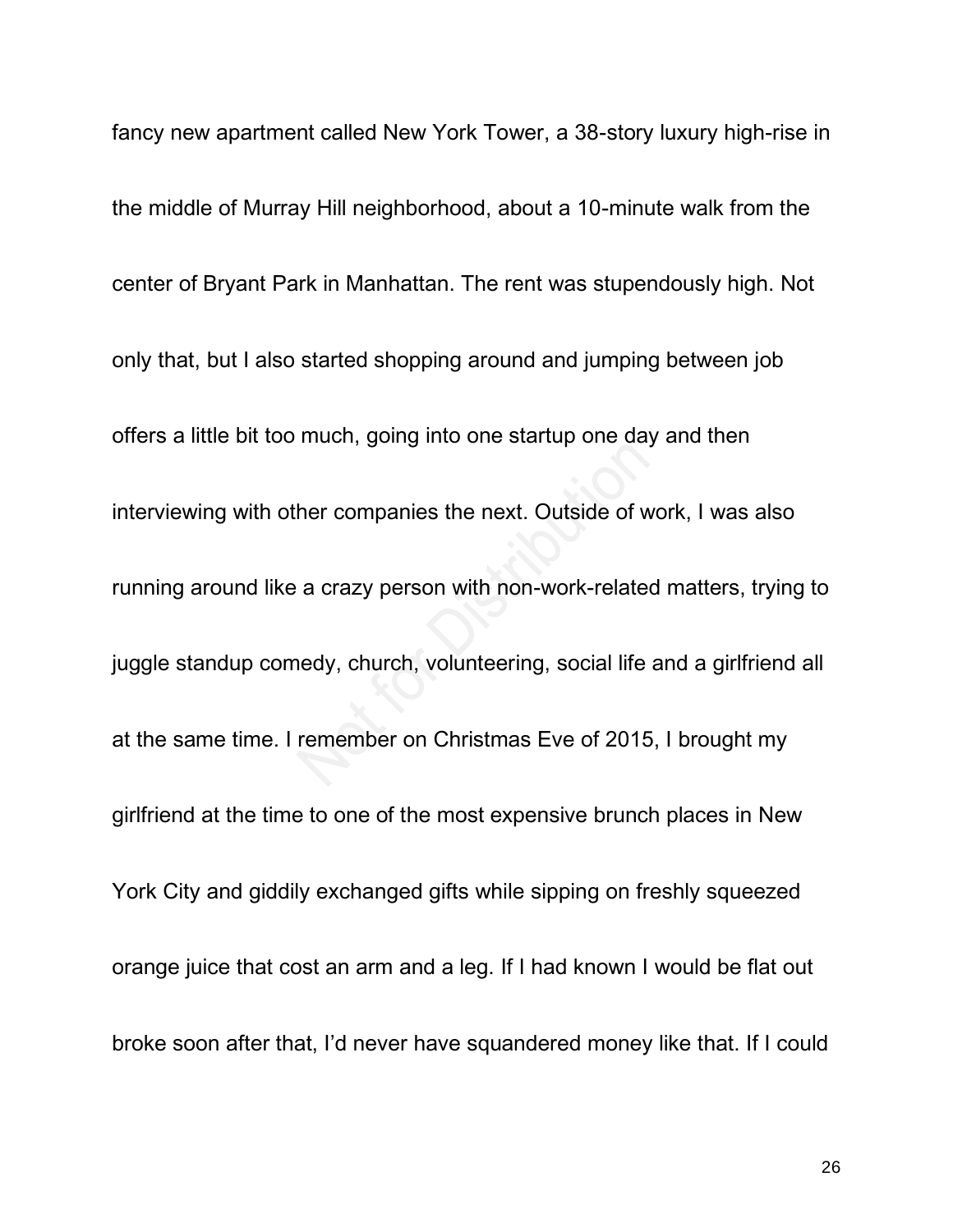fancy new apartment called New York Tower, a 38-story luxury high-rise in the middle of Murray Hill neighborhood, about a 10-minute walk from the center of Bryant Park in Manhattan. The rent was stupendously high. Not only that, but I also started shopping around and jumping between job offers a little bit too much, going into one startup one day and then interviewing with other companies the next. Outside of work, I was also running around like a crazy person with non-work-related matters, trying to juggle standup comedy, church, volunteering, social life and a girlfriend all at the same time. I remember on Christmas Eve of 2015, I brought my girlfriend at the time to one of the most expensive brunch places in New York City and giddily exchanged gifts while sipping on freshly squeezed orange juice that cost an arm and a leg. If I had known I would be flat out broke soon after that, I'd never have squandered money like that. If I could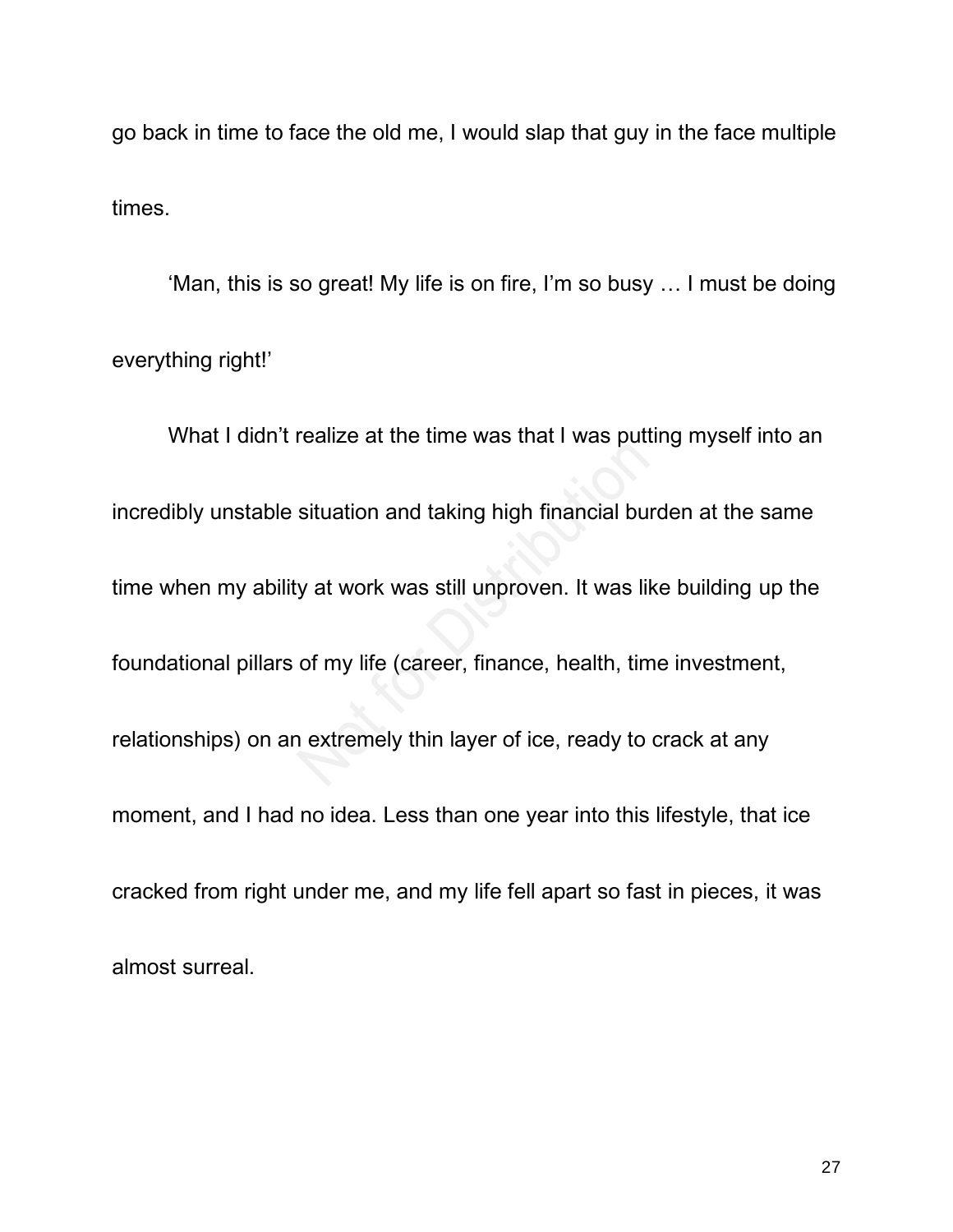go back in time to face the old me, I would slap that guy in the face multiple times.

'Man, this is so great! My life is on fire, I'm so busy … I must be doing everything right!'

What I didn't realize at the time was that I was putting myself into an incredibly unstable situation and taking high financial burden at the same time when my ability at work was still unproven. It was like building up the foundational pillars of my life (career, finance, health, time investment, relationships) on an extremely thin layer of ice, ready to crack at any moment, and I had no idea. Less than one year into this lifestyle, that ice cracked from right under me, and my life fell apart so fast in pieces, it was almost surreal.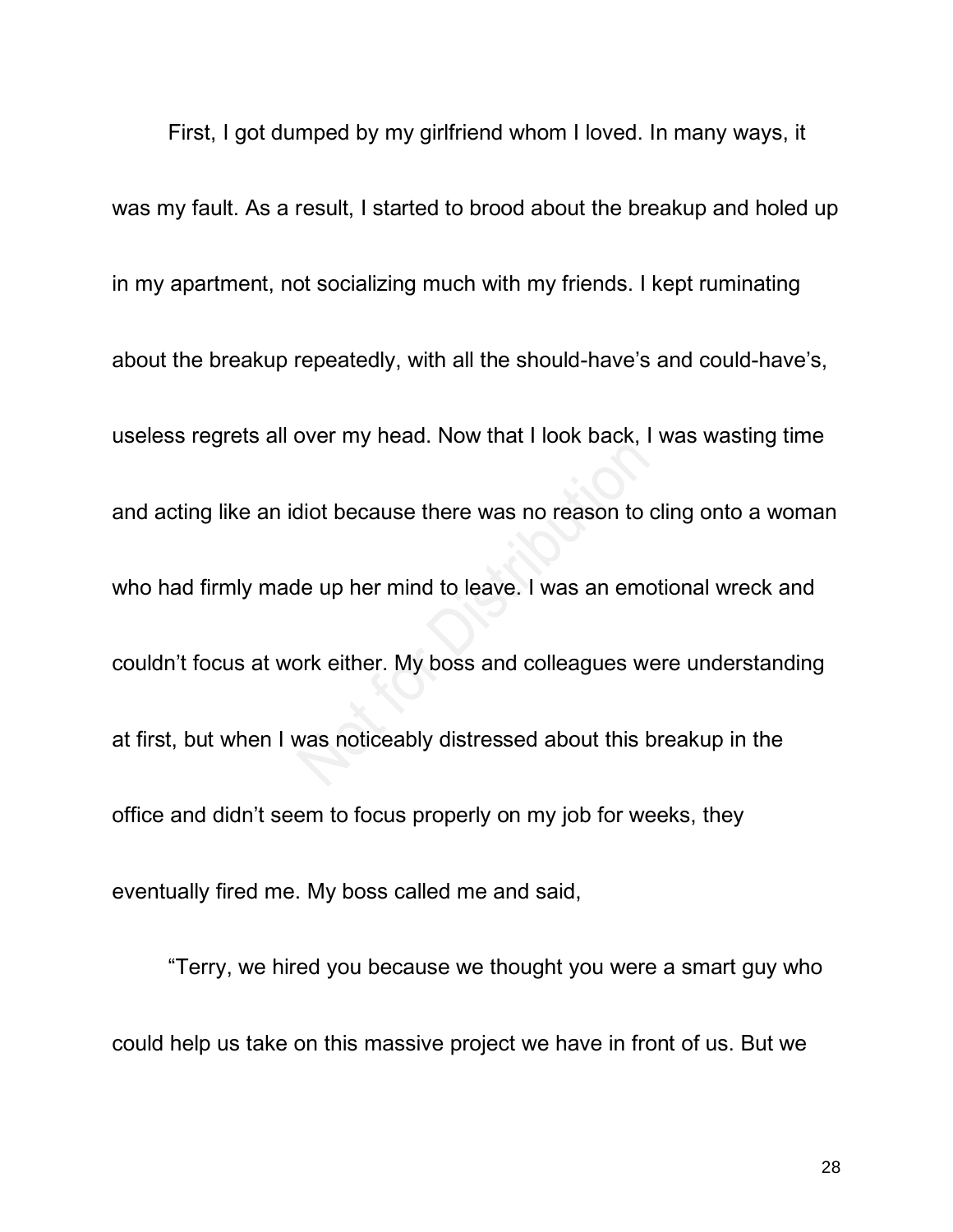First, I got dumped by my girlfriend whom I loved. In many ways, it was my fault. As a result, I started to brood about the breakup and holed up in my apartment, not socializing much with my friends. I kept ruminating about the breakup repeatedly, with all the should-have's and could-have's, useless regrets all over my head. Now that I look back, I was wasting time and acting like an idiot because there was no reason to cling onto a woman who had firmly made up her mind to leave. I was an emotional wreck and couldn't focus at work either. My boss and colleagues were understanding at first, but when I was noticeably distressed about this breakup in the office and didn't seem to focus properly on my job for weeks, they eventually fired me. My boss called me and said,

"Terry, we hired you because we thought you were a smart guy who could help us take on this massive project we have in front of us. But we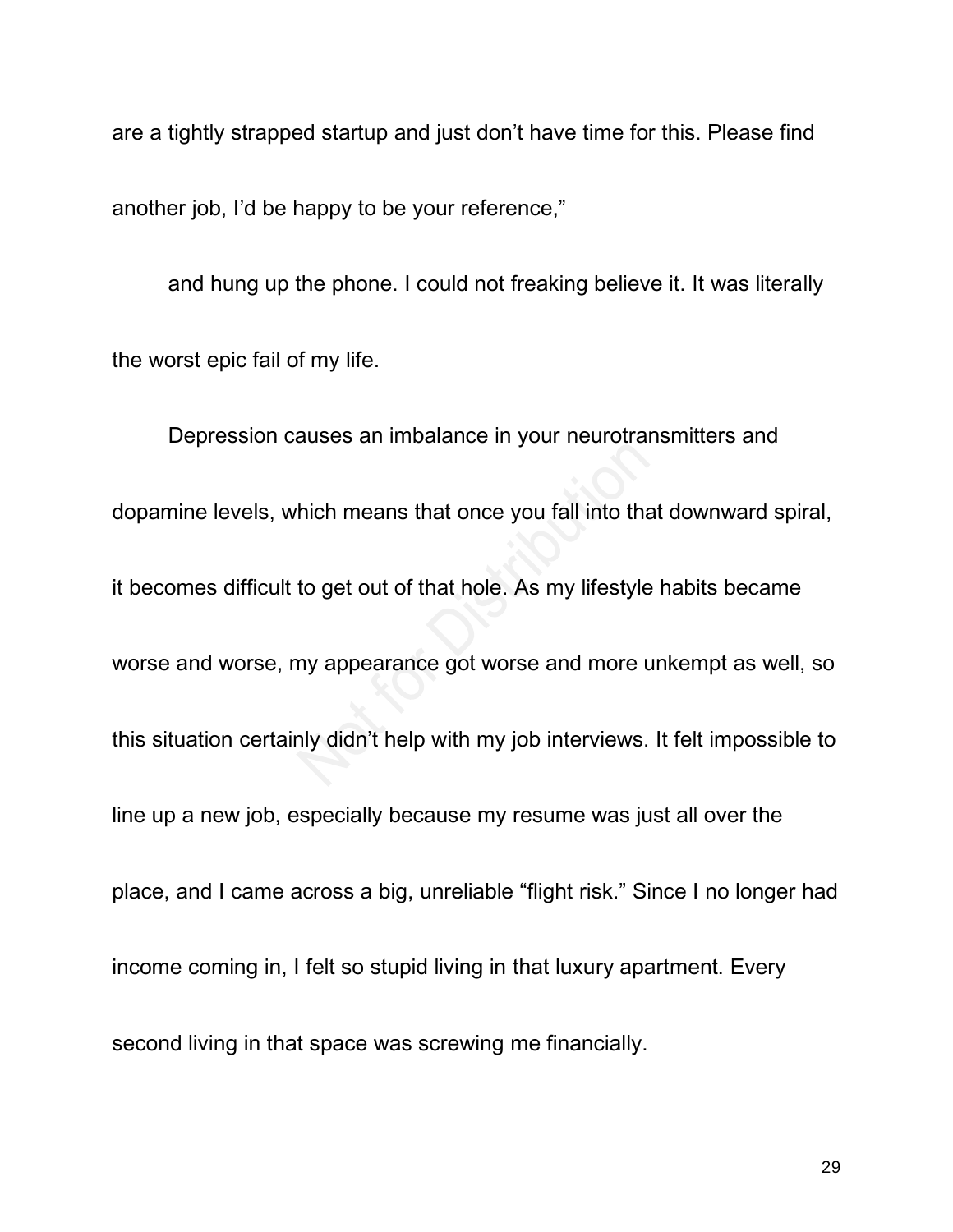are a tightly strapped startup and just don't have time for this. Please find another job, I'd be happy to be your reference,"

and hung up the phone. I could not freaking believe it. It was literally the worst epic fail of my life.

Depression causes an imbalance in your neurotransmitters and dopamine levels, which means that once you fall into that downward spiral, it becomes difficult to get out of that hole. As my lifestyle habits became worse and worse, my appearance got worse and more unkempt as well, so this situation certainly didn't help with my job interviews. It felt impossible to line up a new job, especially because my resume was just all over the place, and I came across a big, unreliable "flight risk." Since I no longer had income coming in, I felt so stupid living in that luxury apartment. Every second living in that space was screwing me financially.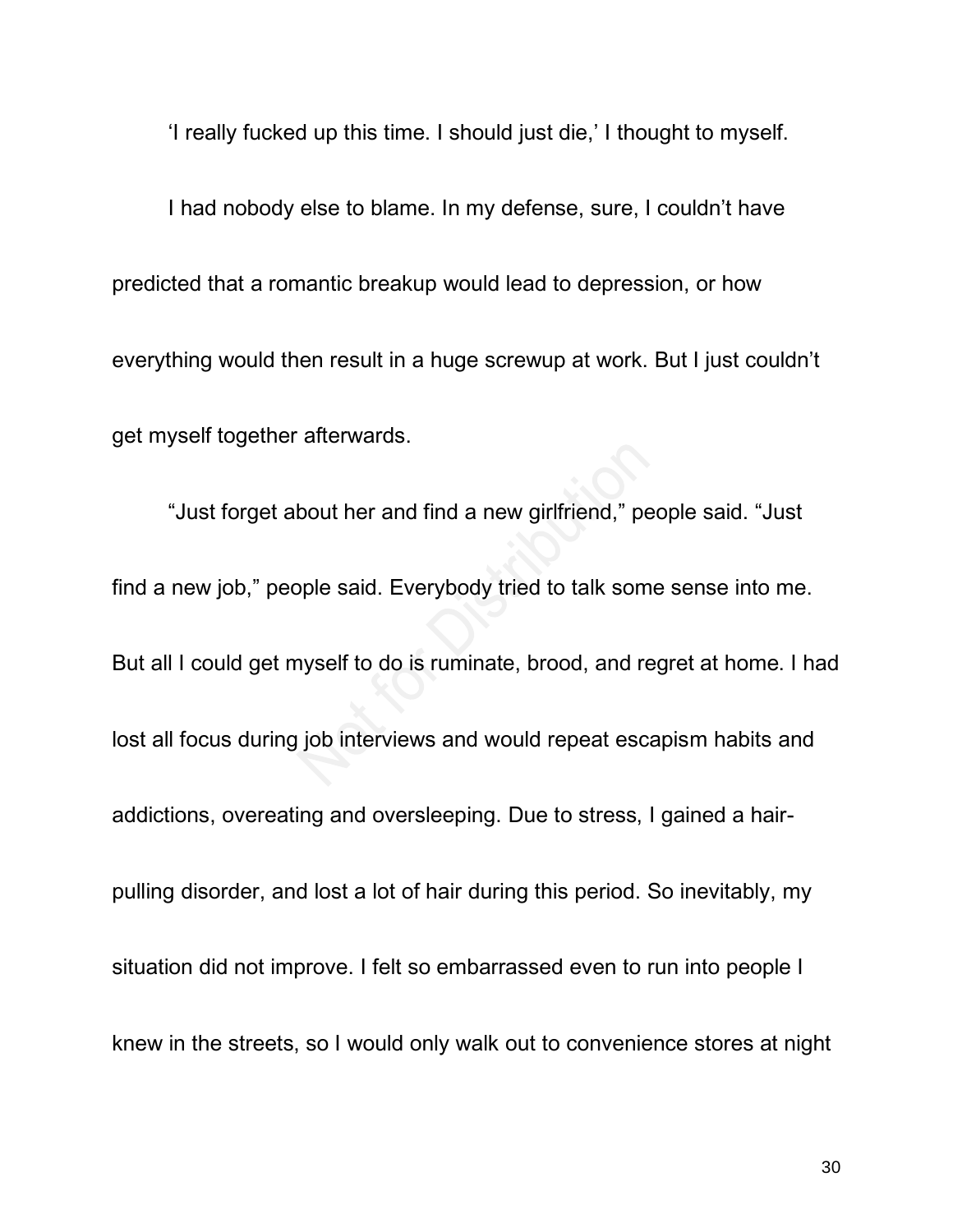'I really fucked up this time. I should just die,' I thought to myself.

I had nobody else to blame. In my defense, sure, I couldn't have predicted that a romantic breakup would lead to depression, or how everything would then result in a huge screwup at work. But I just couldn't get myself together afterwards.

"Just forget about her and find a new girlfriend," people said. "Just find a new job," people said. Everybody tried to talk some sense into me. But all I could get myself to do is ruminate, brood, and regret at home. I had lost all focus during job interviews and would repeat escapism habits and addictions, overeating and oversleeping. Due to stress, I gained a hairpulling disorder, and lost a lot of hair during this period. So inevitably, my situation did not improve. I felt so embarrassed even to run into people I knew in the streets, so I would only walk out to convenience stores at night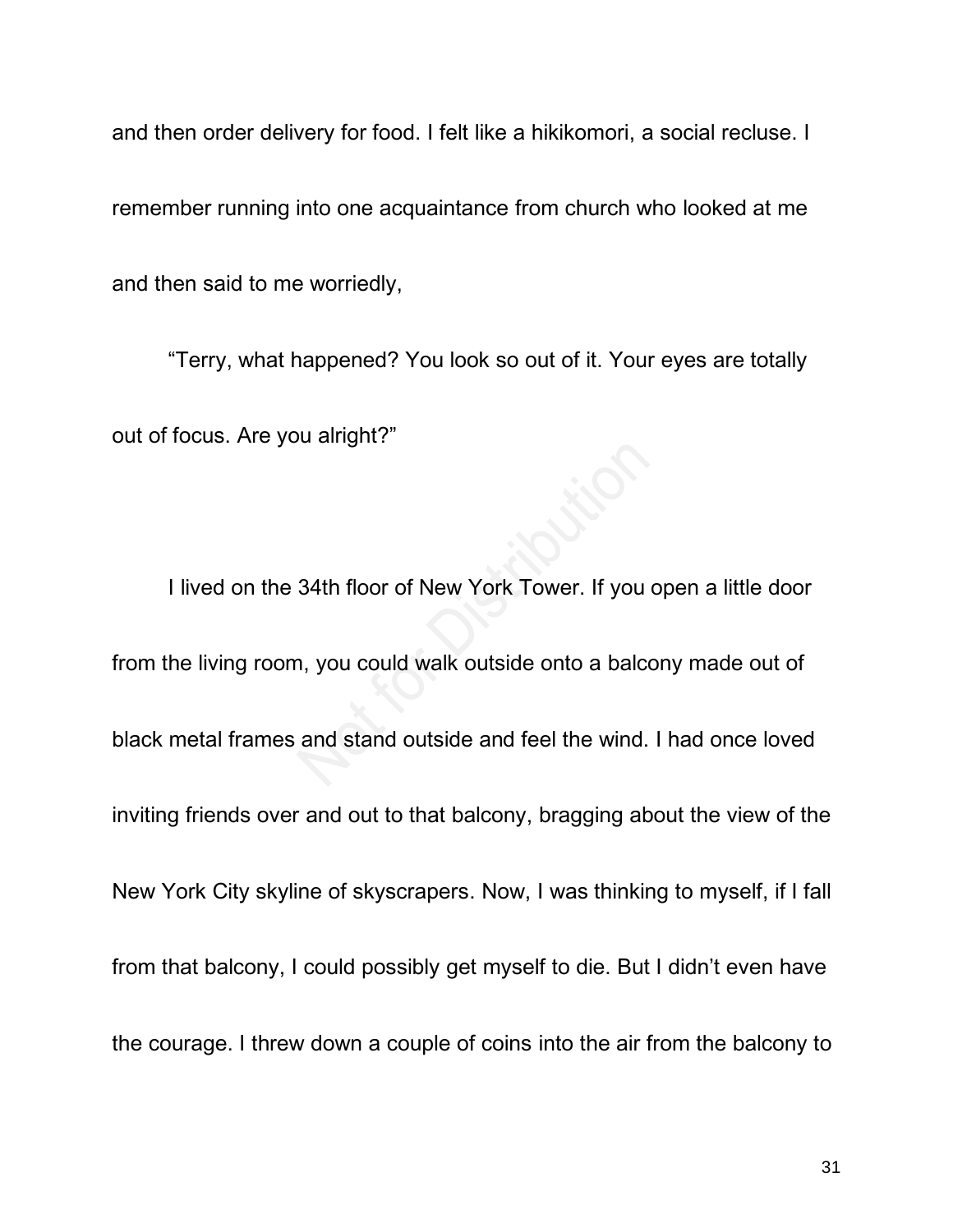and then order delivery for food. I felt like a hikikomori, a social recluse. I

remember running into one acquaintance from church who looked at me

and then said to me worriedly,

"Terry, what happened? You look so out of it. Your eyes are totally out of focus. Are you alright?"

I lived on the 34th floor of New York Tower. If you open a little door from the living room, you could walk outside onto a balcony made out of black metal frames and stand outside and feel the wind. I had once loved inviting friends over and out to that balcony, bragging about the view of the New York City skyline of skyscrapers. Now, I was thinking to myself, if I fall from that balcony, I could possibly get myself to die. But I didn't even have the courage. I threw down a couple of coins into the air from the balcony to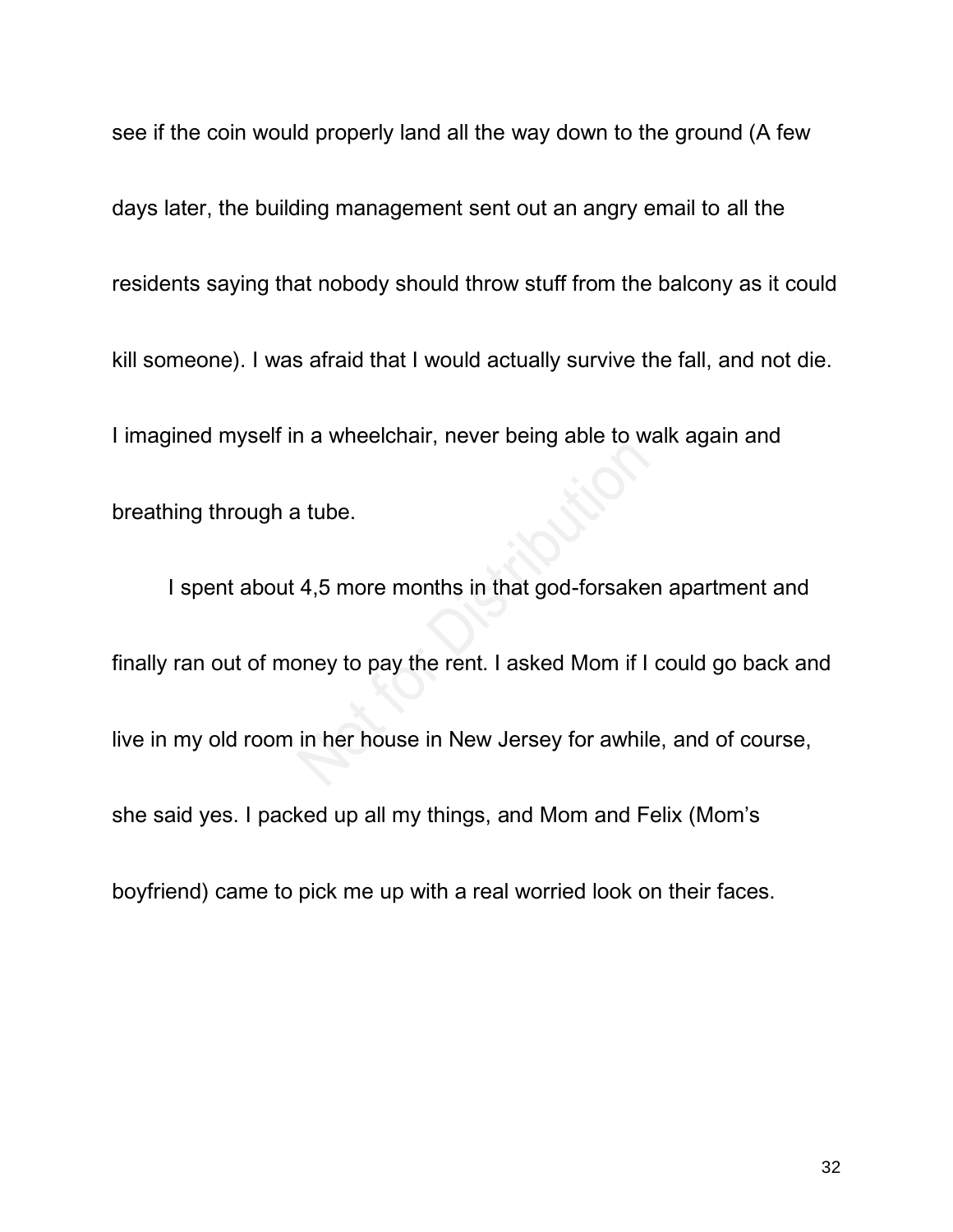see if the coin would properly land all the way down to the ground (A few days later, the building management sent out an angry email to all the residents saying that nobody should throw stuff from the balcony as it could kill someone). I was afraid that I would actually survive the fall, and not die. I imagined myself in a wheelchair, never being able to walk again and breathing through a tube.

I spent about 4,5 more months in that god-forsaken apartment and finally ran out of money to pay the rent. I asked Mom if I could go back and live in my old room in her house in New Jersey for awhile, and of course, she said yes. I packed up all my things, and Mom and Felix (Mom's boyfriend) came to pick me up with a real worried look on their faces.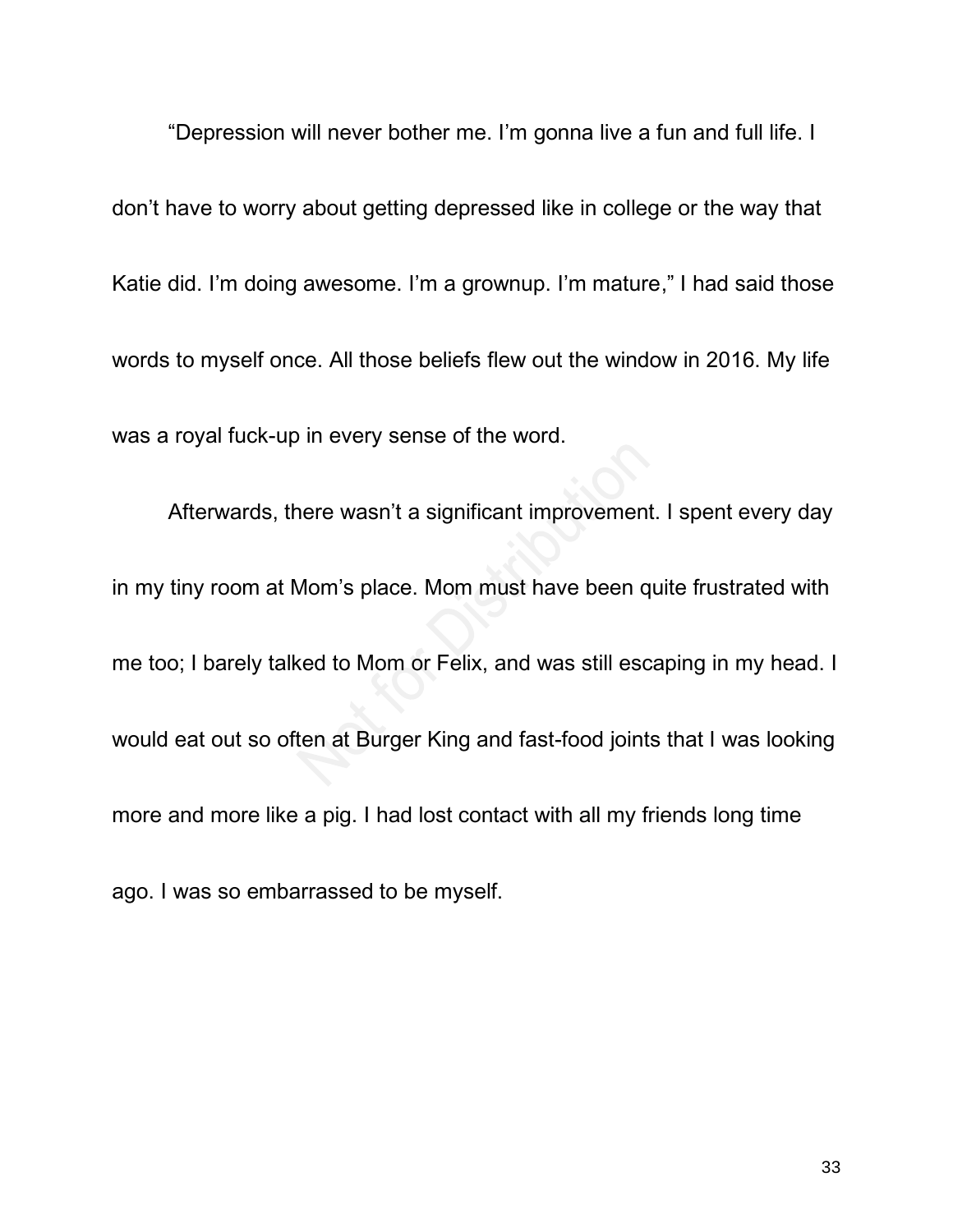"Depression will never bother me. I'm gonna live a fun and full life. I don't have to worry about getting depressed like in college or the way that Katie did. I'm doing awesome. I'm a grownup. I'm mature," I had said those words to myself once. All those beliefs flew out the window in 2016. My life was a royal fuck-up in every sense of the word.

Afterwards, there wasn't a significant improvement. I spent every day in my tiny room at Mom's place. Mom must have been quite frustrated with me too; I barely talked to Mom or Felix, and was still escaping in my head. I would eat out so often at Burger King and fast-food joints that I was looking more and more like a pig. I had lost contact with all my friends long time ago. I was so embarrassed to be myself.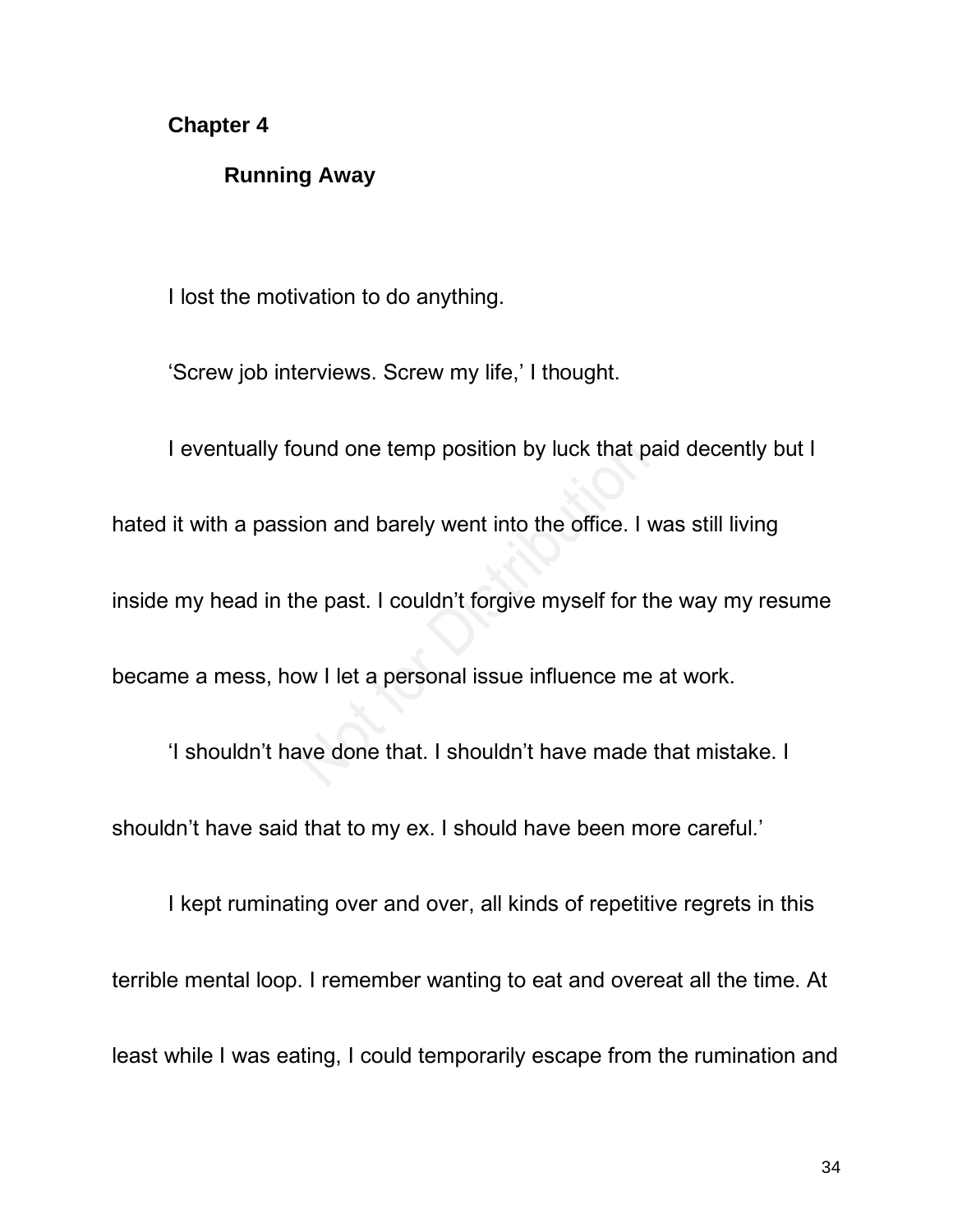## **Chapter 4**

# **Running Away**

I lost the motivation to do anything.

'Screw job interviews. Screw my life,' I thought.

I eventually found one temp position by luck that paid decently but I hated it with a passion and barely went into the office. I was still living inside my head in the past. I couldn't forgive myself for the way my resume became a mess, how I let a personal issue influence me at work. 'I shouldn't have done that. I shouldn't have made that mistake. I shouldn't have said that to my ex. I should have been more careful.'

I kept ruminating over and over, all kinds of repetitive regrets in this terrible mental loop. I remember wanting to eat and overeat all the time. At least while I was eating, I could temporarily escape from the rumination and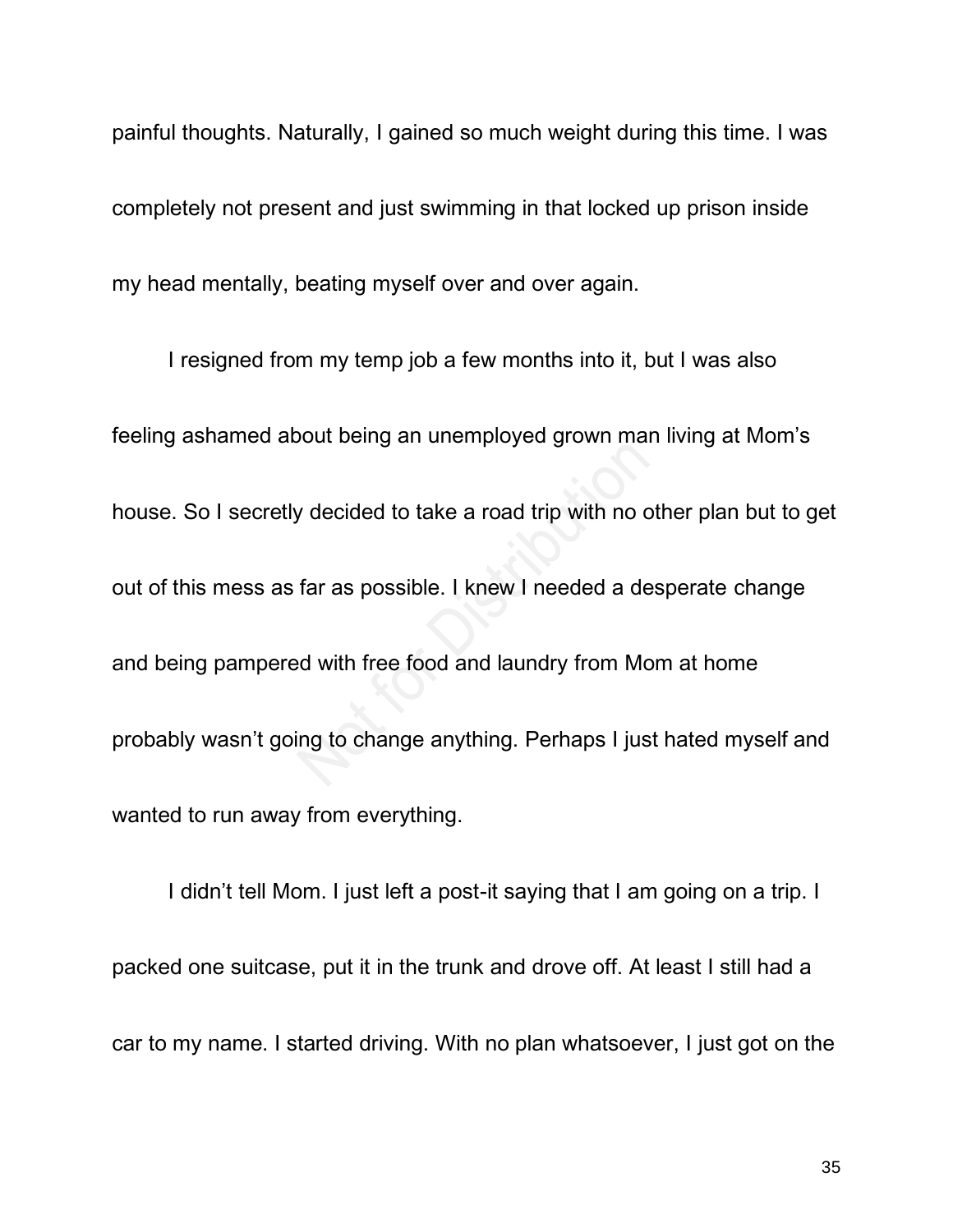painful thoughts. Naturally, I gained so much weight during this time. I was completely not present and just swimming in that locked up prison inside my head mentally, beating myself over and over again.

I resigned from my temp job a few months into it, but I was also feeling ashamed about being an unemployed grown man living at Mom's house. So I secretly decided to take a road trip with no other plan but to get out of this mess as far as possible. I knew I needed a desperate change and being pampered with free food and laundry from Mom at home probably wasn't going to change anything. Perhaps I just hated myself and wanted to run away from everything.

I didn't tell Mom. I just left a post-it saying that I am going on a trip. I packed one suitcase, put it in the trunk and drove off. At least I still had a car to my name. I started driving. With no plan whatsoever, I just got on the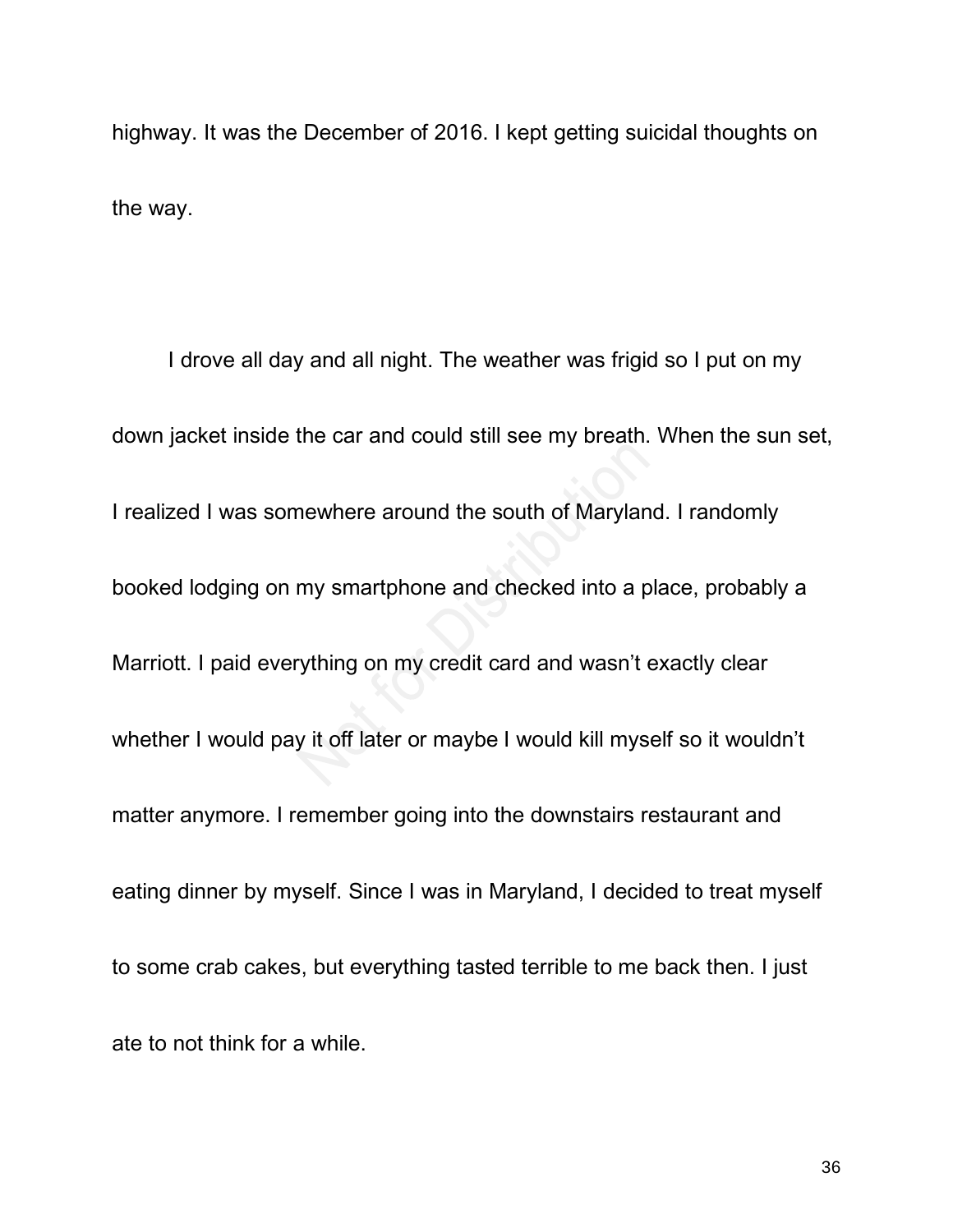highway. It was the December of 2016. I kept getting suicidal thoughts on the way.

I drove all day and all night. The weather was frigid so I put on my down jacket inside the car and could still see my breath. When the sun set, I realized I was somewhere around the south of Maryland. I randomly booked lodging on my smartphone and checked into a place, probably a Marriott. I paid everything on my credit card and wasn't exactly clear whether I would pay it off later or maybe I would kill myself so it wouldn't matter anymore. I remember going into the downstairs restaurant and eating dinner by myself. Since I was in Maryland, I decided to treat myself to some crab cakes, but everything tasted terrible to me back then. I just ate to not think for a while.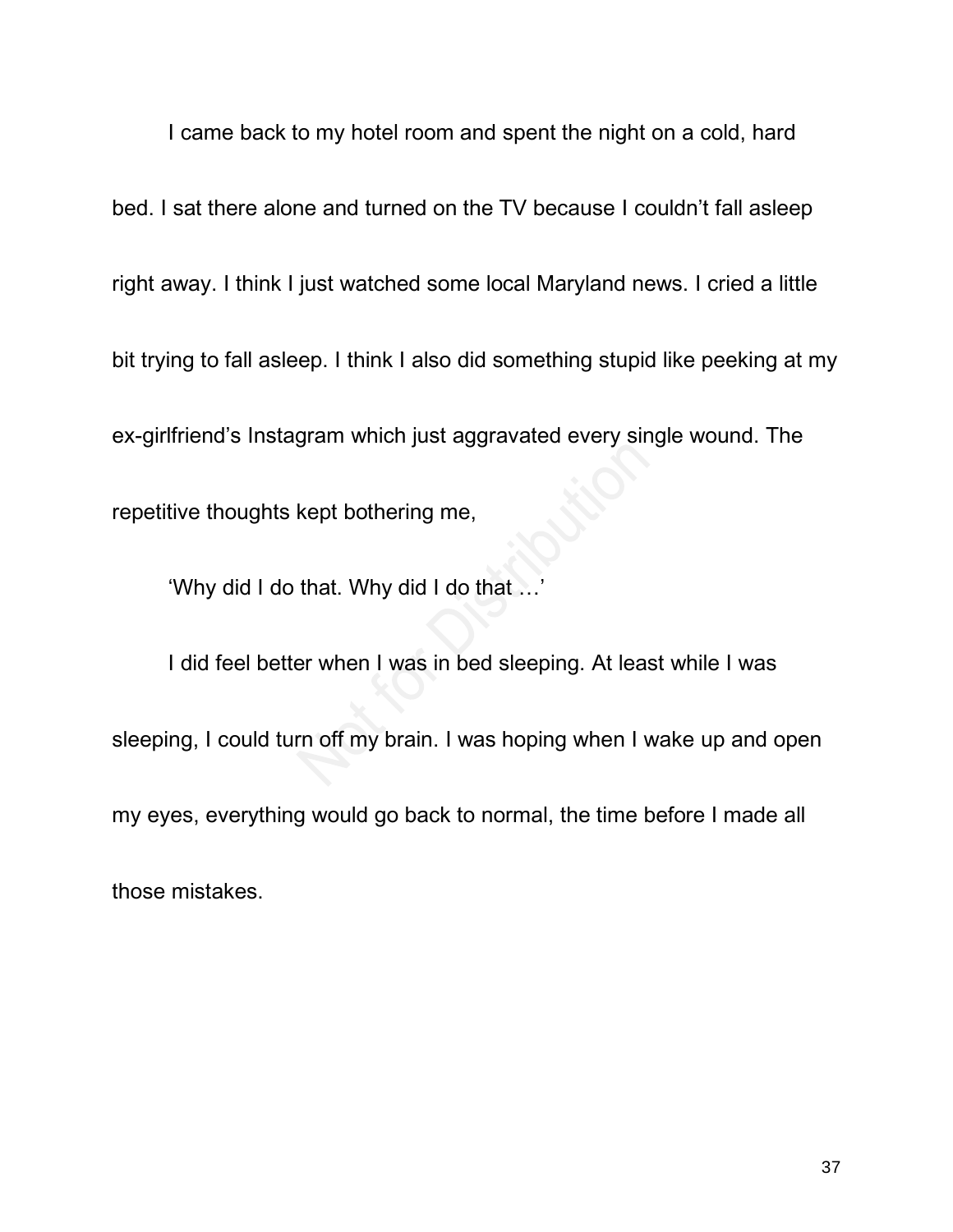I came back to my hotel room and spent the night on a cold, hard bed. I sat there alone and turned on the TV because I couldn't fall asleep right away. I think I just watched some local Maryland news. I cried a little bit trying to fall asleep. I think I also did something stupid like peeking at my ex-girlfriend's Instagram which just aggravated every single wound. The repetitive thoughts kept bothering me,

'Why did I do that. Why did I do that …'

I did feel better when I was in bed sleeping. At least while I was sleeping, I could turn off my brain. I was hoping when I wake up and open my eyes, everything would go back to normal, the time before I made all those mistakes.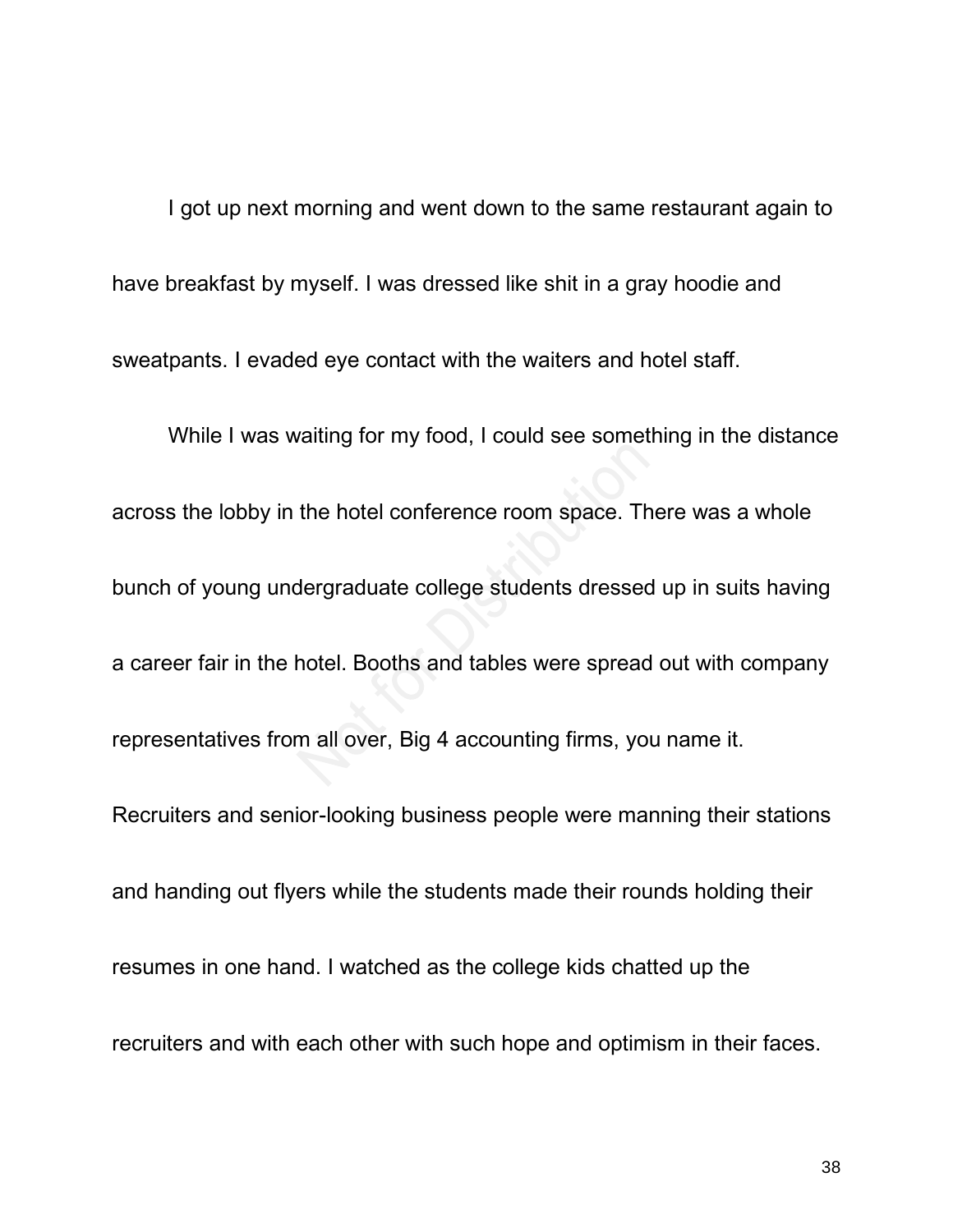I got up next morning and went down to the same restaurant again to have breakfast by myself. I was dressed like shit in a gray hoodie and sweatpants. I evaded eye contact with the waiters and hotel staff.

While I was waiting for my food, I could see something in the distance across the lobby in the hotel conference room space. There was a whole bunch of young undergraduate college students dressed up in suits having a career fair in the hotel. Booths and tables were spread out with company representatives from all over, Big 4 accounting firms, you name it. Recruiters and senior-looking business people were manning their stations and handing out flyers while the students made their rounds holding their resumes in one hand. I watched as the college kids chatted up the recruiters and with each other with such hope and optimism in their faces.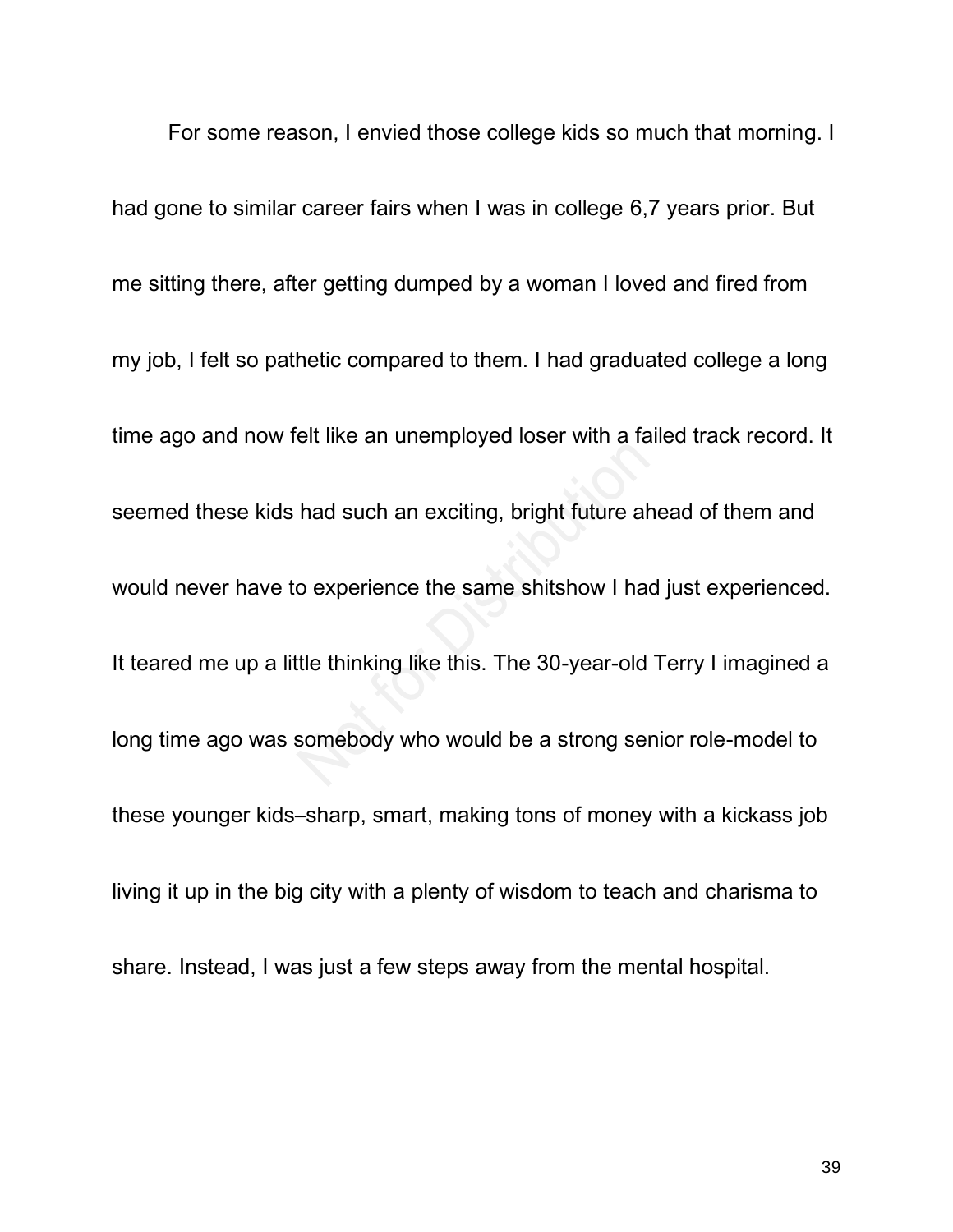For some reason, I envied those college kids so much that morning. I had gone to similar career fairs when I was in college 6,7 years prior. But me sitting there, after getting dumped by a woman I loved and fired from my job, I felt so pathetic compared to them. I had graduated college a long time ago and now felt like an unemployed loser with a failed track record. It seemed these kids had such an exciting, bright future ahead of them and would never have to experience the same shitshow I had just experienced. It teared me up a little thinking like this. The 30-year-old Terry I imagined a long time ago was somebody who would be a strong senior role-model to these younger kids–sharp, smart, making tons of money with a kickass job living it up in the big city with a plenty of wisdom to teach and charisma to share. Instead, I was just a few steps away from the mental hospital.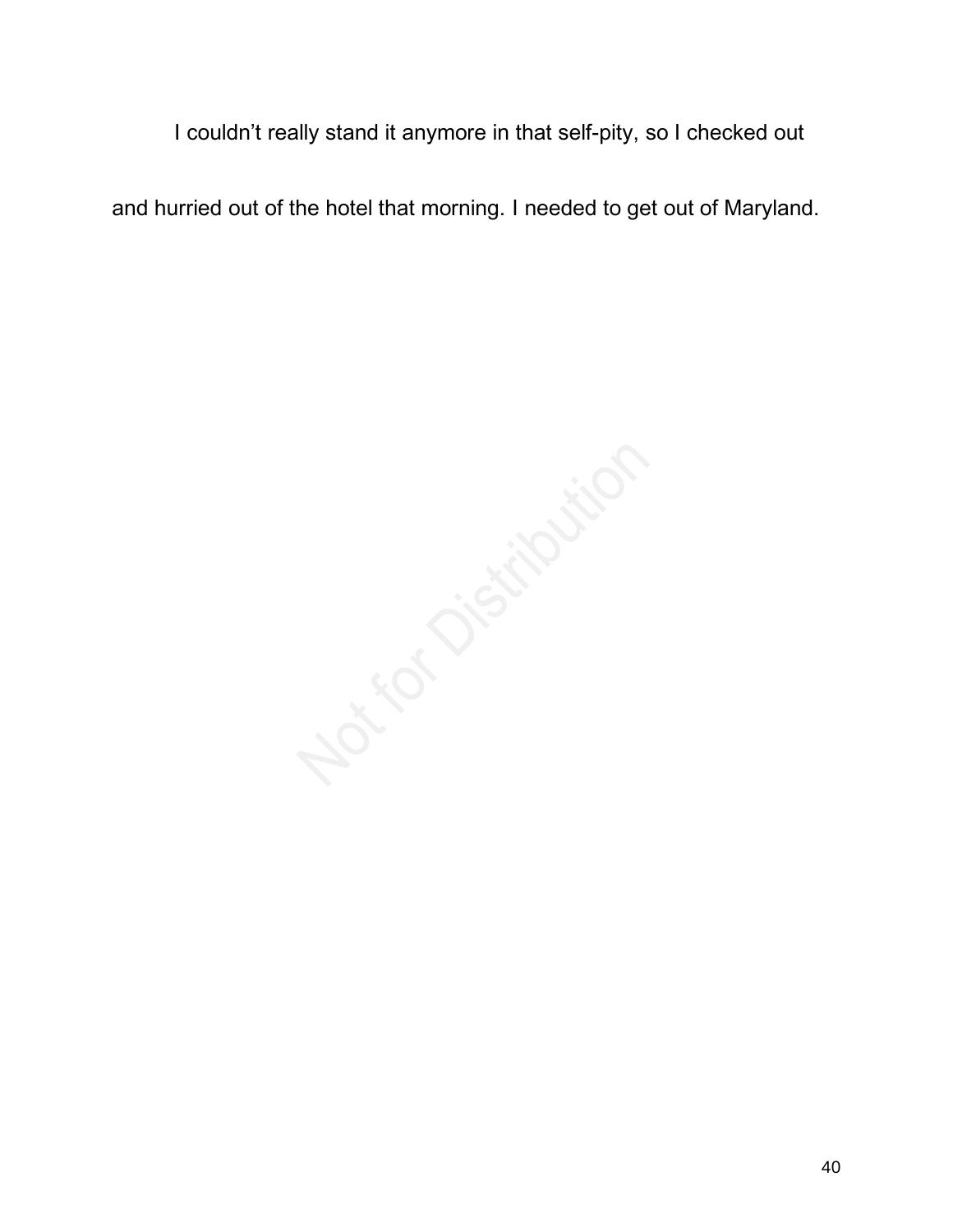I couldn't really stand it anymore in that self-pity, so I checked out

and hurried out of the hotel that morning. I needed to get out of Maryland.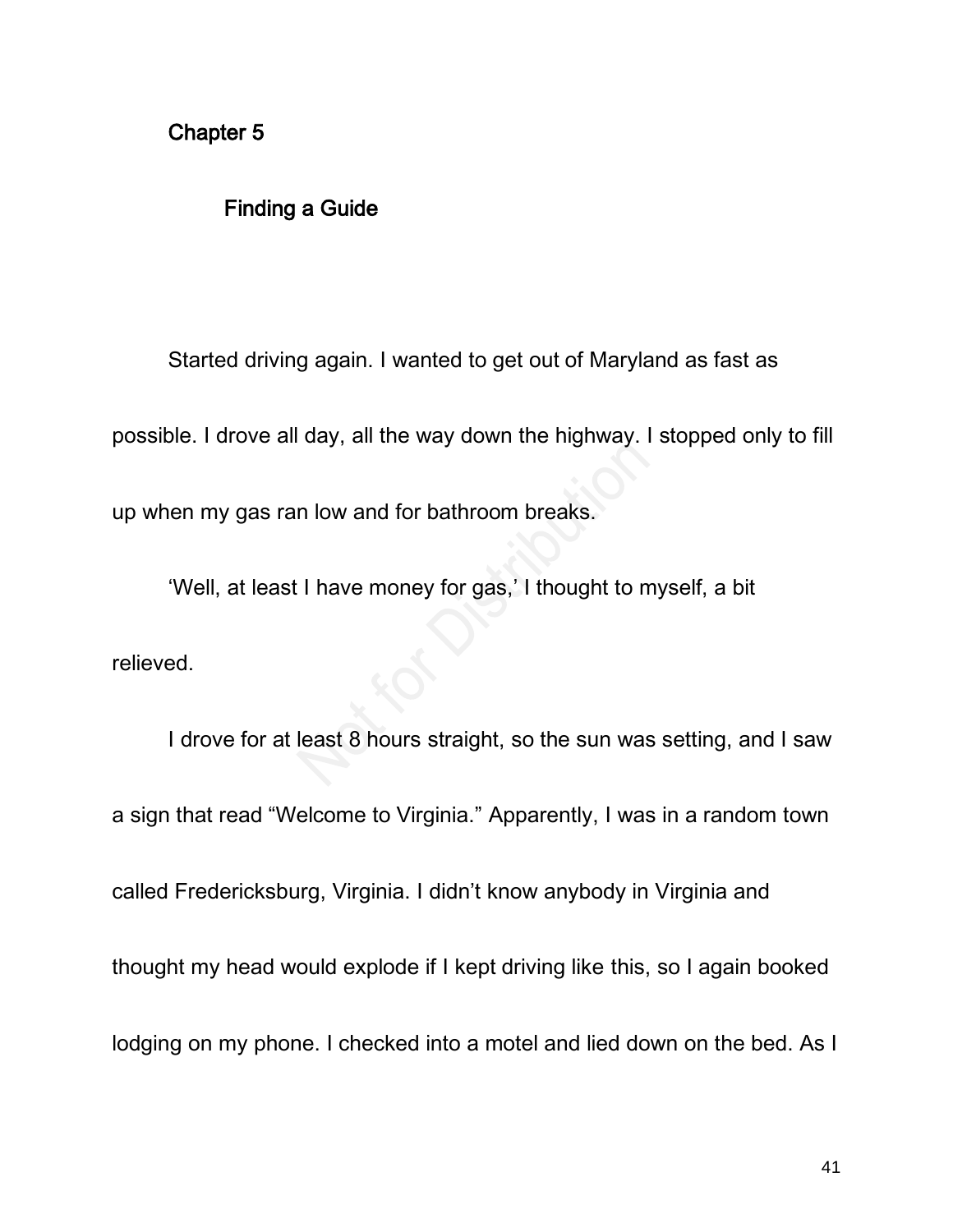# Chapter 5

#### Finding a Guide

Started driving again. I wanted to get out of Maryland as fast as possible. I drove all day, all the way down the highway. I stopped only to fill up when my gas ran low and for bathroom breaks.

'Well, at least I have money for gas,' I thought to myself, a bit relieved.

I drove for at least 8 hours straight, so the sun was setting, and I saw a sign that read "Welcome to Virginia." Apparently, I was in a random town called Fredericksburg, Virginia. I didn't know anybody in Virginia and thought my head would explode if I kept driving like this, so I again booked lodging on my phone. I checked into a motel and lied down on the bed. As I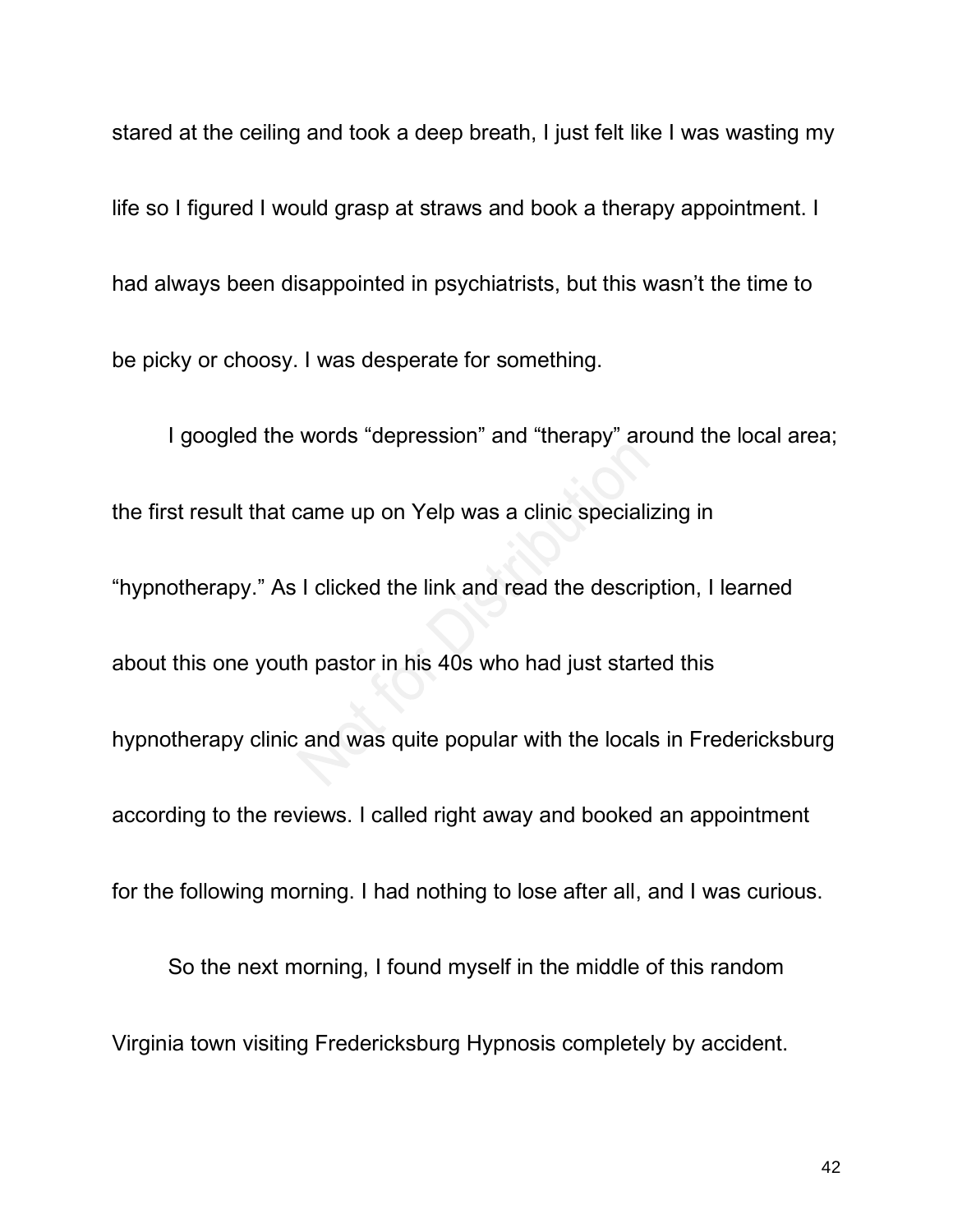stared at the ceiling and took a deep breath, I just felt like I was wasting my life so I figured I would grasp at straws and book a therapy appointment. I had always been disappointed in psychiatrists, but this wasn't the time to be picky or choosy. I was desperate for something.

I googled the words "depression" and "therapy" around the local area; the first result that came up on Yelp was a clinic specializing in "hypnotherapy." As I clicked the link and read the description, I learned about this one youth pastor in his 40s who had just started this hypnotherapy clinic and was quite popular with the locals in Fredericksburg according to the reviews. I called right away and booked an appointment for the following morning. I had nothing to lose after all, and I was curious.

So the next morning, I found myself in the middle of this random Virginia town visiting Fredericksburg Hypnosis completely by accident.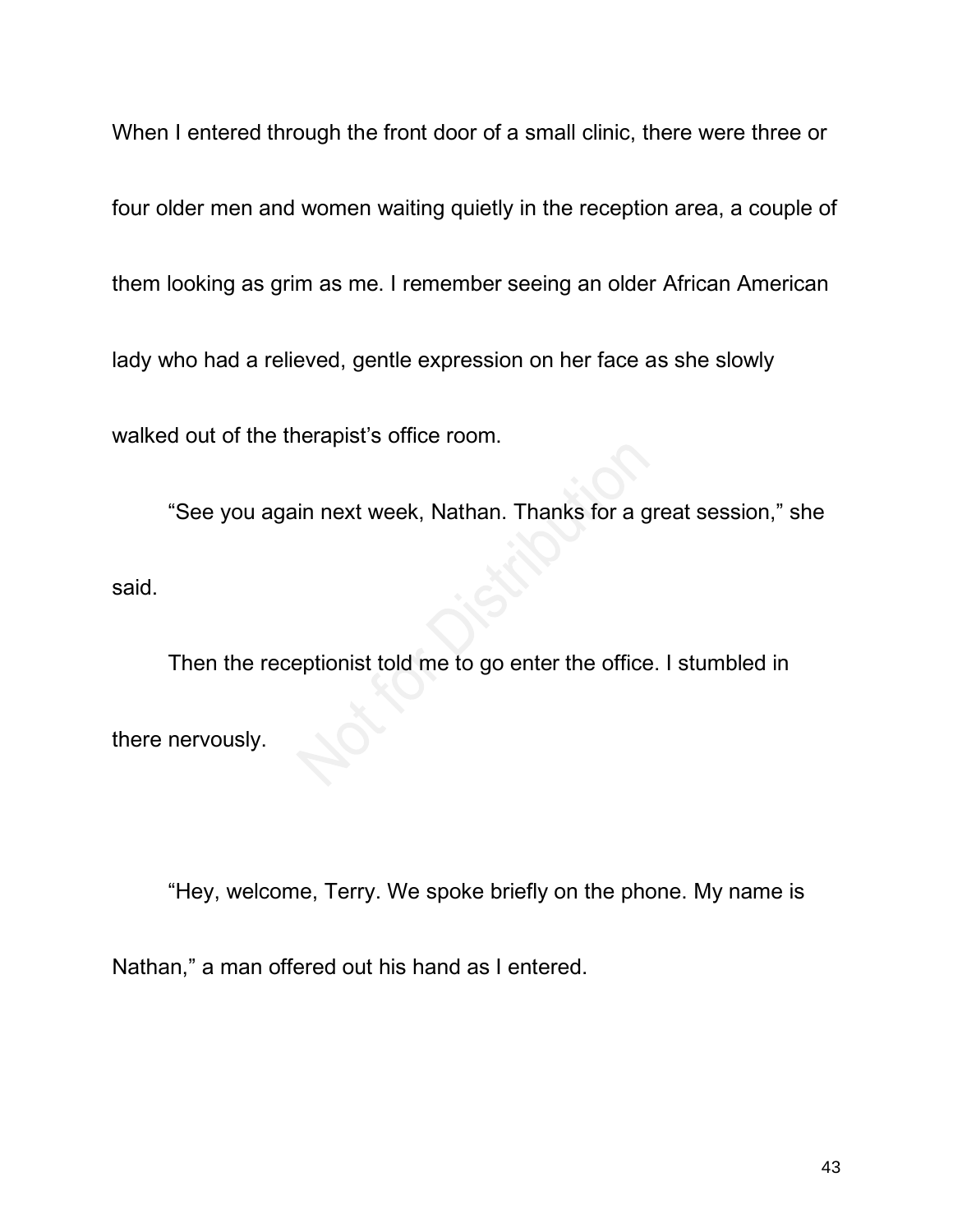When I entered through the front door of a small clinic, there were three or

four older men and women waiting quietly in the reception area, a couple of

them looking as grim as me. I remember seeing an older African American

lady who had a relieved, gentle expression on her face as she slowly

walked out of the therapist's office room.

"See you again next week, Nathan. Thanks for a great session," she said.

Then the receptionist told me to go enter the office. I stumbled in there nervously.

"Hey, welcome, Terry. We spoke briefly on the phone. My name is

Nathan," a man offered out his hand as I entered.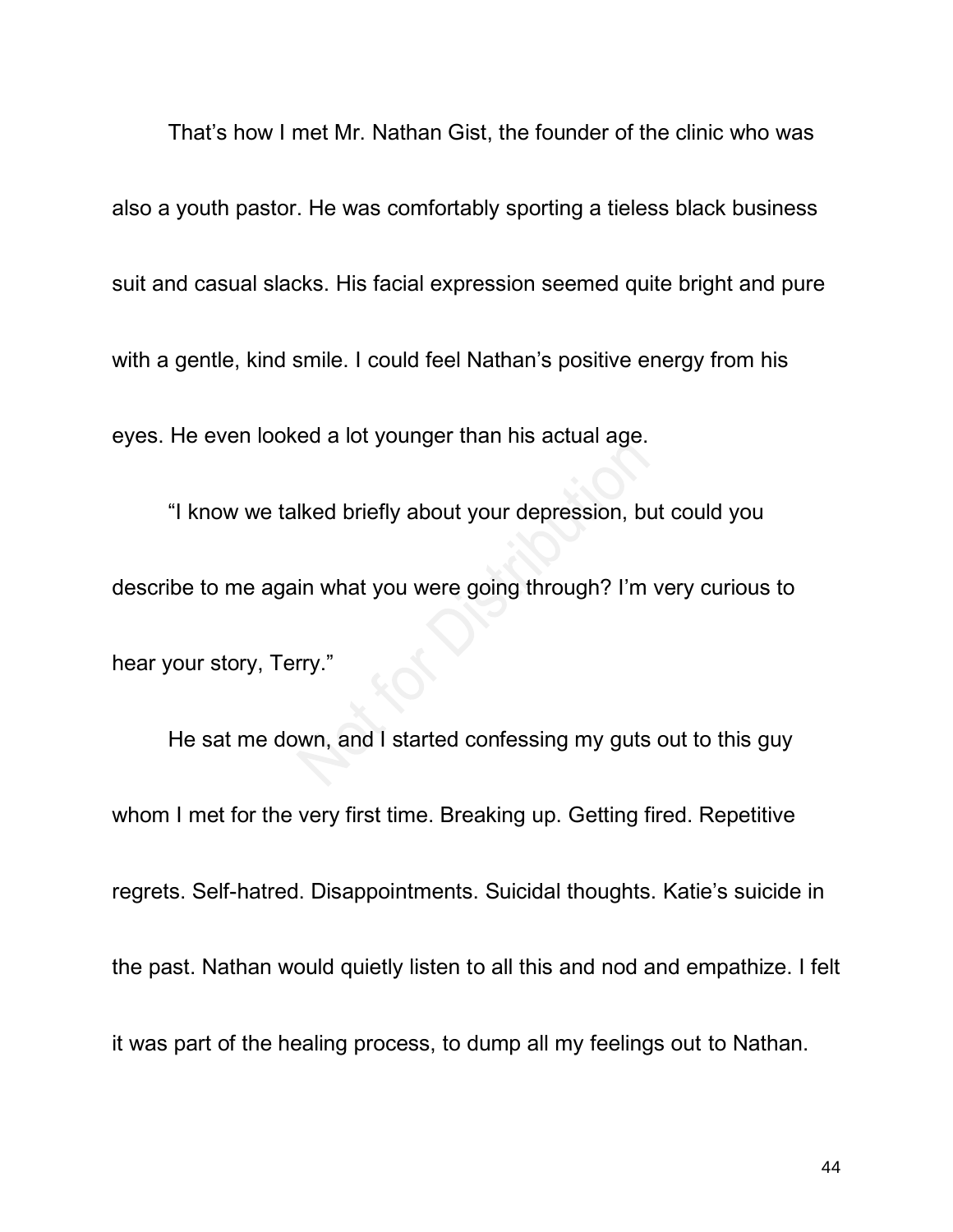That's how I met Mr. Nathan Gist, the founder of the clinic who was also a youth pastor. He was comfortably sporting a tieless black business suit and casual slacks. His facial expression seemed quite bright and pure with a gentle, kind smile. I could feel Nathan's positive energy from his eyes. He even looked a lot younger than his actual age.

"I know we talked briefly about your depression, but could you describe to me again what you were going through? I'm very curious to hear your story, Terry."

He sat me down, and I started confessing my guts out to this guy whom I met for the very first time. Breaking up. Getting fired. Repetitive regrets. Self-hatred. Disappointments. Suicidal thoughts. Katie's suicide in the past. Nathan would quietly listen to all this and nod and empathize. I felt it was part of the healing process, to dump all my feelings out to Nathan.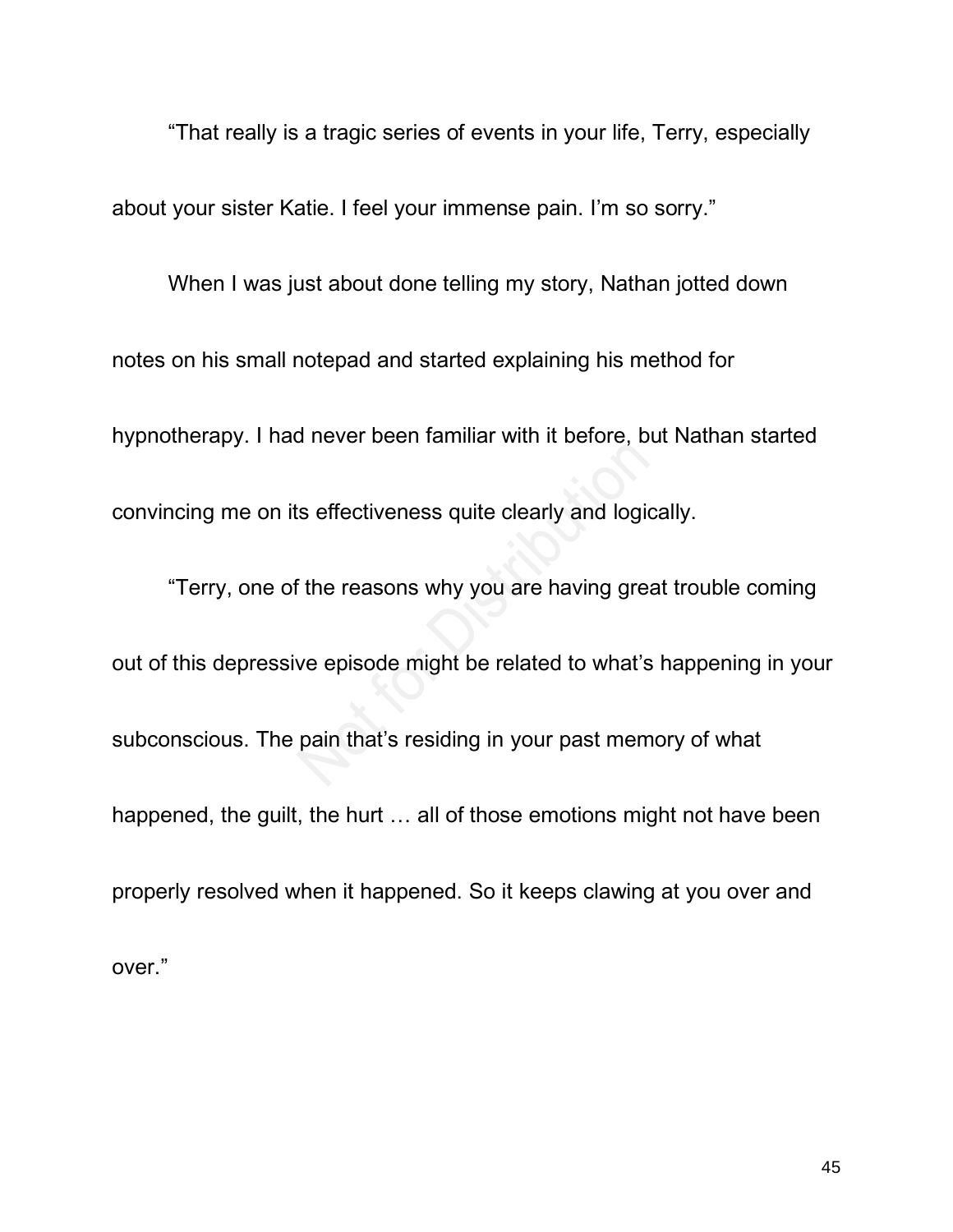"That really is a tragic series of events in your life, Terry, especially about your sister Katie. I feel your immense pain. I'm so sorry."

When I was just about done telling my story, Nathan jotted down notes on his small notepad and started explaining his method for hypnotherapy. I had never been familiar with it before, but Nathan started convincing me on its effectiveness quite clearly and logically.

"Terry, one of the reasons why you are having great trouble coming out of this depressive episode might be related to what's happening in your subconscious. The pain that's residing in your past memory of what happened, the guilt, the hurt … all of those emotions might not have been properly resolved when it happened. So it keeps clawing at you over and over."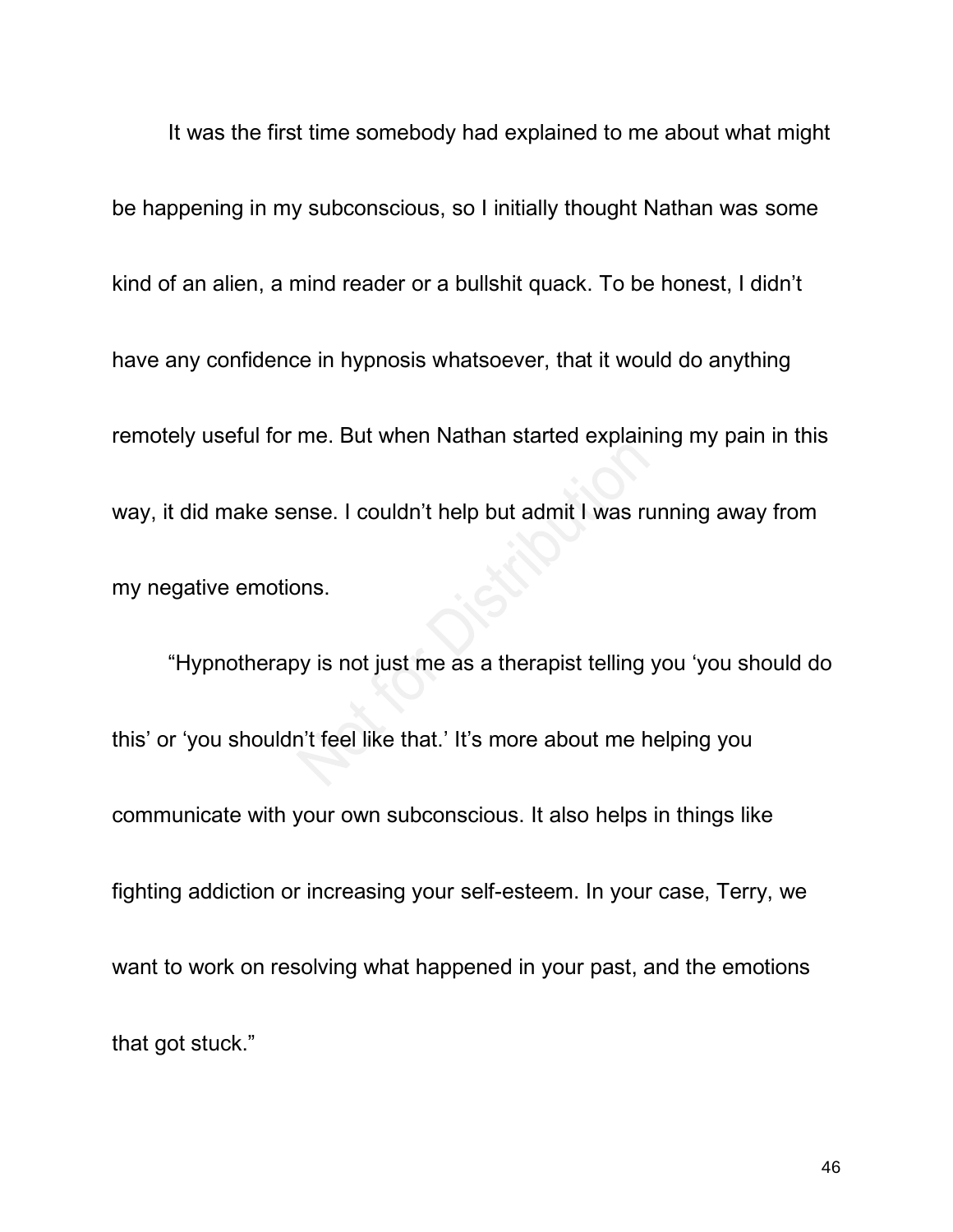It was the first time somebody had explained to me about what might be happening in my subconscious, so I initially thought Nathan was some kind of an alien, a mind reader or a bullshit quack. To be honest, I didn't have any confidence in hypnosis whatsoever, that it would do anything remotely useful for me. But when Nathan started explaining my pain in this way, it did make sense. I couldn't help but admit I was running away from my negative emotions.

"Hypnotherapy is not just me as a therapist telling you 'you should do this' or 'you shouldn't feel like that.' It's more about me helping you communicate with your own subconscious. It also helps in things like fighting addiction or increasing your self-esteem. In your case, Terry, we want to work on resolving what happened in your past, and the emotions that got stuck."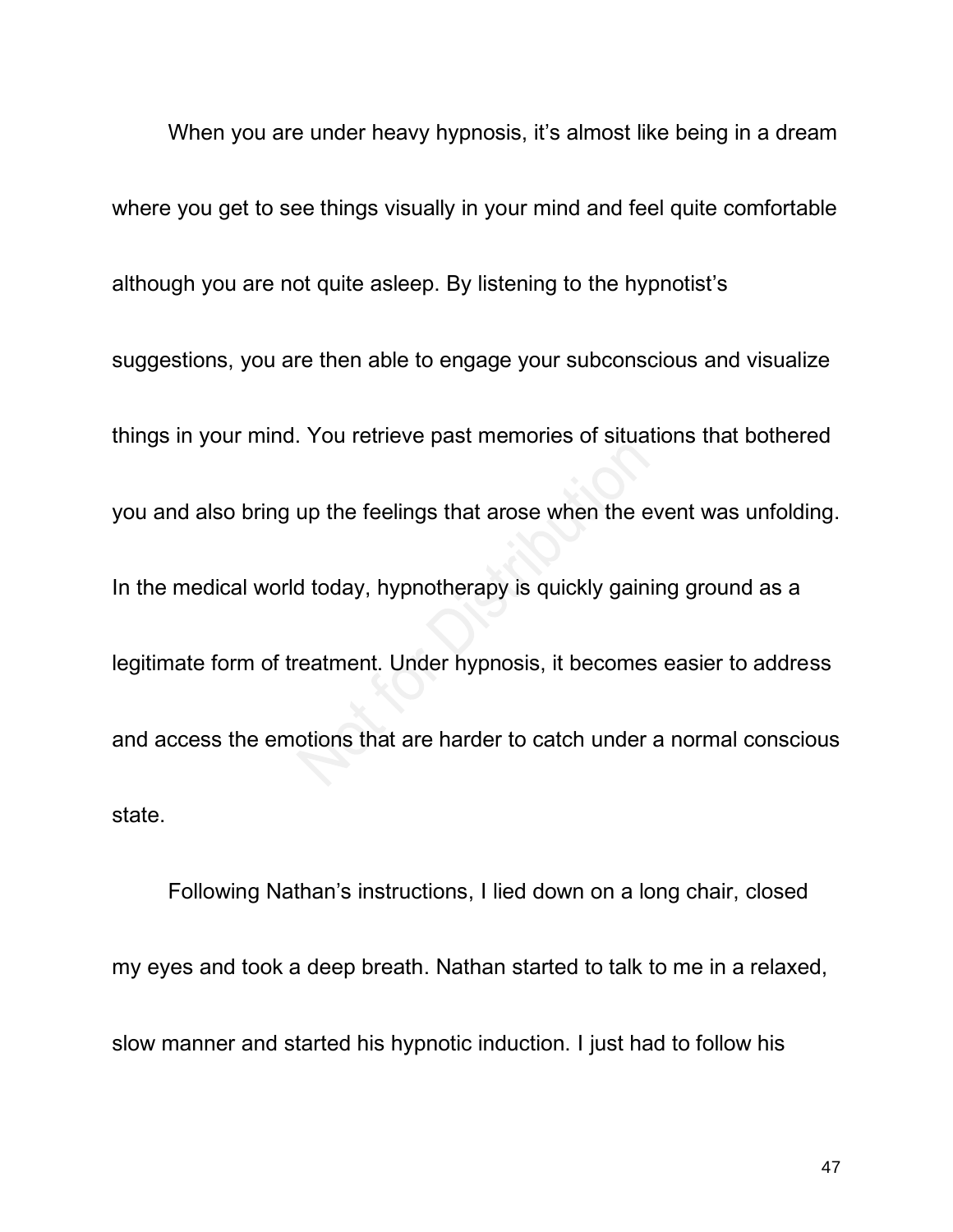When you are under heavy hypnosis, it's almost like being in a dream where you get to see things visually in your mind and feel quite comfortable although you are not quite asleep. By listening to the hypnotist's suggestions, you are then able to engage your subconscious and visualize things in your mind. You retrieve past memories of situations that bothered you and also bring up the feelings that arose when the event was unfolding. In the medical world today, hypnotherapy is quickly gaining ground as a legitimate form of treatment. Under hypnosis, it becomes easier to address and access the emotions that are harder to catch under a normal conscious state.

Following Nathan's instructions, I lied down on a long chair, closed my eyes and took a deep breath. Nathan started to talk to me in a relaxed, slow manner and started his hypnotic induction. I just had to follow his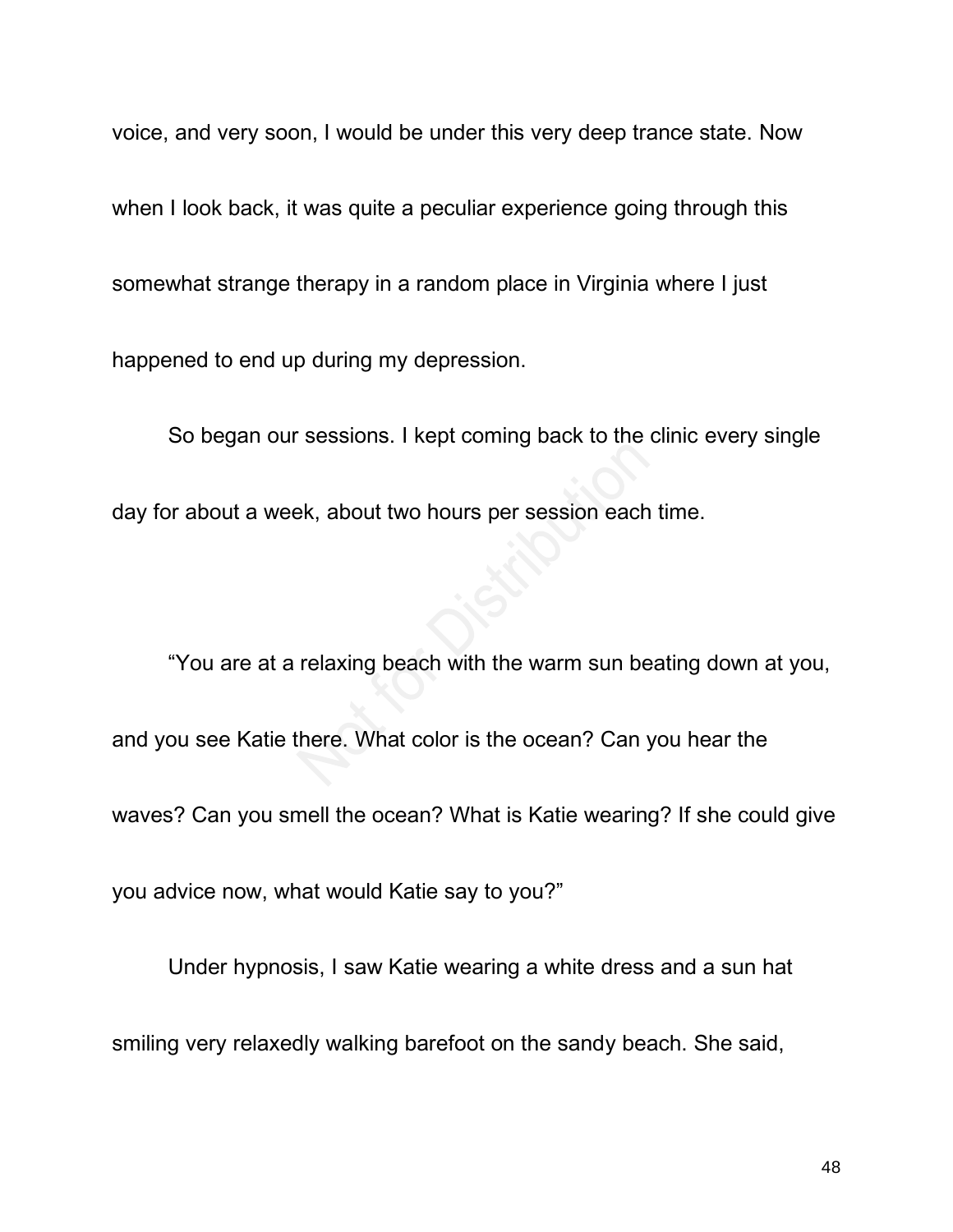voice, and very soon, I would be under this very deep trance state. Now

when I look back, it was quite a peculiar experience going through this

somewhat strange therapy in a random place in Virginia where I just

happened to end up during my depression.

So began our sessions. I kept coming back to the clinic every single day for about a week, about two hours per session each time.

"You are at a relaxing beach with the warm sun beating down at you, and you see Katie there. What color is the ocean? Can you hear the waves? Can you smell the ocean? What is Katie wearing? If she could give you advice now, what would Katie say to you?"

Under hypnosis, I saw Katie wearing a white dress and a sun hat smiling very relaxedly walking barefoot on the sandy beach. She said,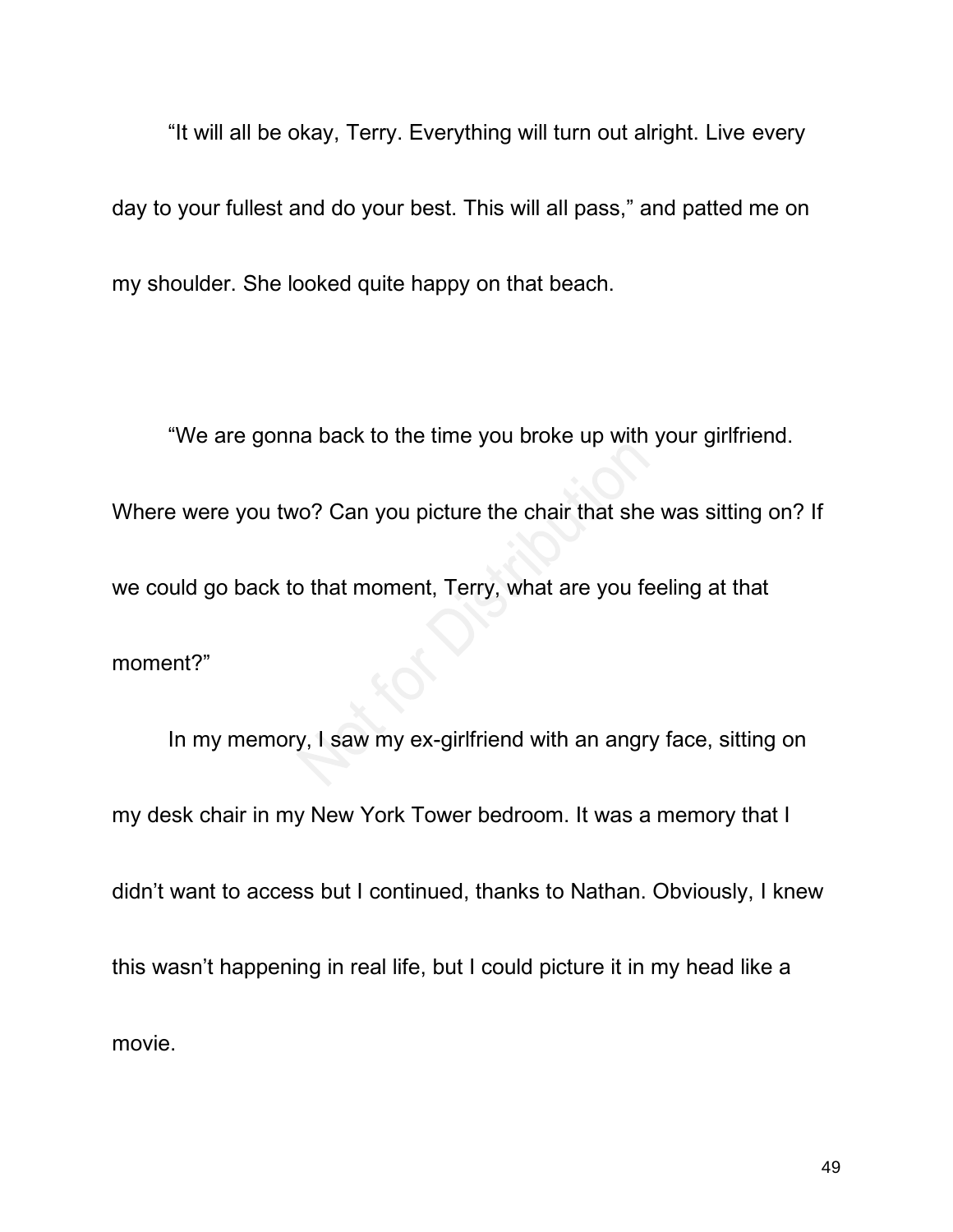"It will all be okay, Terry. Everything will turn out alright. Live every day to your fullest and do your best. This will all pass," and patted me on my shoulder. She looked quite happy on that beach.

"We are gonna back to the time you broke up with your girlfriend. Where were you two? Can you picture the chair that she was sitting on? If we could go back to that moment, Terry, what are you feeling at that moment?"

In my memory, I saw my ex-girlfriend with an angry face, sitting on my desk chair in my New York Tower bedroom. It was a memory that I didn't want to access but I continued, thanks to Nathan. Obviously, I knew this wasn't happening in real life, but I could picture it in my head like a movie.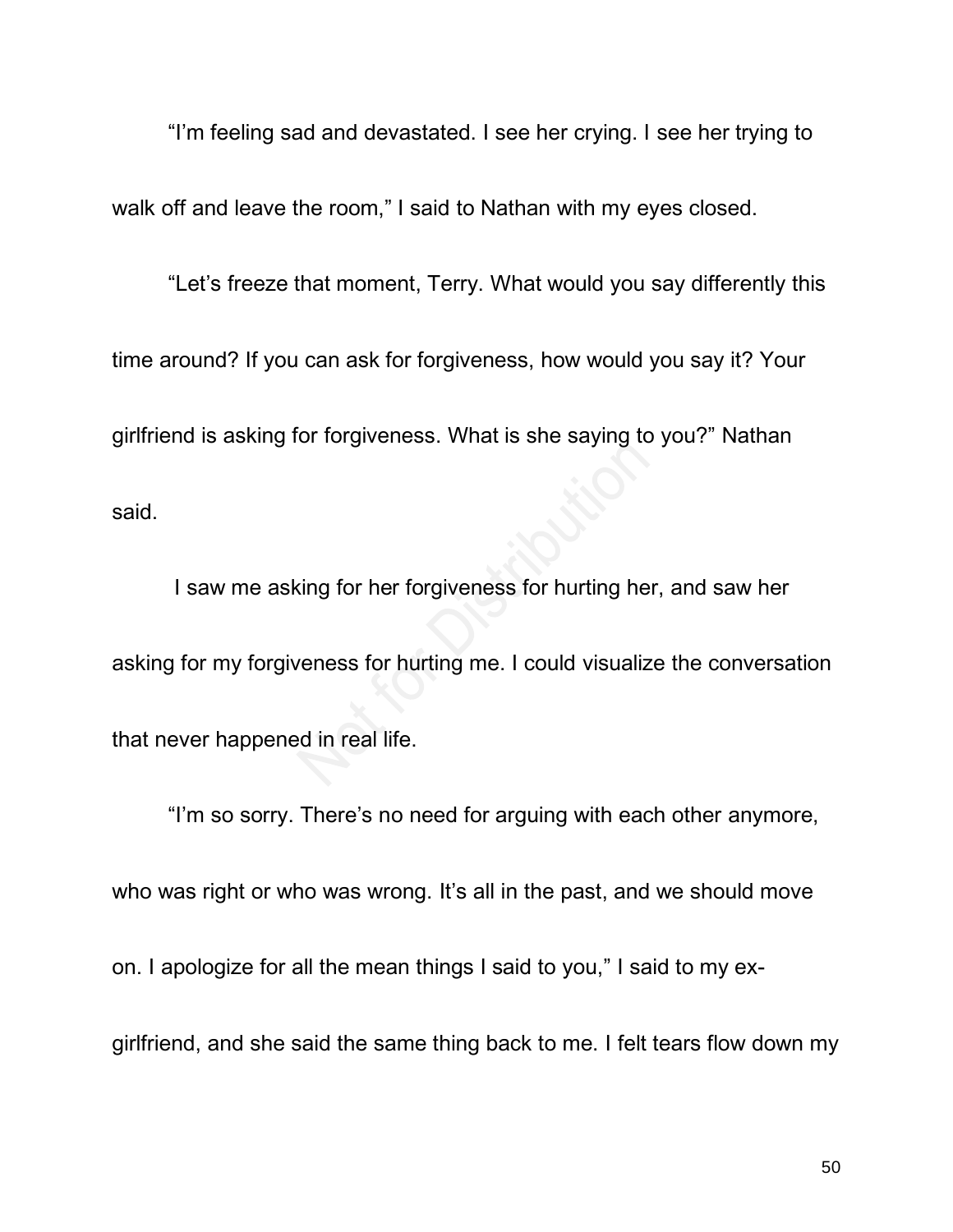"I'm feeling sad and devastated. I see her crying. I see her trying to

walk off and leave the room," I said to Nathan with my eyes closed.

"Let's freeze that moment, Terry. What would you say differently this time around? If you can ask for forgiveness, how would you say it? Your girlfriend is asking for forgiveness. What is she saying to you?" Nathan said.

I saw me asking for her forgiveness for hurting her, and saw her asking for my forgiveness for hurting me. I could visualize the conversation that never happened in real life.

"I'm so sorry. There's no need for arguing with each other anymore, who was right or who was wrong. It's all in the past, and we should move on. I apologize for all the mean things I said to you," I said to my exgirlfriend, and she said the same thing back to me. I felt tears flow down my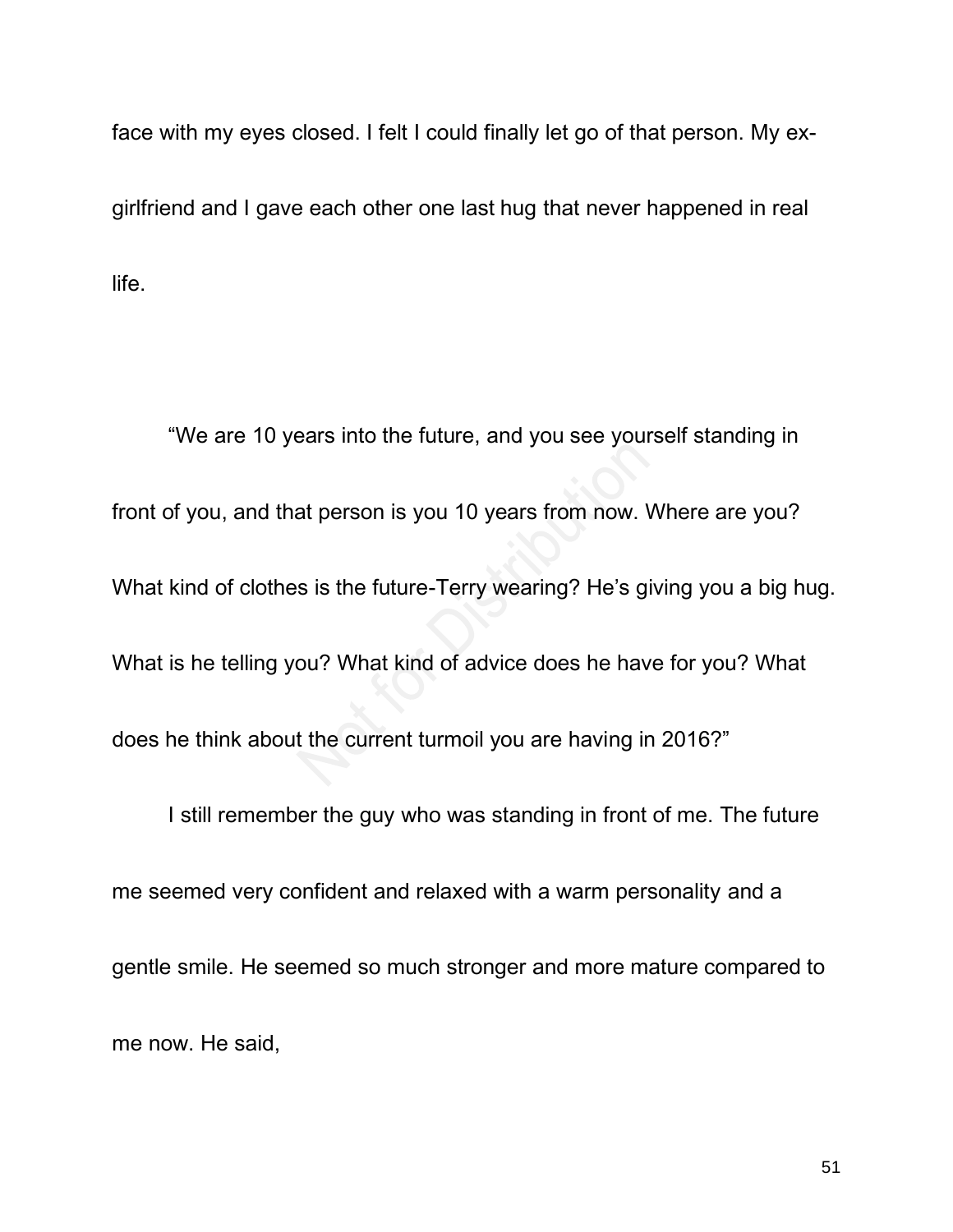face with my eyes closed. I felt I could finally let go of that person. My exgirlfriend and I gave each other one last hug that never happened in real life.

"We are 10 years into the future, and you see yourself standing in front of you, and that person is you 10 years from now. Where are you? What kind of clothes is the future-Terry wearing? He's giving you a big hug. What is he telling you? What kind of advice does he have for you? What does he think about the current turmoil you are having in 2016?" I still remember the guy who was standing in front of me. The future me seemed very confident and relaxed with a warm personality and a gentle smile. He seemed so much stronger and more mature compared to me now. He said,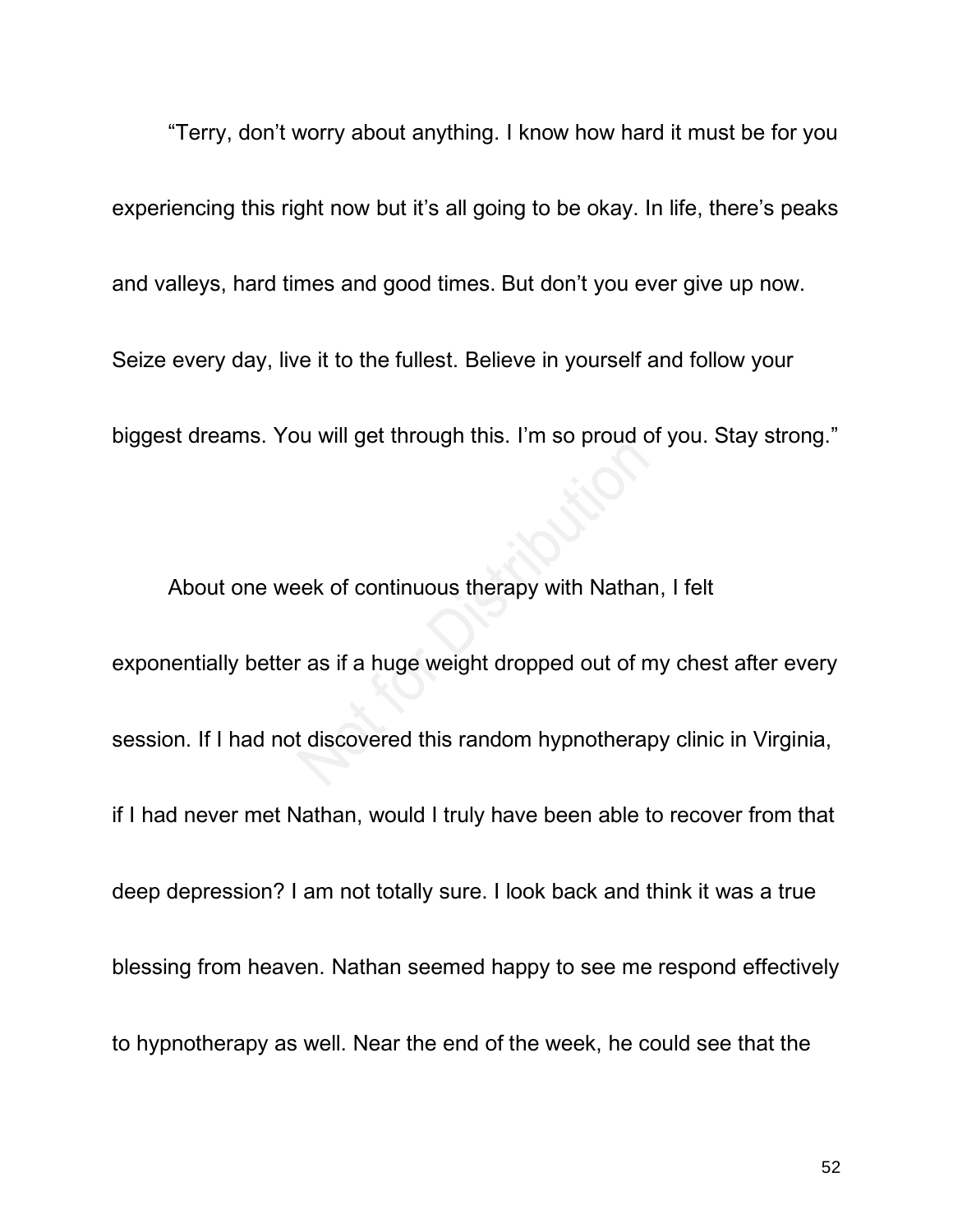"Terry, don't worry about anything. I know how hard it must be for you experiencing this right now but it's all going to be okay. In life, there's peaks and valleys, hard times and good times. But don't you ever give up now. Seize every day, live it to the fullest. Believe in yourself and follow your biggest dreams. You will get through this. I'm so proud of you. Stay strong."

About one week of continuous therapy with Nathan, I felt exponentially better as if a huge weight dropped out of my chest after every session. If I had not discovered this random hypnotherapy clinic in Virginia, if I had never met Nathan, would I truly have been able to recover from that deep depression? I am not totally sure. I look back and think it was a true blessing from heaven. Nathan seemed happy to see me respond effectively to hypnotherapy as well. Near the end of the week, he could see that the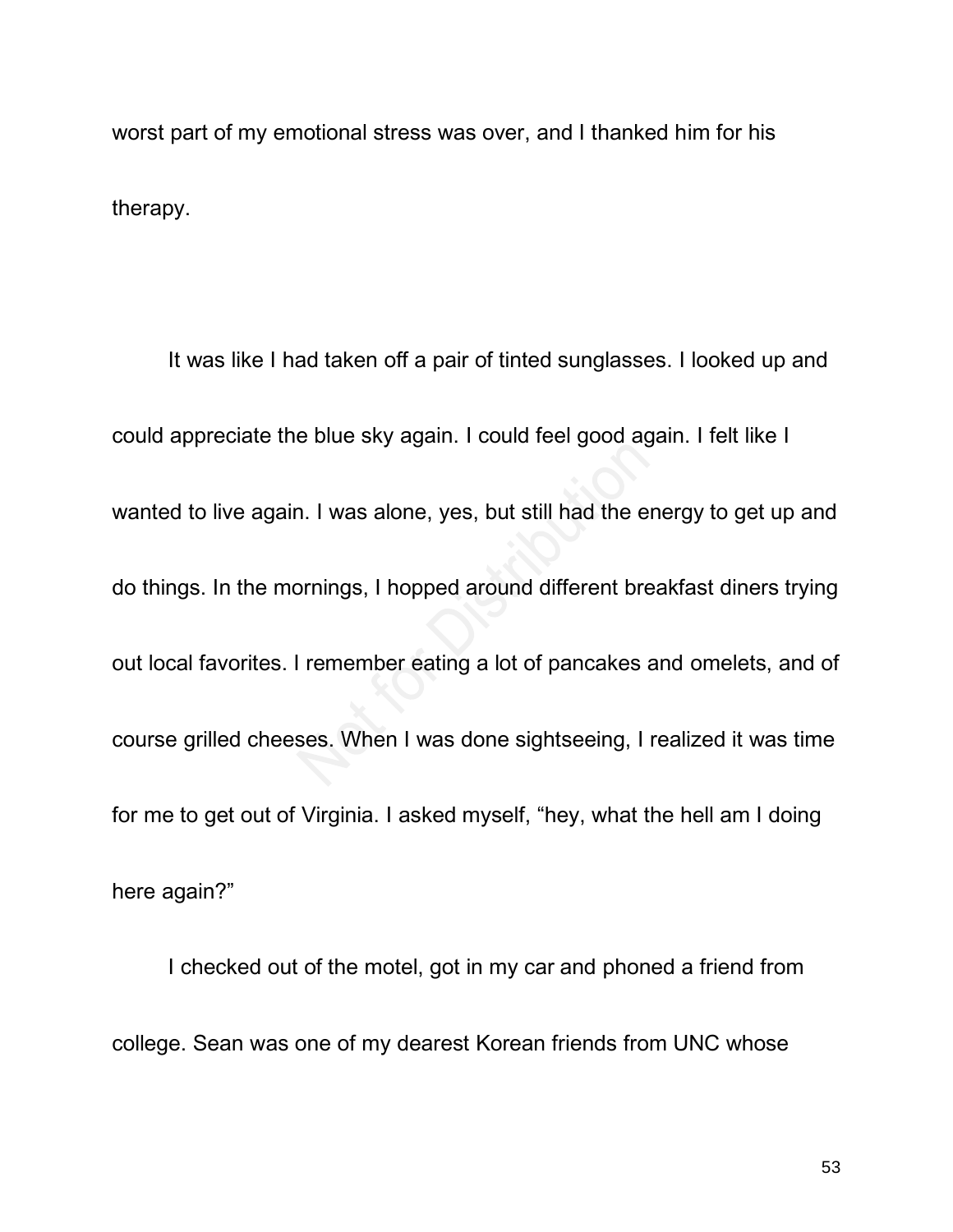worst part of my emotional stress was over, and I thanked him for his therapy.

It was like I had taken off a pair of tinted sunglasses. I looked up and could appreciate the blue sky again. I could feel good again. I felt like I wanted to live again. I was alone, yes, but still had the energy to get up and do things. In the mornings, I hopped around different breakfast diners trying out local favorites. I remember eating a lot of pancakes and omelets, and of course grilled cheeses. When I was done sightseeing, I realized it was time for me to get out of Virginia. I asked myself, "hey, what the hell am I doing here again?"

I checked out of the motel, got in my car and phoned a friend from college. Sean was one of my dearest Korean friends from UNC whose

53